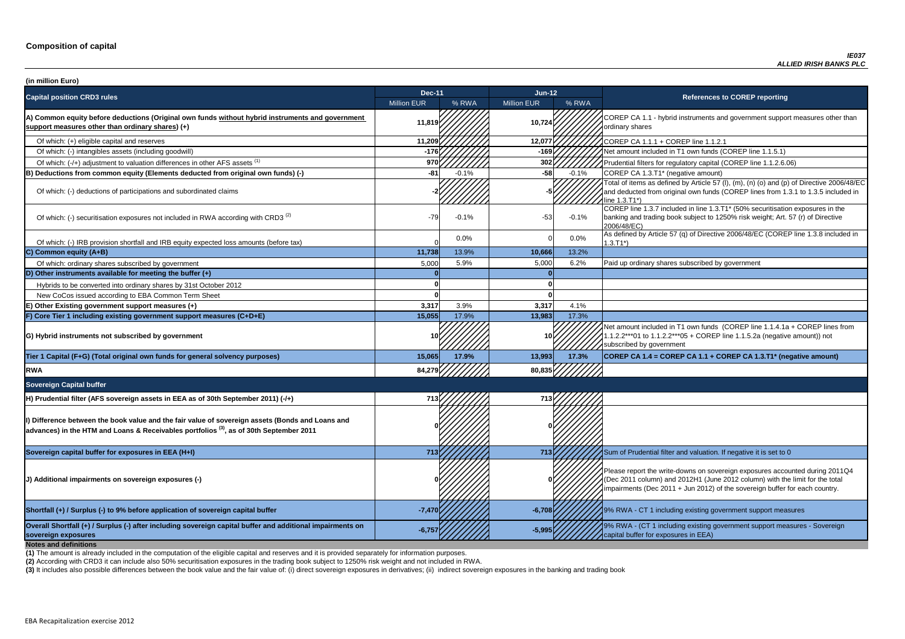**P CA 1.1 - hybrid instruments and government support measures other than** ry shares

of which: filters for regulatory capital (COREP line 1.1.2.6.06)

of items as defined by Article 57 (I), (m), (n) (o) and (p) of Directive 2006/48/EC educted from original own funds (COREP lines from 1.3.1 to 1.3.5 included in  $3.71^*$ 

 $\overline{C}$  line 1.3.7 included in line 1.3.T1\* (50% securitisation exposures in the g and trading book subject to 1250% risk weight; Art. 57 (r) of Directive 8/EC)

ned by Article 57 (q) of Directive 2006/48/EC (COREP line 1.3.8 included in

nount included in T1 own funds (COREP line 1.1.4.1a + COREP lines from  $2***01$  to 1.1.2.2\*\*\*05 + COREP line 1.1.5.2a (negative amount)) not ibed by government

**sovereign exposures -6,757 -5,995** 9% RWA - (CT 1 including existing government support measures - Sovereign buffer for exposures in EEA)

| (in million Euro)                                                                                                                                                                                    |                    |         |                    |         |                                                                                                                                                                                   |
|------------------------------------------------------------------------------------------------------------------------------------------------------------------------------------------------------|--------------------|---------|--------------------|---------|-----------------------------------------------------------------------------------------------------------------------------------------------------------------------------------|
| <b>Capital position CRD3 rules</b>                                                                                                                                                                   | <b>Dec-11</b>      |         | $Jun-12$           |         | <b>References to COREP reporting</b>                                                                                                                                              |
|                                                                                                                                                                                                      | <b>Million EUR</b> | % RWA   | <b>Million EUR</b> | % RWA   |                                                                                                                                                                                   |
| A) Common equity before deductions (Original own funds without hybrid instruments and government<br>support measures other than ordinary shares) (+)                                                 | 11,819             |         | 10,724             |         | COREP CA 1.1 - hybrid instruments and government suppo<br>ordinary shares                                                                                                         |
| Of which: (+) eligible capital and reserves                                                                                                                                                          | 11,209             |         | 12,077             |         | COREP CA 1.1.1 + COREP line 1.1.2.1                                                                                                                                               |
| Of which: (-) intangibles assets (including goodwill)                                                                                                                                                | $-176$             |         | $-169$             |         | Net amount included in T1 own funds (COREP line 1.1.5.1)                                                                                                                          |
| Of which: (-/+) adjustment to valuation differences in other AFS assets <sup>(1)</sup>                                                                                                               | 970                |         | 302                |         | Prudential filters for regulatory capital (COREP line 1.1.2.6.                                                                                                                    |
| B) Deductions from common equity (Elements deducted from original own funds) (-)                                                                                                                     | -81                | $-0.1%$ | $-58$              | $-0.1%$ | COREP CA 1.3.T1* (negative amount)                                                                                                                                                |
| Of which: (-) deductions of participations and subordinated claims                                                                                                                                   |                    |         |                    |         | Total of items as defined by Article 57 (I), (m), (n) (o) and (p<br>and deducted from original own funds (COREP lines from 1<br>line 1.3.T1*)                                     |
| Of which: (-) securitisation exposures not included in RWA according with CRD3 <sup>(2)</sup>                                                                                                        | $-79$              | $-0.1%$ | $-53$              | $-0.1%$ | COREP line 1.3.7 included in line 1.3.T1* (50% securitisation<br>banking and trading book subject to 1250% risk weight; Art.<br>2006/48/EC)                                       |
| Of which: (-) IRB provision shortfall and IRB equity expected loss amounts (before tax)                                                                                                              |                    | 0.0%    |                    | $0.0\%$ | As defined by Article 57 (q) of Directive 2006/48/EC (CORE<br>$1.3.T1*)$                                                                                                          |
| C) Common equity (A+B)                                                                                                                                                                               | 11,738             | 13.9%   | 10,666             | 13.2%   |                                                                                                                                                                                   |
| Of which: ordinary shares subscribed by government                                                                                                                                                   | 5,000              | 5.9%    | 5,000              | 6.2%    | Paid up ordinary shares subscribed by government                                                                                                                                  |
| D) Other instruments available for meeting the buffer $(+)$                                                                                                                                          |                    |         |                    |         |                                                                                                                                                                                   |
| Hybrids to be converted into ordinary shares by 31st October 2012                                                                                                                                    |                    |         |                    |         |                                                                                                                                                                                   |
| New CoCos issued according to EBA Common Term Sheet                                                                                                                                                  |                    |         |                    |         |                                                                                                                                                                                   |
| E) Other Existing government support measures (+)                                                                                                                                                    | 3,317              | 3.9%    | 3,317              | 4.1%    |                                                                                                                                                                                   |
| F) Core Tier 1 including existing government support measures (C+D+E)                                                                                                                                | 15,055             | 17.9%   | 13,983             | 17.3%   |                                                                                                                                                                                   |
| G) Hybrid instruments not subscribed by government                                                                                                                                                   |                    |         |                    |         | Net amount included in T1 own funds (COREP line 1.1.4.1a<br>1.1.2.2***01 to 1.1.2.2***05 + COREP line 1.1.5.2a (negativ<br>subscribed by government                               |
| Tier 1 Capital (F+G) (Total original own funds for general solvency purposes)                                                                                                                        | 15,065             | 17.9%   | 13,993             | 17.3%   | COREP CA 1.4 = COREP CA 1.1 + COREP CA 1.3.T1* (ne                                                                                                                                |
| <b>RWA</b>                                                                                                                                                                                           | 84,279             |         | 80,835             |         |                                                                                                                                                                                   |
| <b>Sovereign Capital buffer</b>                                                                                                                                                                      |                    |         |                    |         |                                                                                                                                                                                   |
| H) Prudential filter (AFS sovereign assets in EEA as of 30th September 2011) (-/+)                                                                                                                   | 713                |         |                    |         |                                                                                                                                                                                   |
| I) Difference between the book value and the fair value of sovereign assets (Bonds and Loans and<br>$ $ advances) in the HTM and Loans & Receivables portfolios $^{(3)}$ , as of 30th September 2011 |                    |         |                    |         |                                                                                                                                                                                   |
| Sovereign capital buffer for exposures in EEA (H+I)                                                                                                                                                  | 713                |         | 713                |         | Sum of Prudential filter and valuation. If negative it is set to                                                                                                                  |
| J) Additional impairments on sovereign exposures (-)                                                                                                                                                 |                    |         |                    |         | Please report the write-downs on sovereign exposures acco<br>(Dec 2011 column) and 2012H1 (June 2012 column) with th<br>impairments (Dec 2011 + Jun 2012) of the sovereign buffer |
| Shortfall (+) / Surplus (-) to 9% before application of sovereign capital buffer                                                                                                                     | $-7,470$           |         | $-6,708$           |         | 9% RWA - CT 1 including existing government support mea                                                                                                                           |
| Overall Shortfall (+) / Surplus (-) after including sovereign capital buffer and additional impairments on<br>sovereign exposures<br><b>Notes and definitions</b>                                    | $-6,75$            |         | $-5,995$           |         | 9% RWA - (CT 1 including existing government support mea<br>capital buffer for exposures in EEA)                                                                                  |

**Tier 1 Capital (F+G) (Total original own funds for general solvency purposes) 15,065 17.9% 13,993 17.3% COREP CA 1.4 = COREP CA 1.1 + COREP CA 1.3.T1\* (negative amount)**

report the write-downs on sovereign exposures accounted during 2011Q4 (011 column) and 2012H1 (June 2012 column) with the limit for the total ments (Dec 2011 + Jun 2012) of the sovereign buffer for each country.

**A** - CT 1 including existing government support measures

**(2)** According with CRD3 it can include also 50% securitisation exposures in the trading book subject to 1250% risk weight and not included in RWA.

(3) It includes also possible differences between the book value and the fair value of: (i) direct sovereign exposures in derivatives; (ii) indirect sovereign exposures in the banking and trading book

**(1)** The amount is already included in the computation of the eligible capital and reserves and it is provided separately for information purposes.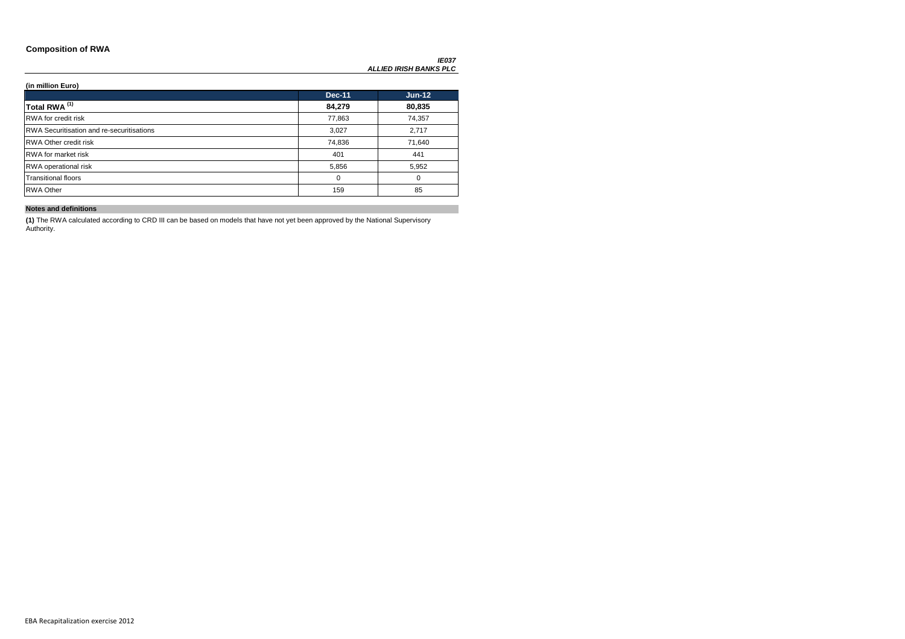### **Composition of RWA**

*IE037 ALLIED IRISH BANKS PLC*

### **(in million Euro)**

|                                                  | <b>Dec-11</b> | $Jun-12$ |
|--------------------------------------------------|---------------|----------|
| Total RWA <sup>(1)</sup>                         | 84,279        | 80,835   |
| RWA for credit risk                              | 77,863        | 74,357   |
| <b>RWA Securitisation and re-securitisations</b> | 3,027         | 2,717    |
| <b>RWA Other credit risk</b>                     | 74,836        | 71,640   |
| <b>RWA</b> for market risk                       | 401           | 441      |
| <b>RWA</b> operational risk                      | 5,856         | 5,952    |
| <b>Transitional floors</b>                       | 0             | 0        |
| <b>RWA Other</b>                                 | 159           | 85       |

### **Notes and definitions**

**(1)** The RWA calculated according to CRD III can be based on models that have not yet been approved by the National Supervisory Authority.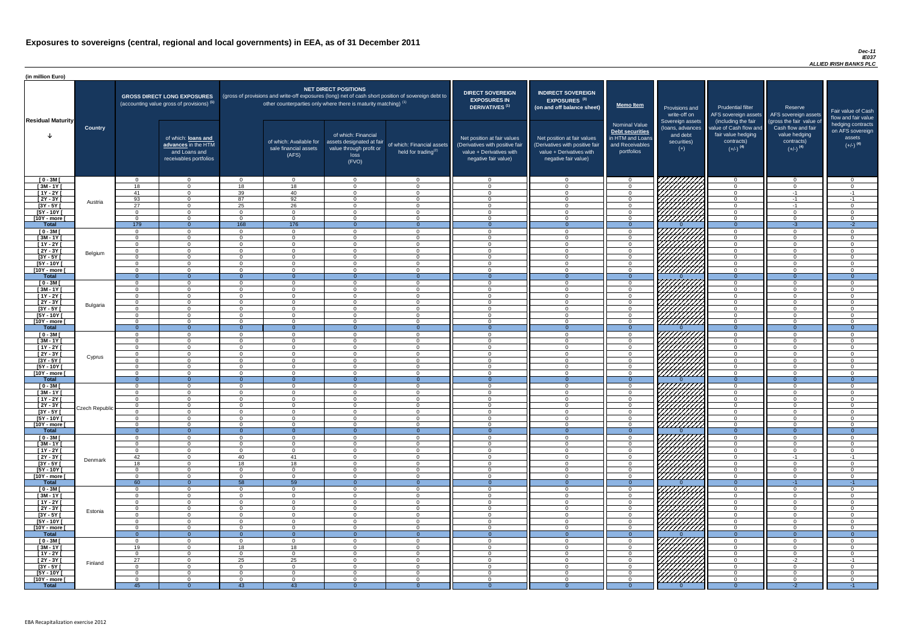#### *Dec-11 IE037 ALLIED IRISH BANKS PLC*

| (in million Euro)             |                |                            |                                                                                             |                                  |                                                                   |                                                                                              |                                                                                                     |                                                                                                                    |                                                                                                                    |                                                                                              |                                                                                                                      |                                                                                                             |                                                                                                         |                                                                           |
|-------------------------------|----------------|----------------------------|---------------------------------------------------------------------------------------------|----------------------------------|-------------------------------------------------------------------|----------------------------------------------------------------------------------------------|-----------------------------------------------------------------------------------------------------|--------------------------------------------------------------------------------------------------------------------|--------------------------------------------------------------------------------------------------------------------|----------------------------------------------------------------------------------------------|----------------------------------------------------------------------------------------------------------------------|-------------------------------------------------------------------------------------------------------------|---------------------------------------------------------------------------------------------------------|---------------------------------------------------------------------------|
| <b>Residual Maturity</b>      |                |                            | <b>GROSS DIRECT LONG EXPOSURES</b><br>(accounting value gross of provisions) <sup>(1)</sup> |                                  | other counterparties only where there is maturity matching) $(1)$ | <b>NET DIRECT POSITIONS</b>                                                                  | (gross of provisions and write-off exposures (long) net of cash short position of sovereign debt to | <b>DIRECT SOVEREIGN</b><br><b>EXPOSURES IN</b><br><b>DERIVATIVES (1)</b>                                           | <b>INDIRECT SOVEREIGN</b><br>EXPOSURES <sup>(3)</sup><br>(on and off balance sheet)                                | <b>Memo Item</b>                                                                             | Provisions and<br>write-off on                                                                                       | <b>Prudential filter</b>                                                                                    | Reserve<br>AFS sovereign assets AFS sovereign assets                                                    | Fair value of Cash<br>flow and fair value                                 |
|                               | <b>Country</b> |                            | of which: loans and<br>advances in the HTM<br>and Loans and<br>receivables portfolios       |                                  | of which: Available for<br>sale financial assets<br>(AFS)         | of which: Financial<br>assets designated at fair<br>value through profit or<br>loss<br>(FVO) | of which: Financial assets<br>held for trading $(2)$                                                | Net position at fair values<br>(Derivatives with positive fair<br>value + Derivatives with<br>negative fair value) | Net position at fair values<br>(Derivatives with positive fair<br>value + Derivatives with<br>negative fair value) | <b>Nominal Value</b><br>Debt securities<br>in HTM and Loans<br>and Receivables<br>portfolios | Sovereign assets<br>(loans, advances<br>and debt<br>securities)<br>$(+)$                                             | (including the fair<br>value of Cash flow and<br>fair value hedging<br>contracts)<br>$(+/-)$ <sup>(4)</sup> | (gross the fair value of<br>Cash flow and fair<br>value hedging<br>contracts)<br>$(+/-)$ <sup>(4)</sup> | hedging contracts<br>on AFS sovereign<br>assets<br>$(+/-)$ <sup>(4)</sup> |
| $[0 - 3M]$                    |                | $\Omega$                   | $\overline{0}$                                                                              | $\Omega$                         | $\Omega$                                                          | $\cap$<br>$\Omega$                                                                           | $\overline{0}$                                                                                      | റ<br>$\Omega$                                                                                                      | $\Omega$<br>$\Omega$                                                                                               | $\Omega$                                                                                     | 7777777777                                                                                                           | - 0<br>$\Omega$                                                                                             | $\overline{0}$                                                                                          | $\cap$<br>$\Omega$                                                        |
| $[3M - 1Y]$<br>$[1Y - 2Y]$    |                | 18<br>41                   | $\Omega$<br>$\Omega$                                                                        | 18<br>39                         | 18<br>40                                                          | $\cap$                                                                                       | $\Omega$<br>$\Omega$                                                                                | $\Omega$                                                                                                           | $\Omega$                                                                                                           | $\Omega$<br>$\Omega$                                                                         |                                                                                                                      | $\Omega$                                                                                                    | $\overline{0}$<br>$-1$                                                                                  | $-1$                                                                      |
| $[2Y - 3Y]$                   |                | 93                         | $\Omega$                                                                                    | 87                               | 92                                                                | $\Omega$                                                                                     | $\Omega$                                                                                            | - 0                                                                                                                | $\Omega$                                                                                                           | $\Omega$                                                                                     |                                                                                                                      | $\Omega$                                                                                                    | $-1$                                                                                                    | $-1$                                                                      |
| $[3Y - 5Y]$                   | Austria        | 27                         | $\Omega$                                                                                    | 25                               | 26                                                                | $\Omega$                                                                                     | $\overline{0}$                                                                                      | $\Omega$                                                                                                           | $\Omega$                                                                                                           | $\Omega$                                                                                     | ШША                                                                                                                  | $\Omega$                                                                                                    | $-1$                                                                                                    | $\Omega$                                                                  |
| $[5Y - 10Y]$                  |                | $\Omega$                   | $\Omega$                                                                                    | $\Omega$                         | $\Omega$                                                          | $\cap$                                                                                       | $\Omega$                                                                                            | - 0                                                                                                                | $\Omega$                                                                                                           | $\Omega$                                                                                     | HHHHA                                                                                                                | $\Omega$                                                                                                    | $\Omega$                                                                                                | $\Omega$                                                                  |
| [10Y - more [<br><b>Total</b> |                | $\Omega$<br>179            | $\Omega$<br>$\Omega$                                                                        | $\cap$<br>168                    | $\Omega$<br>176                                                   | $\cap$                                                                                       | $\Omega$                                                                                            | $\cap$                                                                                                             | $\Omega$                                                                                                           | $\Omega$                                                                                     |                                                                                                                      | $\Omega$<br>$\Omega$                                                                                        | $\Omega$<br>$-3$                                                                                        | $\cap$<br>$-2$                                                            |
| $[0 - 3M]$                    |                | $\Omega$                   | $\Omega$                                                                                    | $\Omega$                         | $\Omega$                                                          | $\cap$                                                                                       | $\overline{0}$                                                                                      | $\Omega$                                                                                                           | $\Omega$                                                                                                           | $\Omega$                                                                                     |                                                                                                                      | $\Omega$                                                                                                    | $\Omega$                                                                                                | റ                                                                         |
| $[3M - 1Y]$                   |                | $\Omega$                   | $\overline{0}$                                                                              | $\Omega$                         | $\Omega$                                                          | $\Omega$                                                                                     | $\Omega$                                                                                            | $\Omega$                                                                                                           | $\Omega$                                                                                                           | $\Omega$                                                                                     | HIIII)<br>MAAA                                                                                                       | $\Omega$                                                                                                    | $\Omega$                                                                                                | $\cap$                                                                    |
| $[1Y - 2Y]$                   |                | $\Omega$                   | $\overline{0}$                                                                              | $\Omega$                         | $\overline{0}$                                                    | $\Omega$                                                                                     | $\overline{0}$                                                                                      | $\Omega$                                                                                                           | $\Omega$                                                                                                           | $\overline{0}$                                                                               |                                                                                                                      | $\overline{0}$                                                                                              | $\overline{0}$                                                                                          | $\Omega$                                                                  |
| $[2Y - 3Y]$                   | Belgium        | $\Omega$                   | $\overline{0}$                                                                              | $\overline{0}$                   | $\Omega$                                                          | $\Omega$                                                                                     | $\overline{0}$                                                                                      | $\cap$                                                                                                             | $\Omega$                                                                                                           | $\Omega$                                                                                     |                                                                                                                      | $\Omega$                                                                                                    | $\overline{0}$                                                                                          | $\Omega$                                                                  |
| $[3Y - 5Y]$                   |                | $\Omega$                   | $\overline{0}$<br>$\Omega$                                                                  | $\Omega$<br>$\Omega$             | $\Omega$                                                          | $\Omega$<br>$\Omega$                                                                         | $\overline{0}$                                                                                      | $\cap$<br>$\Omega$                                                                                                 | $\Omega$<br>$\cap$                                                                                                 | $\Omega$<br>$\Omega$                                                                         | VHHHH                                                                                                                | $\Omega$<br>$\Omega$                                                                                        | $\Omega$<br>$\Omega$                                                                                    | $\cap$<br>$\cap$                                                          |
| $[5Y - 10Y]$<br>[10Y - more [ |                | $\Omega$<br>$\Omega$       | $\Omega$                                                                                    | $\Omega$                         | $\Omega$<br>$\Omega$                                              | $\cap$                                                                                       | $\overline{0}$<br>$\Omega$                                                                          | $\cap$                                                                                                             |                                                                                                                    | $\Omega$                                                                                     | <u> 777777777</u>                                                                                                    | $\Omega$                                                                                                    | $\Omega$                                                                                                | $\Omega$                                                                  |
| <b>Total</b>                  |                | $\Omega$                   | $\overline{0}$                                                                              | $\Omega$                         | $\Omega$                                                          | $\Omega$                                                                                     | $\Omega$                                                                                            | $\blacksquare$                                                                                                     | $\Omega$                                                                                                           | $\Omega$                                                                                     |                                                                                                                      | $\Omega$                                                                                                    | $\Omega$                                                                                                | $\Omega$                                                                  |
| $[0 - 3M]$                    |                | $\Omega$                   | $\Omega$                                                                                    | $\Omega$                         | $\Omega$                                                          | $\cap$                                                                                       | $\Omega$                                                                                            | $\cap$                                                                                                             |                                                                                                                    | $\cap$                                                                                       |                                                                                                                      | $\cap$                                                                                                      | $\Omega$                                                                                                | $\cap$                                                                    |
| $[3M - 1Y]$                   |                | $\Omega$                   | $\Omega$                                                                                    | $\Omega$                         | $\Omega$                                                          | $\cap$                                                                                       | $\Omega$                                                                                            | $\cap$                                                                                                             |                                                                                                                    | $\Omega$                                                                                     | -1 <i>4444777</i> 31-                                                                                                | $\cap$                                                                                                      | $\Omega$                                                                                                | $\sqrt{ }$                                                                |
| $[1Y - 2Y]$<br>[2Y - 3Y [     |                | $\Omega$<br>$\Omega$       | $\Omega$<br>$\Omega$                                                                        | $\Omega$<br>$\Omega$             | $\Omega$<br>$\Omega$                                              | $\Omega$<br>$\cap$                                                                           | $\overline{0}$<br>$\Omega$                                                                          | $\cap$<br>$\cap$                                                                                                   | $\Omega$                                                                                                           | $\cap$<br>$\Omega$                                                                           | <i>ШША</i>                                                                                                           | $\cap$<br>$\Omega$                                                                                          | $\Omega$<br>$\Omega$                                                                                    | $\Omega$<br>$\cap$                                                        |
| <u>[3Y - 5Y  </u>             | Bulgaria       |                            |                                                                                             |                                  |                                                                   |                                                                                              |                                                                                                     |                                                                                                                    |                                                                                                                    |                                                                                              |                                                                                                                      |                                                                                                             |                                                                                                         |                                                                           |
| $[5Y - 10Y]$                  |                | $\Omega$                   | $\Omega$                                                                                    | $\Omega$                         | $\Omega$                                                          | $\Omega$                                                                                     | $\Omega$                                                                                            | $\Omega$                                                                                                           |                                                                                                                    | $\Omega$                                                                                     | Hillitta                                                                                                             | $\Omega$                                                                                                    | $\Omega$                                                                                                |                                                                           |
| [10Y - more [                 |                | $\Omega$                   | $\Omega$                                                                                    | $\Omega$                         | $\Omega$                                                          | $\Omega$                                                                                     | $\Omega$                                                                                            | $\Omega$                                                                                                           | $\Omega$                                                                                                           | $\Omega$                                                                                     |                                                                                                                      | $\Omega$                                                                                                    | $\Omega$                                                                                                | $\Omega$                                                                  |
| <b>Total</b>                  |                | - 0                        | $\overline{0}$<br>$\Omega$                                                                  | $\Omega$<br>$\Omega$             | $\Omega$                                                          | $\Omega$<br>$\Omega$                                                                         | $\overline{0}$                                                                                      | - 0<br>$\cap$                                                                                                      | $\Omega$<br>$\Omega$                                                                                               | $\Omega$<br>$\Omega$                                                                         |                                                                                                                      | $\Omega$                                                                                                    | $\Omega$                                                                                                | $\Omega$<br>$\sim$                                                        |
| $[0 - 3M]$<br>$[3M - 1Y]$     |                | $\Omega$<br>$\Omega$       | $\overline{0}$                                                                              | $\Omega$                         | $\Omega$<br>$\Omega$                                              | $\Omega$                                                                                     | $\overline{0}$<br>$\overline{0}$                                                                    | $\Omega$                                                                                                           | ∩                                                                                                                  | $\overline{0}$                                                                               | <u>V/////////</u>                                                                                                    | $\Omega$<br>$\overline{0}$                                                                                  | $\overline{0}$<br>$\overline{0}$                                                                        |                                                                           |
| $[1Y - 2Y]$                   |                | $\overline{0}$             | $\Omega$                                                                                    | $\Omega$                         | $\Omega$                                                          | $\Omega$                                                                                     | $\mathbf 0$                                                                                         | $\Omega$                                                                                                           |                                                                                                                    | $\Omega$                                                                                     | <u>VIIIIIII</u>                                                                                                      | $\Omega$                                                                                                    | $\Omega$                                                                                                |                                                                           |
| $[2Y - 3Y]$                   | Cyprus         | $\overline{0}$             | $\Omega$                                                                                    | $\Omega$                         | $\Omega$                                                          | $\Omega$                                                                                     | $\mathbf 0$                                                                                         | $\Omega$                                                                                                           |                                                                                                                    | $\mathbf 0$                                                                                  | ШШ                                                                                                                   | $\overline{0}$                                                                                              | $\mathbf 0$                                                                                             |                                                                           |
| $[3Y - 5Y]$                   |                | - 0                        | $\Omega$                                                                                    | $\Omega$                         | - 0                                                               | $\Omega$                                                                                     | $\Omega$                                                                                            | - 0                                                                                                                | $\Omega$                                                                                                           | $\Omega$                                                                                     |                                                                                                                      | $\Omega$                                                                                                    | $\Omega$                                                                                                |                                                                           |
| $[5Y - 10Y]$<br>[10Y - more [ |                | $\Omega$<br>- റ            | $\Omega$<br>$\Omega$                                                                        | $\Omega$<br>$\Omega$             | - 0<br>$\cap$                                                     | $\Omega$<br>$\Omega$                                                                         | $\overline{0}$<br>$\Omega$                                                                          | $\Omega$<br>$\cap$                                                                                                 | $\Omega$<br>$\Omega$                                                                                               | $\Omega$<br>$\Omega$                                                                         | 777777777<br><u> 777777777</u>                                                                                       | $\Omega$<br>$\Omega$                                                                                        | $\Omega$<br>$\Omega$                                                                                    | $\cap$<br>$\cap$                                                          |
| <b>Total</b>                  |                | $\Omega$                   | $\Omega$                                                                                    |                                  | $\Omega$                                                          |                                                                                              |                                                                                                     |                                                                                                                    |                                                                                                                    |                                                                                              |                                                                                                                      | $\Omega$                                                                                                    |                                                                                                         |                                                                           |
| $[0 - 3M]$                    |                | $\Omega$                   | $\Omega$                                                                                    | $\Omega$                         | $\Omega$                                                          | $\Omega$                                                                                     | $\overline{0}$                                                                                      | $\Omega$                                                                                                           | $\Omega$                                                                                                           | $\Omega$                                                                                     | 7777                                                                                                                 | $\Omega$                                                                                                    | $\Omega$                                                                                                | $\cap$                                                                    |
| $\sqrt{3M-1Y}$                |                | $\overline{0}$             | $\overline{0}$                                                                              | $\Omega$                         | $\overline{0}$                                                    | $\Omega$                                                                                     | $\overline{0}$                                                                                      | $\Omega$                                                                                                           | $\Omega$                                                                                                           | $\overline{0}$                                                                               | VIIIIIII                                                                                                             | $\overline{0}$                                                                                              | $\Omega$                                                                                                | $\Omega$                                                                  |
| $[1Y - 2Y]$                   |                | $\overline{0}$<br>$\Omega$ | $\overline{0}$<br>$\overline{0}$                                                            | $\overline{0}$<br>$\overline{0}$ | $\overline{0}$<br>$\overline{0}$                                  | $\Omega$<br>$\Omega$                                                                         | $\overline{0}$<br>$\overline{0}$                                                                    | $\Omega$<br>$\Omega$                                                                                               | $\Omega$<br>$\Omega$                                                                                               | $\overline{0}$<br>$\overline{0}$                                                             | <u>UMMI</u>                                                                                                          | $\overline{0}$<br>$\overline{0}$                                                                            | $\Omega$<br>$\overline{0}$                                                                              | $\Omega$<br>- 0                                                           |
| $[2Y - 3Y]$<br>$[3Y - 5Y]$    | Czech Republic | $\overline{0}$             | $\overline{0}$                                                                              | $\overline{0}$                   | $\overline{0}$                                                    | $\Omega$                                                                                     | $\overline{0}$                                                                                      | $\Omega$                                                                                                           | $\Omega$                                                                                                           | $\overline{0}$                                                                               |                                                                                                                      | $\overline{0}$                                                                                              | $\overline{0}$                                                                                          | $\Omega$                                                                  |
| $[5Y - 10Y]$                  |                | $\Omega$                   | $\Omega$                                                                                    | $\overline{0}$                   | - 0                                                               | $\Omega$                                                                                     | $\overline{0}$                                                                                      | $\Omega$                                                                                                           | $\Omega$                                                                                                           | $\Omega$                                                                                     |                                                                                                                      | $\Omega$                                                                                                    | $\Omega$                                                                                                | $\Omega$                                                                  |
| [10Y - more [                 |                | $\Omega$                   | $\Omega$                                                                                    | $\Omega$                         | $\Omega$                                                          | $\Omega$                                                                                     | $\Omega$                                                                                            | $\cap$                                                                                                             | $\cap$                                                                                                             | $\Omega$                                                                                     |                                                                                                                      | $\Omega$                                                                                                    | $\Omega$                                                                                                | $\cap$                                                                    |
| <b>Total</b>                  |                | $\Omega$                   | $\overline{0}$                                                                              | $\Omega$                         | $\Omega$                                                          | $\Omega$                                                                                     | $\overline{0}$                                                                                      |                                                                                                                    |                                                                                                                    | $\Omega$                                                                                     |                                                                                                                      | $\overline{0}$                                                                                              | $\overline{0}$                                                                                          | $\Omega$<br>$\cap$                                                        |
| $[0 - 3M]$<br>$\sqrt{3M-11}$  |                | $\Omega$<br>$\Omega$       | $\Omega$<br>$\Omega$                                                                        | $\Omega$<br>$\Omega$             | $\Omega$<br>$\Omega$                                              | $\Omega$<br>$\Omega$                                                                         | $\overline{0}$<br>$\overline{0}$                                                                    | $\Omega$<br>$\Omega$                                                                                               | $\cap$<br>$\Omega$                                                                                                 | $\Omega$<br>$\Omega$                                                                         | UNITA<br>UNITA                                                                                                       | $\Omega$<br>$\Omega$                                                                                        | $\Omega$<br>$\Omega$                                                                                    | $\cap$                                                                    |
| $[1Y - 2Y]$                   |                | $\Omega$                   | $\overline{0}$                                                                              | $\Omega$                         | $\Omega$                                                          | $\Omega$                                                                                     | $\overline{0}$                                                                                      | $\Omega$                                                                                                           | $\Omega$                                                                                                           | $\Omega$                                                                                     |                                                                                                                      | $\Omega$                                                                                                    | $\overline{0}$                                                                                          | $\cap$                                                                    |
| $[2Y - 3Y]$                   | Denmark        | 42                         | $\overline{0}$                                                                              | 40                               | 41                                                                | $\Omega$                                                                                     | $\overline{0}$                                                                                      | $\cap$                                                                                                             | $\Omega$                                                                                                           | $\Omega$                                                                                     |                                                                                                                      | $\Omega$                                                                                                    | $-1$                                                                                                    | $-1$                                                                      |
| $[3Y - 5Y]$                   |                | 18                         | $\Omega$                                                                                    | 18                               | 18                                                                | $\Omega$                                                                                     | $\overline{0}$                                                                                      | $\cap$<br>$\cap$                                                                                                   | $\cap$<br>$\Omega$                                                                                                 | $\Omega$                                                                                     |                                                                                                                      | $\Omega$<br>$\Omega$                                                                                        | $\Omega$                                                                                                | $\Omega$<br>$\cap$                                                        |
| $[5Y - 10Y]$<br>[10Y - more [ |                | $\Omega$<br>$\Omega$       | $\Omega$<br>$\Omega$                                                                        | $\Omega$<br>$\Omega$             | $\overline{0}$<br>$\Omega$                                        | $\Omega$<br>$\Omega$                                                                         | $\overline{0}$<br>$\Omega$                                                                          | $\Omega$                                                                                                           | $\Omega$                                                                                                           | $\Omega$<br>$\Omega$                                                                         |                                                                                                                      | $\Omega$                                                                                                    | $\overline{0}$<br>$\overline{0}$                                                                        | $\cap$                                                                    |
| <b>Total</b>                  |                | 60                         | $\overline{0}$                                                                              | 58                               | 59                                                                | $\Omega$                                                                                     | $\Omega$                                                                                            | - 0                                                                                                                | $\Omega$                                                                                                           | $\Omega$                                                                                     |                                                                                                                      | $\overline{0}$                                                                                              | $-1$                                                                                                    | $-1$                                                                      |
| $[0 - 3M]$                    |                | $\Omega$                   | $\Omega$                                                                                    | $\Omega$                         | $\Omega$                                                          | $\Omega$                                                                                     | $\overline{0}$                                                                                      | $\Omega$                                                                                                           | $\Omega$                                                                                                           | $\Omega$                                                                                     | VIIIIIIII                                                                                                            | $\Omega$                                                                                                    | $\Omega$                                                                                                | $\Omega$                                                                  |
| $[3M - 1Y]$                   |                | $\Omega$                   | $\Omega$                                                                                    | $\Omega$                         | $\Omega$                                                          | $\Omega$                                                                                     | $\Omega$                                                                                            | $\Omega$                                                                                                           |                                                                                                                    | $\Omega$                                                                                     |                                                                                                                      | $\Omega$                                                                                                    | $\Omega$                                                                                                |                                                                           |
| $[1Y - 2Y]$<br>$[2Y - 3Y]$    |                | $\Omega$<br>$\Omega$       | $\Omega$<br>$\Omega$                                                                        | $\Omega$<br>$\Omega$             | $\Omega$<br>$\Omega$                                              | $\Omega$                                                                                     | $\Omega$<br>$\mathbf 0$                                                                             | $\cap$                                                                                                             |                                                                                                                    | $\Omega$<br>$\Omega$                                                                         | HAAAA<br>HAAAAA                                                                                                      | $\Omega$<br>$\Omega$                                                                                        | $\Omega$<br>$\mathbf 0$                                                                                 |                                                                           |
| $[3Y - 5Y]$                   | Estonia        | -0                         |                                                                                             | $\Omega$                         | $\Omega$                                                          |                                                                                              | $\Omega$                                                                                            |                                                                                                                    |                                                                                                                    | $\Omega$                                                                                     |                                                                                                                      | $\Omega$                                                                                                    | $\Omega$                                                                                                |                                                                           |
| [5Y - 10Y]                    |                | - 0                        | റ                                                                                           | $\Omega$                         | $\Omega$                                                          | $\Omega$                                                                                     | $\Omega$                                                                                            | $\Omega$                                                                                                           |                                                                                                                    | $\Omega$                                                                                     |                                                                                                                      | $\Omega$                                                                                                    | $\Omega$                                                                                                |                                                                           |
| [10Y - more [                 |                | - 0                        | $\cap$                                                                                      | $\Omega$                         | $\Omega$                                                          | $\Omega$                                                                                     | $\Omega$                                                                                            | $\cap$                                                                                                             | $\Omega$                                                                                                           | $\Omega$                                                                                     | //////////                                                                                                           | $\Omega$                                                                                                    | $\Omega$                                                                                                | $\cap$                                                                    |
| <b>Total</b>                  |                |                            | $\Omega$<br>$\cap$                                                                          | $\Omega$                         | - റ<br>$\Omega$                                                   | $\cap$                                                                                       | $\Omega$<br>$\Omega$                                                                                | $\cap$                                                                                                             | $\Omega$                                                                                                           | $\Omega$                                                                                     | 7777777777                                                                                                           | $\Omega$<br>$\Omega$                                                                                        | $\Omega$                                                                                                |                                                                           |
| $[0 - 3M]$<br>$[3M - 1Y]$     |                | $\Omega$<br>19             | $\overline{0}$                                                                              | 18                               | 18                                                                | $\Omega$                                                                                     | $\overline{0}$                                                                                      | $\overline{0}$                                                                                                     | $\mathbf 0$                                                                                                        | $\overline{0}$                                                                               |                                                                                                                      | $\overline{0}$                                                                                              | $\overline{0}$                                                                                          | $\Omega$                                                                  |
| $[1Y - 2Y]$                   |                | $\overline{0}$             | $\overline{0}$                                                                              | $\overline{0}$                   | $\overline{0}$                                                    | $\overline{0}$                                                                               | $\overline{0}$                                                                                      | $\overline{0}$                                                                                                     | $\Omega$                                                                                                           | $\overline{0}$                                                                               |                                                                                                                      | $\overline{0}$                                                                                              | $\overline{0}$                                                                                          | $\Omega$                                                                  |
| $[2Y - 3Y]$                   | Finland        | 27                         | $\overline{0}$                                                                              | 25                               | 25                                                                | $\overline{0}$                                                                               | $\overline{0}$                                                                                      | $\Omega$                                                                                                           | $\Omega$                                                                                                           | $\overline{0}$                                                                               |                                                                                                                      | $\overline{0}$                                                                                              | $-2$                                                                                                    | $-1$                                                                      |
| $[3Y - 5Y]$                   |                | $\overline{0}$             | $\overline{0}$                                                                              | $\overline{0}$                   | $\overline{0}$                                                    | $\overline{0}$                                                                               | $\overline{0}$                                                                                      | $\overline{0}$                                                                                                     | $\Omega$                                                                                                           | $\overline{0}$                                                                               |                                                                                                                      | $\overline{0}$                                                                                              | $\overline{0}$                                                                                          | $\overline{0}$                                                            |
| $[5Y - 10Y]$<br>[10Y - more [ |                | $\Omega$<br>- 0            | $\overline{0}$<br>$\Omega$                                                                  | $\overline{0}$<br>$\overline{0}$ | $\Omega$<br>$\Omega$                                              | $\overline{0}$<br>$\Omega$                                                                   | $\overline{0}$<br>$\Omega$                                                                          | $\overline{0}$<br>$\Omega$                                                                                         | $\Omega$<br>$\Omega$                                                                                               | $\overline{0}$<br>$\Omega$                                                                   | <b>College College College College College College College College College College College College College Colle</b> | $\overline{0}$<br>$\Omega$                                                                                  | $\overline{0}$<br>$\Omega$                                                                              | $\Omega$<br>$\Omega$                                                      |
| <b>Total</b>                  |                | 45                         | $\overline{0}$                                                                              | 43                               | 43                                                                |                                                                                              | $\Omega$                                                                                            |                                                                                                                    |                                                                                                                    |                                                                                              |                                                                                                                      | - 0                                                                                                         | $-2$                                                                                                    | $-1$                                                                      |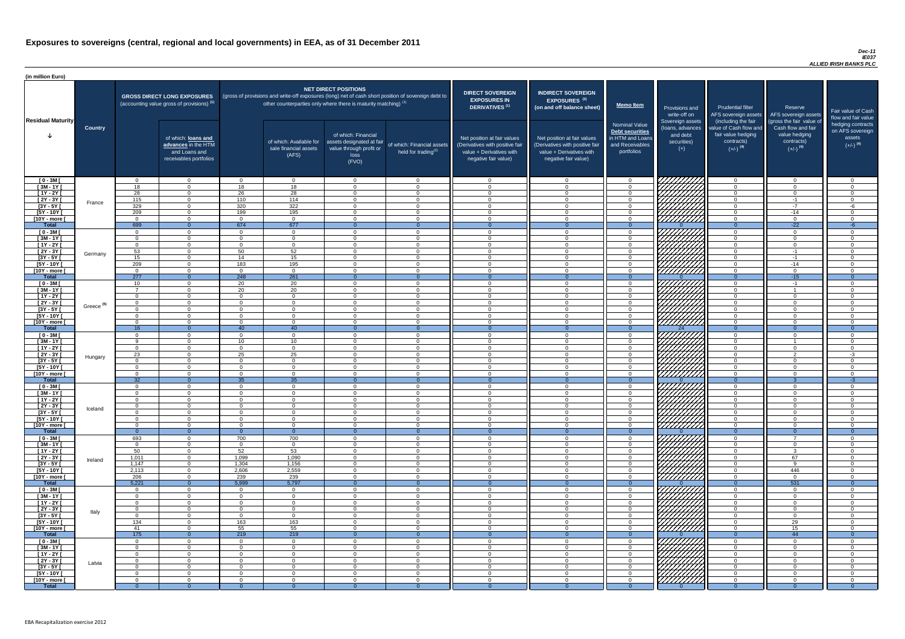#### *Dec-11 IE037 ALLIED IRISH BANKS PLC*

| (in million Euro)             |                       |                      |                                                                                             |                      |                                                                                                                                                                          |                                                                                              |                                                      |                                                                                                                    |                                                                                                                    |                                                                                              |                                                                          |                                                                                      |                                                                             |                                                                           |
|-------------------------------|-----------------------|----------------------|---------------------------------------------------------------------------------------------|----------------------|--------------------------------------------------------------------------------------------------------------------------------------------------------------------------|----------------------------------------------------------------------------------------------|------------------------------------------------------|--------------------------------------------------------------------------------------------------------------------|--------------------------------------------------------------------------------------------------------------------|----------------------------------------------------------------------------------------------|--------------------------------------------------------------------------|--------------------------------------------------------------------------------------|-----------------------------------------------------------------------------|---------------------------------------------------------------------------|
| <b>Residual Maturity</b>      |                       |                      | <b>GROSS DIRECT LONG EXPOSURES</b><br>(accounting value gross of provisions) <sup>(1)</sup> |                      | (gross of provisions and write-off exposures (long) net of cash short position of sovereign debt to<br>other counterparties only where there is maturity matching) $(1)$ | <b>NET DIRECT POSITIONS</b>                                                                  |                                                      | <b>DIRECT SOVEREIGN</b><br><b>EXPOSURES IN</b><br>DERIVATIVES <sup>(1)</sup>                                       | <b>INDIRECT SOVEREIGN</b><br><b>EXPOSURES<sup>(3)</sup></b><br>(on and off balance sheet)                          | <b>Memo Item</b>                                                                             | Provisions and<br>write-off on                                           | <b>Prudential filter</b><br>AFS sovereign assets<br>(including the fair              | Reserve<br>AFS sovereign assets<br>(gross the fair value of                 | Fair value of Cash<br>flow and fair value                                 |
|                               | <b>Country</b>        |                      | of which: loans and<br>advances in the HTM<br>and Loans and<br>receivables portfolios       |                      | of which: Available for<br>sale financial assets<br>(AFS)                                                                                                                | of which: Financial<br>assets designated at fair<br>value through profit or<br>loss<br>(FVO) | of which: Financial assets<br>held for trading $(2)$ | Net position at fair values<br>(Derivatives with positive fair<br>value + Derivatives with<br>negative fair value) | Net position at fair values<br>(Derivatives with positive fair<br>value + Derivatives with<br>negative fair value) | <b>Nominal Value</b><br>Debt securities<br>in HTM and Loans<br>and Receivables<br>portfolios | Sovereign assets<br>(loans, advances<br>and debt<br>securities)<br>$(+)$ | value of Cash flow and<br>fair value hedging<br>contracts)<br>$(+/-)$ <sup>(4)</sup> | Cash flow and fair<br>value hedging<br>contracts)<br>$(+/-)$ <sup>(4)</sup> | hedging contracts<br>on AFS sovereign<br>assets<br>$(+/-)$ <sup>(4)</sup> |
| $[0 - 3M]$                    |                       | $\Omega$             | $\overline{0}$                                                                              | $\Omega$             | $\overline{0}$                                                                                                                                                           | $\Omega$                                                                                     | $\overline{0}$                                       | $\overline{0}$                                                                                                     | $\cap$                                                                                                             | $\overline{0}$                                                                               | <i>ЧНННА</i>                                                             | $\overline{0}$                                                                       | $\cap$                                                                      | $\overline{0}$                                                            |
| $[3M - 1Y]$<br>$[1Y - 2Y]$    |                       | 18<br>28             | $\Omega$<br>$\overline{0}$                                                                  | 18<br>26             | 18<br>28                                                                                                                                                                 | $\Omega$<br>$\Omega$                                                                         | $\Omega$<br>$\Omega$                                 | റ<br>$\bigcap$                                                                                                     | $\cap$<br>$\Omega$                                                                                                 | $\Omega$<br>$\overline{0}$                                                                   | HATAR<br>HATAR                                                           | $\overline{0}$<br>$\overline{0}$                                                     | $\Omega$<br>$\Omega$                                                        | $\Omega$<br>$\overline{0}$                                                |
| $[2Y - 3Y]$                   |                       | 115                  | $\overline{0}$                                                                              | 110                  | 114                                                                                                                                                                      | $\Omega$                                                                                     | $\Omega$                                             | $\overline{0}$                                                                                                     | $\cap$                                                                                                             | $\overline{0}$                                                                               |                                                                          | $\overline{0}$                                                                       | $-1$                                                                        | $\overline{0}$                                                            |
| $[3Y - 5Y]$                   | France                | 329                  | $\Omega$                                                                                    | 320                  | 322                                                                                                                                                                      | $\cap$                                                                                       | $\Omega$                                             | $\Omega$                                                                                                           | $\cap$                                                                                                             | $\overline{0}$                                                                               |                                                                          | $\overline{0}$                                                                       | $-7$                                                                        | -6                                                                        |
| $[5Y - 10Y]$                  |                       | 209                  | $\overline{0}$                                                                              | 199                  | 195                                                                                                                                                                      | $\Omega$                                                                                     | $\Omega$                                             | $\Omega$                                                                                                           | $\Omega$                                                                                                           | $\overline{0}$                                                                               |                                                                          | $\overline{0}$                                                                       | $-14$                                                                       | $\overline{0}$                                                            |
| [10Y - more [<br><b>Total</b> |                       | $\Omega$<br>699      | $\Omega$<br>$\Omega$                                                                        | $\Omega$<br>674      | $\overline{0}$<br>677                                                                                                                                                    | $\Omega$                                                                                     | $\overline{0}$                                       | - 0                                                                                                                | $\Omega$                                                                                                           | $\overline{0}$                                                                               |                                                                          | $\overline{0}$<br>$\Omega$                                                           | $\Omega$<br>$-22$                                                           | $\overline{0}$<br>$-6$                                                    |
| $[0 - 3M]$                    |                       | $\Omega$             | $\overline{0}$                                                                              | $\cap$               | $\Omega$                                                                                                                                                                 | $\Omega$                                                                                     | $\Omega$<br>$\Omega$                                 | - റ<br>$\cap$                                                                                                      | $\Omega$                                                                                                           | $\Omega$<br>$\overline{0}$                                                                   |                                                                          | $\overline{0}$                                                                       | $\Omega$                                                                    | $\overline{0}$                                                            |
| $[3M - 1Y]$                   |                       | $\Omega$             | $\overline{0}$                                                                              | $\Omega$             | $\overline{0}$                                                                                                                                                           | $\Omega$                                                                                     | $\Omega$                                             | - 0                                                                                                                | $\cap$                                                                                                             | $\overline{0}$                                                                               |                                                                          | $\overline{0}$                                                                       | $\Omega$                                                                    | $\overline{0}$                                                            |
| $[1Y - 2Y]$                   |                       | $\Omega$             | $\Omega$                                                                                    | $\cap$               | $\Omega$                                                                                                                                                                 | $\Omega$                                                                                     | $\Omega$                                             | $\Omega$                                                                                                           |                                                                                                                    | $\overline{0}$                                                                               |                                                                          | $\overline{0}$                                                                       | - വ                                                                         | $\overline{0}$                                                            |
| [2Y - 3Y [                    | Germany               | 53                   | $\Omega$                                                                                    | 50                   | 52                                                                                                                                                                       | $\cap$                                                                                       | $\Omega$                                             | $\cap$                                                                                                             |                                                                                                                    | $\Omega$                                                                                     |                                                                          | $\overline{0}$                                                                       | $-1$                                                                        | $\Omega$                                                                  |
| $[3Y - 5Y]$<br>$[5Y - 10Y]$   |                       | 15<br>209            | $\Omega$<br>$\Omega$                                                                        | 14<br>183            | 15<br>195                                                                                                                                                                | $\Omega$<br>$\Omega$                                                                         | $\Omega$<br>$\Omega$                                 | $\Omega$<br>- വ                                                                                                    | റ                                                                                                                  | $\overline{0}$<br>$\Omega$                                                                   |                                                                          | $\overline{0}$<br>$\overline{0}$                                                     | $-1$<br>$-14$                                                               | $\Omega$<br>$\Omega$                                                      |
| [10Y - more [                 |                       | $\Omega$             | $\Omega$                                                                                    | $\cap$               | $\Omega$                                                                                                                                                                 | $\cap$                                                                                       | $\Omega$                                             | $\sqrt{ }$                                                                                                         |                                                                                                                    | $\Omega$                                                                                     | 77777777                                                                 | $\overline{0}$                                                                       | $\cap$                                                                      | $\Omega$                                                                  |
| <b>Total</b>                  |                       | 277                  | $\overline{0}$                                                                              | 248                  | 261                                                                                                                                                                      |                                                                                              | - 0                                                  | - 0                                                                                                                | $\Omega$                                                                                                           | $\Omega$                                                                                     |                                                                          | $\overline{0}$                                                                       | $-15$                                                                       | $\overline{0}$                                                            |
| $[0 - 3M]$                    |                       | 10 <sup>1</sup>      | $\Omega$                                                                                    | 20                   | 20                                                                                                                                                                       | $\cap$                                                                                       | $\Omega$                                             | $\cap$                                                                                                             | $\cap$                                                                                                             | $\Omega$                                                                                     |                                                                          | $\overline{0}$                                                                       | $-1$                                                                        | $\overline{0}$                                                            |
| $[3M - 1Y]$                   |                       | $\overline{ }$       | $\Omega$<br>$\Omega$                                                                        | 20<br>$\Omega$       | 20                                                                                                                                                                       | $\Omega$<br>$\Omega$                                                                         | $\Omega$<br>$\Omega$                                 | $\cap$<br>റ                                                                                                        | $\Omega$<br>$\Omega$                                                                                               | $\Omega$                                                                                     |                                                                          | $\Omega$                                                                             | $\Omega$                                                                    | $\Omega$                                                                  |
| $[1Y - 2Y]$<br>[2Y - 3Y [     |                       | $\Omega$<br>$\Omega$ | $\Omega$                                                                                    |                      | $\Omega$<br>$\Omega$                                                                                                                                                     | $\Omega$                                                                                     | $\Omega$                                             |                                                                                                                    |                                                                                                                    | $\overline{0}$<br>$\Omega$                                                                   | WAANA S                                                                  | $\overline{0}$<br>$\Omega$                                                           |                                                                             | $\overline{0}$<br>$\Omega$                                                |
| $[3Y - 5Y]$                   | Greece <sup>(5)</sup> |                      |                                                                                             |                      |                                                                                                                                                                          |                                                                                              |                                                      |                                                                                                                    |                                                                                                                    |                                                                                              |                                                                          |                                                                                      |                                                                             |                                                                           |
| $[5Y - 10Y]$                  |                       | $\Omega$             | $\Omega$                                                                                    |                      | $\Omega$                                                                                                                                                                 | $\Omega$                                                                                     | $\Omega$                                             |                                                                                                                    |                                                                                                                    | $\Omega$                                                                                     | <i>HHHH</i>                                                              | $\overline{0}$                                                                       |                                                                             | $\Omega$                                                                  |
| $[10Y - more]$                |                       | റ                    | $\cap$                                                                                      |                      | $\Omega$                                                                                                                                                                 | $\Omega$                                                                                     | $\Omega$                                             | - 0                                                                                                                |                                                                                                                    | $\Omega$                                                                                     | 777777777                                                                | $\overline{0}$                                                                       |                                                                             | - 0                                                                       |
| <b>Total</b><br>$[0 - 3M]$    |                       | 16<br>- 0            | $\Omega$<br>$\Omega$                                                                        | 40<br>$\Omega$       | 40<br>- 0                                                                                                                                                                | $\Omega$                                                                                     | $\Omega$<br>$\Omega$                                 | $\Omega$<br>- 0                                                                                                    | $\cap$                                                                                                             | $\Omega$<br>$\Omega$                                                                         | 24                                                                       | $\Omega$<br>$\overline{0}$                                                           | $\Omega$                                                                    | $\Omega$<br><u>ິດ</u>                                                     |
| $[3M - 1Y]$                   |                       | റ                    | $\Omega$                                                                                    | 10 <sup>1</sup>      | 10                                                                                                                                                                       | $\Omega$                                                                                     | $\Omega$                                             | - വ                                                                                                                | $\cap$                                                                                                             | $\Omega$                                                                                     |                                                                          | $\overline{0}$                                                                       |                                                                             | $\Omega$                                                                  |
| $[1Y - 2Y]$                   |                       | $\Omega$             | $\Omega$                                                                                    | $\Omega$             | $\Omega$                                                                                                                                                                 | $\Omega$                                                                                     | $\Omega$                                             | $\cap$                                                                                                             | $\Omega$                                                                                                           | $\Omega$                                                                                     |                                                                          | $\overline{0}$                                                                       | $\Omega$                                                                    | $\Omega$                                                                  |
| [2Y - 3Y [                    | Hungary               | 23                   | $\Omega$                                                                                    | 25                   | 25                                                                                                                                                                       | $\Omega$                                                                                     | $\Omega$                                             | $\Omega$                                                                                                           | $\Omega$                                                                                                           | $\overline{0}$                                                                               |                                                                          | $\overline{0}$                                                                       | $\mathcal{D}$                                                               | $-3$                                                                      |
| $[3Y - 5Y]$<br>$[5Y - 10Y]$   |                       | $\Omega$<br>$\Omega$ | $\overline{0}$<br>$\overline{0}$                                                            | $\Omega$<br>$\Omega$ | $\Omega$<br>$\overline{0}$                                                                                                                                               | $\Omega$<br>$\Omega$                                                                         | $\Omega$<br>$\Omega$                                 | $\Omega$<br>$\Omega$                                                                                               | $\Omega$<br>$\Omega$                                                                                               | $\overline{0}$<br>$\overline{0}$                                                             |                                                                          | $\overline{0}$<br>$\overline{0}$                                                     | $\Omega$<br>$\Omega$                                                        | $\Omega$<br>$\Omega$                                                      |
| [10Y - more [                 |                       | $\Omega$             | $\Omega$                                                                                    | $\Omega$             | $\overline{0}$                                                                                                                                                           | $\Omega$                                                                                     | $\Omega$                                             | - 0                                                                                                                | $\Omega$                                                                                                           | $\Omega$                                                                                     | UMMA.                                                                    | $\overline{0}$                                                                       | $\Omega$                                                                    | $\Omega$                                                                  |
| <b>Total</b>                  |                       | $\overline{32}$      | $\Omega$                                                                                    | 35                   | 35                                                                                                                                                                       |                                                                                              | $\theta$                                             | $\Omega$                                                                                                           | $\Omega$                                                                                                           | $\Omega$                                                                                     |                                                                          | $\overline{0}$                                                                       | ാ                                                                           | $-3$                                                                      |
| $[0 - 3M]$                    |                       | $\overline{0}$       | $\overline{0}$                                                                              | $\Omega$             | $\overline{0}$                                                                                                                                                           | $\Omega$                                                                                     | $\overline{0}$                                       | - 0                                                                                                                | ി                                                                                                                  | $\overline{0}$                                                                               |                                                                          | $\overline{0}$                                                                       | $\Omega$                                                                    | $\Omega$                                                                  |
| $[3M - 1Y]$<br>$[1Y - 2Y]$    |                       | $\Omega$<br>$\Omega$ | $\overline{0}$<br>$\overline{0}$                                                            | $\Omega$<br>$\Omega$ | $\Omega$<br>$\Omega$                                                                                                                                                     | $\Omega$<br>$\Omega$                                                                         | $\Omega$<br>$\Omega$                                 | - 0<br>- 0                                                                                                         | $\cap$                                                                                                             | $\Omega$<br>$\Omega$                                                                         |                                                                          | $\overline{0}$<br>$\overline{0}$                                                     | $\cap$                                                                      | $\Omega$<br>$\Omega$                                                      |
| [2Y - 3Y [                    |                       | $\Omega$             | $\overline{0}$                                                                              | $\Omega$             | $\Omega$                                                                                                                                                                 | $\Omega$                                                                                     | $\Omega$                                             | - 0                                                                                                                | ി                                                                                                                  | $\Omega$                                                                                     | VIIIIIIA                                                                 | $\overline{0}$                                                                       | $\cap$                                                                      | $\Omega$                                                                  |
| $[3Y - 5Y]$                   | Iceland               | $\Omega$             | $\Omega$                                                                                    | $\Omega$             | - 0                                                                                                                                                                      | $\Omega$                                                                                     | $\Omega$                                             | - റ                                                                                                                | ി                                                                                                                  | $\Omega$                                                                                     |                                                                          | $\overline{0}$                                                                       | $\cap$                                                                      | $\Omega$                                                                  |
| $[5Y - 10Y]$                  |                       | $\Omega$             | $\Omega$                                                                                    | $\Omega$             | - റ                                                                                                                                                                      | $\Omega$                                                                                     | $\Omega$                                             | - വ                                                                                                                | $\cap$                                                                                                             | $\Omega$                                                                                     | HHHHA                                                                    | $\overline{0}$                                                                       | $\cap$                                                                      | $\Omega$                                                                  |
| [10Y - more [<br><b>Total</b> |                       | $\Omega$<br>- റ      | $\Omega$<br>$\overline{0}$                                                                  | $\Omega$<br>$\Omega$ | $\Omega$<br>- 0                                                                                                                                                          | $\Omega$                                                                                     | $\Omega$<br>$\Omega$                                 | റ<br>- 0                                                                                                           | $\cap$                                                                                                             | $\Omega$<br>$\Omega$                                                                         |                                                                          | $\overline{0}$<br>$\overline{0}$                                                     | $\cap$<br>$\overline{0}$                                                    | $\Omega$<br>- 0                                                           |
| $[0 - 3M]$                    |                       | 693                  | $\Omega$                                                                                    | 700                  | 700                                                                                                                                                                      | $\cap$                                                                                       | $\cap$                                               | $\sqrt{ }$                                                                                                         | $\Omega$                                                                                                           | $\Omega$                                                                                     |                                                                          | $\overline{0}$                                                                       | $\overline{ }$                                                              | $\Omega$                                                                  |
| $[3M - 1Y]$                   |                       | $\Omega$             | $\overline{0}$                                                                              | $\Omega$             | $\overline{0}$                                                                                                                                                           | $\Omega$                                                                                     | $\Omega$                                             | $\Omega$                                                                                                           | $\cap$                                                                                                             | $\Omega$                                                                                     | HAAN<br>HAAN                                                             | $\overline{0}$                                                                       | $\cap$                                                                      | $\Omega$                                                                  |
| $[1Y - 2Y]$                   |                       | 50                   | $\overline{0}$                                                                              | 52                   | 53                                                                                                                                                                       | $\Omega$                                                                                     | $\Omega$                                             | $\Omega$                                                                                                           | $\Omega$                                                                                                           | $\Omega$                                                                                     |                                                                          | $\overline{0}$                                                                       | $\mathcal{R}$                                                               | $\Omega$                                                                  |
| $[2Y - 3Y]$<br>$[3Y - 5Y]$    | Ireland               | 1,011<br>1,147       | $\Omega$<br>$\Omega$                                                                        | 1,099<br>1,304       | 1,090<br>1,156                                                                                                                                                           | $\Omega$<br>$\Omega$                                                                         | $\Omega$<br>$\Omega$                                 | $\cap$<br>$\cap$                                                                                                   |                                                                                                                    | $\Omega$<br>$\Omega$                                                                         |                                                                          | $\Omega$<br>$\Omega$                                                                 | 67<br>$\Omega$                                                              | $\Omega$<br>$\Omega$                                                      |
| $[5Y - 10Y]$                  |                       | 2,113                | $\Omega$                                                                                    | 2,606                | 2,559                                                                                                                                                                    | $\Omega$                                                                                     | $\Omega$                                             |                                                                                                                    |                                                                                                                    | $\Omega$                                                                                     |                                                                          | $\Omega$                                                                             | 446                                                                         | - 0                                                                       |
| [10Y - more [                 |                       | 206                  | $\Omega$                                                                                    | 239                  | 239                                                                                                                                                                      | $\Omega$                                                                                     | $\Omega$                                             | $\cap$                                                                                                             |                                                                                                                    | $\Omega$                                                                                     |                                                                          | $\overline{0}$                                                                       | $\cap$                                                                      | $\Omega$                                                                  |
| <b>Total</b>                  |                       | 5,221                | $\Omega$                                                                                    | 5,999                | 5,797                                                                                                                                                                    | $\Omega$                                                                                     | $\Omega$                                             | $\Omega$                                                                                                           |                                                                                                                    | $\Omega$                                                                                     |                                                                          | $\overline{0}$                                                                       | 531                                                                         | $\Omega$                                                                  |
| $[0 - 3M]$<br>$[3M - 1Y]$     |                       | $\Omega$<br>$\Omega$ | $\Omega$<br>$\Omega$                                                                        | $\Omega$<br>$\Omega$ | $\Omega$<br>$\Omega$                                                                                                                                                     | $\Omega$<br>$\Omega$                                                                         | $\Omega$<br>$\Omega$                                 | - 0<br>$\Omega$                                                                                                    | $\cap$                                                                                                             | $\Omega$<br>$\Omega$                                                                         |                                                                          | $\overline{0}$                                                                       | $\cap$                                                                      | $\Omega$<br>$\Omega$                                                      |
| $[1Y - 2Y]$                   |                       | $\Omega$             | $\Omega$                                                                                    | $\Omega$             | $\Omega$                                                                                                                                                                 | $\Omega$                                                                                     | $\Omega$                                             | $\Omega$                                                                                                           | $\cap$                                                                                                             | $\overline{0}$                                                                               |                                                                          | $\overline{0}$<br>$\overline{0}$                                                     | $\Omega$                                                                    | $\Omega$                                                                  |
| $[2Y - 3Y]$                   |                       | $\Omega$             | $\Omega$                                                                                    | $\Omega$             | $\Omega$                                                                                                                                                                 | $\Omega$                                                                                     | $\Omega$                                             | $\Omega$                                                                                                           | $\Omega$                                                                                                           | $\overline{0}$                                                                               | 777777A                                                                  | $\overline{0}$                                                                       | $\cap$                                                                      | $\Omega$                                                                  |
| $[3Y - 5Y]$                   | Italy                 | $\Omega$             | $\Omega$                                                                                    | $\Omega$             | $\Omega$                                                                                                                                                                 | $\Omega$                                                                                     | $\Omega$                                             | $\Omega$                                                                                                           | $\Omega$                                                                                                           | $\overline{0}$                                                                               |                                                                          | $\overline{0}$                                                                       | $\Omega$                                                                    | $\Omega$                                                                  |
| $[5Y - 10Y]$                  |                       | 134                  | $\overline{0}$                                                                              | 163                  | 163                                                                                                                                                                      | $\Omega$                                                                                     | $\Omega$                                             | $\Omega$                                                                                                           | $\Omega$                                                                                                           | $\overline{0}$                                                                               | <u> 77777777</u>                                                         | $\overline{0}$                                                                       | 29                                                                          | $\Omega$                                                                  |
| [10Y - more [<br><b>Total</b> |                       | -41<br>175           | $\Omega$<br>$\overline{0}$                                                                  | 55<br>219            | 55<br>219                                                                                                                                                                | $\Omega$                                                                                     | $\Omega$<br>$\overline{0}$                           | - 0<br>$\Omega$                                                                                                    | $\Omega$<br>$\Omega$                                                                                               | $\overline{0}$<br>$\Omega$                                                                   | ///////////                                                              | $\overline{0}$<br>$\Omega$                                                           | 15<br>44                                                                    | $\Omega$<br>$\Omega$                                                      |
| $[0 - 3M]$                    |                       | $\Omega$             | $\Omega$                                                                                    | $\Omega$             | $\Omega$                                                                                                                                                                 | $\Omega$                                                                                     | $\Omega$                                             | $\Omega$                                                                                                           | $\Omega$                                                                                                           | $\Omega$                                                                                     | I <i>VIIIIIII</i>                                                        | $\Omega$                                                                             | $\cap$                                                                      | $\Omega$                                                                  |
| $[3M - 1Y]$                   |                       | $\Omega$             | $\overline{0}$                                                                              | $\Omega$             | $\overline{0}$                                                                                                                                                           | $\overline{0}$                                                                               | $\overline{0}$                                       | - 0                                                                                                                | $\Omega$                                                                                                           | $\overline{0}$                                                                               | CHANGE STATION                                                           | $\overline{0}$                                                                       | - 0                                                                         | $\Omega$                                                                  |
| $[1Y - 2Y]$                   |                       | $\overline{0}$       | $\overline{0}$                                                                              | $\Omega$             | $\Omega$                                                                                                                                                                 | $\Omega$                                                                                     | $\overline{0}$                                       | $\Omega$                                                                                                           | $\Omega$                                                                                                           | $\overline{0}$                                                                               |                                                                          | $\overline{0}$                                                                       | $\Omega$                                                                    | $\Omega$                                                                  |
| [2Y - 3Y [                    | Latvia                | $\overline{0}$       | $\overline{0}$                                                                              | $\Omega$             | - 0                                                                                                                                                                      | $\overline{0}$                                                                               | $\overline{0}$                                       | - 0                                                                                                                | $\Omega$                                                                                                           | $\overline{0}$                                                                               |                                                                          | $\overline{0}$                                                                       | $\Omega$                                                                    | $\Omega$                                                                  |
| [3Y - 5Y [<br>$[5Y - 10Y]$    |                       | $\Omega$<br>$\Omega$ | $\overline{0}$<br>$\overline{0}$                                                            | $\Omega$<br>$\Omega$ | $\Omega$<br>- 0                                                                                                                                                          | $\overline{0}$<br>$\Omega$                                                                   | $\overline{0}$<br>$\overline{0}$                     | - 0<br>- റ                                                                                                         | - റ<br>$\cap$                                                                                                      | $\Omega$<br>$\Omega$                                                                         |                                                                          | $\Omega$<br>$\Omega$                                                                 | - റ<br>$\cap$                                                               | $\Omega$<br>$\Omega$                                                      |
| [10Y - more [                 |                       | $\Omega$             | $\overline{0}$                                                                              | $\Omega$             | - 0                                                                                                                                                                      | $\Omega$                                                                                     | $\overline{0}$                                       | - 0                                                                                                                | $\cap$                                                                                                             | $\Omega$                                                                                     |                                                                          | $\overline{0}$                                                                       | $\cap$                                                                      | $\Omega$                                                                  |
| <b>Total</b>                  |                       |                      | $\Omega$                                                                                    |                      |                                                                                                                                                                          |                                                                                              |                                                      | - 0                                                                                                                |                                                                                                                    |                                                                                              |                                                                          | - 0                                                                                  |                                                                             | $\Omega$                                                                  |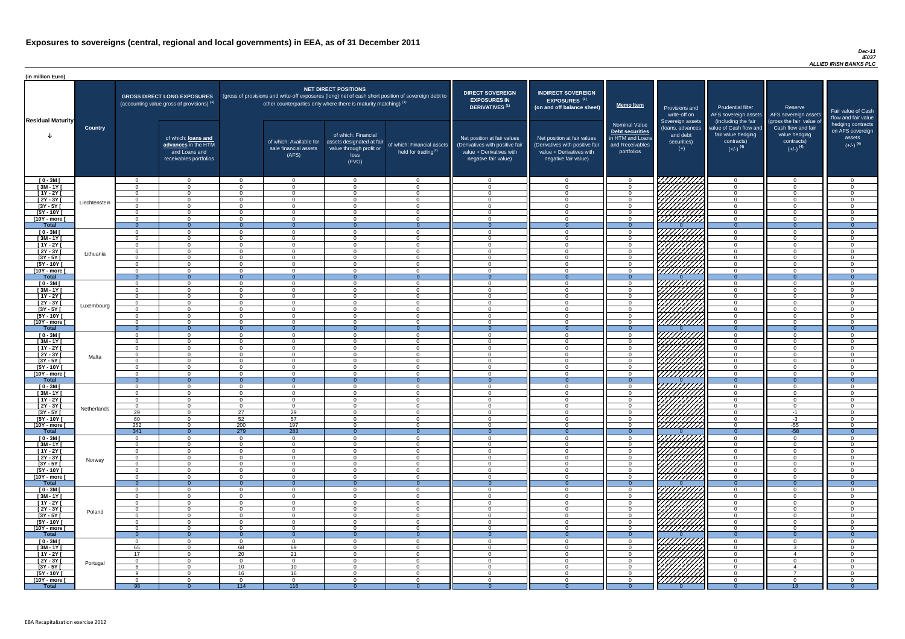#### *Dec-11 IE037 ALLIED IRISH BANKS PLC*

| <b>DIRECT SOVEREIGN</b><br><b>EXPOSURES IN</b><br><b>DERIVATIVES<sup>(1)</sup></b><br>Net position at fair values<br>(Derivatives with positive fair<br>value + Derivatives with<br>negative fair value) | <b>INDIRECT SOVEREIGN</b><br>EXPOSURES <sup>(3)</sup><br>(on and off balance sheet)<br>Net position at fair values<br>(Derivatives with positive fair<br>value + Derivatives with<br>negative fair value) | <b>Memo Item</b><br><b>Nominal Value</b><br>Debt securities<br>in HTM and Loans<br>and Receivables<br>portfolios | Provisions and<br>write-off on<br>Sovereign assets<br>(loans, advances<br>and debt<br>securities)<br>$(+)$ | <b>Prudential filter</b><br>AFS sovereign assets<br>(including the fair<br>value of Cash flow and<br>fair value hedging<br>contracts)<br>$(+/-)$ <sup>(4)</sup> | Reserve<br>AFS sovereign assets<br>(gross the fair value of<br>Cash flow and fair<br>value hedging<br>contracts)<br>$(+/-)$ <sup>(4)</sup> | Fair value of Cash<br>flow and fair value<br>hedging contracts<br>on AFS sovereign<br>assets<br>$(+/-)$ <sup>(4)</sup> |
|----------------------------------------------------------------------------------------------------------------------------------------------------------------------------------------------------------|-----------------------------------------------------------------------------------------------------------------------------------------------------------------------------------------------------------|------------------------------------------------------------------------------------------------------------------|------------------------------------------------------------------------------------------------------------|-----------------------------------------------------------------------------------------------------------------------------------------------------------------|--------------------------------------------------------------------------------------------------------------------------------------------|------------------------------------------------------------------------------------------------------------------------|
| $\mathbf 0$                                                                                                                                                                                              | $\mathbf 0$                                                                                                                                                                                               | $\mathbf 0$                                                                                                      |                                                                                                            | $\overline{0}$                                                                                                                                                  | $\overline{0}$                                                                                                                             | $\overline{0}$                                                                                                         |
| $\mathbf 0$                                                                                                                                                                                              | $\mathbf 0$                                                                                                                                                                                               | $\mathbf 0$                                                                                                      |                                                                                                            | $\mathbf 0$                                                                                                                                                     | $\mathbf 0$                                                                                                                                | $\mathbf 0$                                                                                                            |
| $\mathbf 0$                                                                                                                                                                                              | $\mathbf 0$                                                                                                                                                                                               | $\mathbf 0$                                                                                                      |                                                                                                            | $\mathbf 0$                                                                                                                                                     | $\mathbf 0$                                                                                                                                | $\mathbf 0$                                                                                                            |
| $\mathbf 0$                                                                                                                                                                                              | $\mathbf 0$                                                                                                                                                                                               | $\mathbf 0$                                                                                                      |                                                                                                            | $\mathbf 0$                                                                                                                                                     | $\mathbf 0$                                                                                                                                | $\mathsf 0$                                                                                                            |
| $\pmb{0}$<br>$\mathbf 0$                                                                                                                                                                                 | $\mathbf 0$<br>$\mathbf 0$                                                                                                                                                                                | $\pmb{0}$<br>$\mathbf 0$                                                                                         |                                                                                                            | $\mathbf 0$<br>$\mathbf 0$                                                                                                                                      | $\mathbf 0$<br>$\mathbf 0$                                                                                                                 | $\pmb{0}$<br>$\mathbf 0$                                                                                               |
| $\mathbf 0$                                                                                                                                                                                              | $\mathbf 0$                                                                                                                                                                                               | $\mathbf 0$                                                                                                      |                                                                                                            | $\mathbf 0$                                                                                                                                                     | $\mathbf 0$                                                                                                                                | $\mathbf 0$                                                                                                            |
| $\overline{0}$                                                                                                                                                                                           | $\overline{0}$                                                                                                                                                                                            | $\overline{0}$                                                                                                   | $\Omega$                                                                                                   | $\overline{0}$                                                                                                                                                  | $\overline{0}$                                                                                                                             | $\overline{0}$                                                                                                         |
| $\mathbf 0$                                                                                                                                                                                              | $\mathbf 0$                                                                                                                                                                                               | $\mathbf 0$                                                                                                      |                                                                                                            | $\mathbf 0$                                                                                                                                                     | $\overline{0}$                                                                                                                             | $\mathbf 0$                                                                                                            |
| $\mathbf 0$                                                                                                                                                                                              | $\mathbf 0$                                                                                                                                                                                               | $\mathsf 0$                                                                                                      |                                                                                                            | $\mathbf 0$                                                                                                                                                     | $\mathbf 0$                                                                                                                                | $\mathsf 0$                                                                                                            |
| $\mathbf 0$<br>$\mathbf 0$                                                                                                                                                                               | $\mathbf 0$<br>$\mathbf 0$                                                                                                                                                                                | $\pmb{0}$<br>$\mathbf 0$                                                                                         |                                                                                                            | $\pmb{0}$<br>$\mathbf 0$                                                                                                                                        | $\mathbf 0$<br>$\mathbf 0$                                                                                                                 | $\pmb{0}$<br>$\mathbf 0$                                                                                               |
| $\pmb{0}$                                                                                                                                                                                                | $\mathbf 0$                                                                                                                                                                                               | $\mathbf 0$                                                                                                      |                                                                                                            | $\mathbf 0$                                                                                                                                                     | $\mathbf 0$                                                                                                                                | $\pmb{0}$                                                                                                              |
| $\mathbf 0$                                                                                                                                                                                              | $\mathbf 0$                                                                                                                                                                                               | $\mathbf 0$                                                                                                      |                                                                                                            | $\mathbf 0$                                                                                                                                                     | $\mathbf 0$                                                                                                                                | $\mathsf 0$                                                                                                            |
| $\mathbf 0$                                                                                                                                                                                              | $\mathbf 0$                                                                                                                                                                                               | $\mathbf 0$                                                                                                      |                                                                                                            | $\mathbf 0$                                                                                                                                                     | $\mathbf 0$                                                                                                                                | $\pmb{0}$                                                                                                              |
| $\overline{0}$                                                                                                                                                                                           | $\overline{0}$                                                                                                                                                                                            | $\overline{0}$                                                                                                   | ∩                                                                                                          | $\overline{0}$                                                                                                                                                  | $\overline{0}$                                                                                                                             | $\overline{0}$                                                                                                         |
| $\mathbf 0$<br>$\mathbf 0$                                                                                                                                                                               | $\mathbf 0$<br>$\mathbf 0$                                                                                                                                                                                | $\mathsf 0$<br>$\mathbf 0$                                                                                       |                                                                                                            | $\mathbf 0$<br>$\mathbf 0$                                                                                                                                      | $\mathbf 0$<br>$\mathbf 0$                                                                                                                 | 0<br>$\mathbf 0$                                                                                                       |
| $\mathbf 0$                                                                                                                                                                                              | $\mathbf 0$                                                                                                                                                                                               | $\mathbf 0$                                                                                                      |                                                                                                            | $\mathbf 0$                                                                                                                                                     | $\mathbf 0$                                                                                                                                | $\mathbf 0$                                                                                                            |
| $\mathbf 0$                                                                                                                                                                                              | 0                                                                                                                                                                                                         | 0                                                                                                                |                                                                                                            | $\mathbf 0$                                                                                                                                                     | $\mathbf 0$                                                                                                                                | 0                                                                                                                      |
| $\mathbf 0$                                                                                                                                                                                              | $\mathbf 0$                                                                                                                                                                                               | $\overline{0}$                                                                                                   |                                                                                                            | $\mathbf 0$                                                                                                                                                     | $\overline{0}$                                                                                                                             | $\mathbf 0$                                                                                                            |
| 0<br>$\mathbf 0$                                                                                                                                                                                         | 0<br>0                                                                                                                                                                                                    | 0<br>$\pmb{0}$                                                                                                   |                                                                                                            | 0<br>$\mathbf 0$                                                                                                                                                | 0<br>$\overline{0}$                                                                                                                        | 0<br>$\mathbf 0$                                                                                                       |
| $\overline{0}$                                                                                                                                                                                           | $\overline{0}$                                                                                                                                                                                            | $\mathbf{0}$                                                                                                     | $\Omega$                                                                                                   | $\overline{0}$                                                                                                                                                  | $\overline{0}$                                                                                                                             | $\overline{0}$                                                                                                         |
| $\boldsymbol{0}$                                                                                                                                                                                         | $\mathbf 0$                                                                                                                                                                                               | $\mathsf 0$                                                                                                      |                                                                                                            | $\mathbf 0$                                                                                                                                                     | $\mathbf 0$                                                                                                                                | $\pmb{0}$                                                                                                              |
| $\pmb{0}$                                                                                                                                                                                                | $\mathbf 0$                                                                                                                                                                                               | $\pmb{0}$                                                                                                        |                                                                                                            | $\mathbf 0$                                                                                                                                                     | $\mathbf 0$                                                                                                                                | $\pmb{0}$                                                                                                              |
| $\boldsymbol{0}$                                                                                                                                                                                         | $\mathbf 0$                                                                                                                                                                                               | $\mathsf 0$                                                                                                      |                                                                                                            | $\mathbf 0$                                                                                                                                                     | $\mathbf 0$                                                                                                                                | $\pmb{0}$                                                                                                              |
| $\mathbf 0$<br>$\boldsymbol{0}$                                                                                                                                                                          | $\mathbf 0$<br>$\mathbf 0$                                                                                                                                                                                | $\mathbf 0$<br>$\pmb{0}$                                                                                         |                                                                                                            | $\mathbf 0$<br>$\mathbf 0$                                                                                                                                      | $\mathbf 0$<br>$\mathbf 0$                                                                                                                 | $\pmb{0}$<br>$\pmb{0}$                                                                                                 |
| $\mathbf 0$                                                                                                                                                                                              | $\mathbf 0$                                                                                                                                                                                               | $\pmb{0}$                                                                                                        |                                                                                                            | $\mathbf 0$                                                                                                                                                     | $\mathbf 0$                                                                                                                                | $\pmb{0}$                                                                                                              |
| $\boldsymbol{0}$                                                                                                                                                                                         | $\mathbf 0$                                                                                                                                                                                               | $\mathsf 0$                                                                                                      |                                                                                                            | $\mathbf 0$                                                                                                                                                     | $\mathsf 0$                                                                                                                                | $\pmb{0}$                                                                                                              |
| $\overline{0}$                                                                                                                                                                                           | $\overline{0}$                                                                                                                                                                                            | $\bf 0$                                                                                                          | $\overline{0}$                                                                                             | $\overline{0}$                                                                                                                                                  | $\overline{0}$                                                                                                                             | $\overline{0}$                                                                                                         |
| 0<br>0                                                                                                                                                                                                   | $\mathbf 0$<br>0                                                                                                                                                                                          | $\mathbf 0$<br>$\mathsf 0$                                                                                       |                                                                                                            | $\mathbf 0$<br>0                                                                                                                                                | $\mathbf 0$<br>0                                                                                                                           | $\mathbf 0$<br>0                                                                                                       |
| $\mathbf 0$                                                                                                                                                                                              | $\mathbf 0$                                                                                                                                                                                               | $\pmb{0}$                                                                                                        |                                                                                                            | 0                                                                                                                                                               | 0                                                                                                                                          | 0                                                                                                                      |
| $\mathbf 0$                                                                                                                                                                                              | $\mathbf 0$                                                                                                                                                                                               | $\pmb{0}$                                                                                                        |                                                                                                            | $\mathbf 0$                                                                                                                                                     | $\mathbf 0$                                                                                                                                | $\pmb{0}$                                                                                                              |
| $\mathbf 0$                                                                                                                                                                                              | $\mathbf 0$                                                                                                                                                                                               | $\pmb{0}$                                                                                                        |                                                                                                            | $\mathbf 0$                                                                                                                                                     | $-1$                                                                                                                                       | $\pmb{0}$                                                                                                              |
| $\mathbf 0$                                                                                                                                                                                              | $\mathbf 0$                                                                                                                                                                                               | $\mathsf 0$                                                                                                      |                                                                                                            | $\mathbf 0$                                                                                                                                                     | $-3$                                                                                                                                       | $\pmb{0}$                                                                                                              |
| $\mathbf 0$<br>$\mathbf{0}$                                                                                                                                                                              | $\mathbf 0$<br>$\overline{0}$                                                                                                                                                                             | $\mathsf 0$<br>$\overline{0}$                                                                                    | $\mathbf{0}$                                                                                               | $\mathbf 0$<br>$\overline{0}$                                                                                                                                   | $-55$<br>$-58$                                                                                                                             | $\mathbf 0$<br>$\overline{0}$                                                                                          |
| 0                                                                                                                                                                                                        | 0                                                                                                                                                                                                         | $\mathbf 0$                                                                                                      |                                                                                                            | 0                                                                                                                                                               | 0                                                                                                                                          | 0                                                                                                                      |
| $\mathbf 0$                                                                                                                                                                                              | $\mathbf 0$                                                                                                                                                                                               | $\pmb{0}$                                                                                                        |                                                                                                            | $\mathbf 0$                                                                                                                                                     | $\mathbf 0$                                                                                                                                | $\pmb{0}$                                                                                                              |
| $\mathbf 0$                                                                                                                                                                                              | $\mathbf 0$                                                                                                                                                                                               | $\mathbf 0$                                                                                                      |                                                                                                            | 0                                                                                                                                                               | $\mathbf 0$                                                                                                                                | $\mathbf 0$                                                                                                            |
| 0<br>$\mathbf 0$                                                                                                                                                                                         | 0<br>0                                                                                                                                                                                                    | $\mathbf 0$<br>$\mathsf 0$                                                                                       |                                                                                                            | 0<br>0                                                                                                                                                          | $\Omega$<br>$\mathbf 0$                                                                                                                    | $\mathbf 0$<br>$\mathbf 0$                                                                                             |
| 0                                                                                                                                                                                                        | $\Omega$                                                                                                                                                                                                  | $\mathsf 0$                                                                                                      |                                                                                                            | $\Omega$                                                                                                                                                        | $\Omega$                                                                                                                                   | $\mathbf 0$                                                                                                            |
| $\boldsymbol{0}$                                                                                                                                                                                         | $\mathbf 0$                                                                                                                                                                                               | $\mathsf 0$                                                                                                      |                                                                                                            | $\mathbf 0$                                                                                                                                                     | $\mathbf 0$                                                                                                                                | $\mathbf 0$                                                                                                            |
| $\overline{0}$                                                                                                                                                                                           | $\overline{0}$                                                                                                                                                                                            | $\overline{0}$                                                                                                   | $\mathbf{0}$                                                                                               | $\overline{0}$                                                                                                                                                  | $\overline{0}$                                                                                                                             | $\overline{0}$                                                                                                         |
| 0<br>$\boldsymbol{0}$                                                                                                                                                                                    | $\mathbf 0$<br>$\mathbf 0$                                                                                                                                                                                | 0<br>$\pmb{0}$                                                                                                   |                                                                                                            | $\mathbf 0$<br>$\mathbf 0$                                                                                                                                      | $\mathbf 0$<br>$\mathbf 0$                                                                                                                 | $\mathbf 0$<br>$\pmb{0}$                                                                                               |
| $\mathbf 0$                                                                                                                                                                                              | $\mathbf 0$                                                                                                                                                                                               | $\mathbf 0$                                                                                                      |                                                                                                            | $\mathbf 0$                                                                                                                                                     | $\mathbf 0$                                                                                                                                | $\mathsf 0$                                                                                                            |
| 0                                                                                                                                                                                                        | $\mathbf 0$                                                                                                                                                                                               | 0                                                                                                                |                                                                                                            | $\mathbf 0$                                                                                                                                                     | $\mathbf 0$                                                                                                                                | $\mathbf 0$                                                                                                            |
| $\mathbf 0$                                                                                                                                                                                              | $\mathbf 0$                                                                                                                                                                                               | $\pmb{0}$                                                                                                        |                                                                                                            | $\mathbf 0$                                                                                                                                                     | $\mathbf 0$                                                                                                                                | $\mathbf 0$                                                                                                            |
| $\mathbf 0$                                                                                                                                                                                              | $\mathbf 0$                                                                                                                                                                                               | $\mathbf 0$                                                                                                      |                                                                                                            | $\mathbf 0$                                                                                                                                                     | $\mathbf 0$                                                                                                                                | $\pmb{0}$                                                                                                              |
| $\mathbf 0$<br>$\overline{0}$                                                                                                                                                                            | $\mathbf 0$<br>$\overline{0}$                                                                                                                                                                             | $\mathbf 0$<br>$\overline{0}$                                                                                    | $\overline{0}$                                                                                             | 0<br>$\overline{0}$                                                                                                                                             | $\mathbf 0$<br>$\overline{0}$                                                                                                              | $\mathbf 0$<br>$\overline{0}$                                                                                          |
| 0                                                                                                                                                                                                        | $\mathbf 0$                                                                                                                                                                                               | $\mathbf 0$                                                                                                      |                                                                                                            | $\mathbf 0$                                                                                                                                                     | $\mathbf 0$                                                                                                                                | 0                                                                                                                      |
| $\Omega$                                                                                                                                                                                                 | $\Omega$                                                                                                                                                                                                  | $\Omega$                                                                                                         |                                                                                                            | $\Omega$                                                                                                                                                        | 3                                                                                                                                          | $\Omega$                                                                                                               |
| $\mathbf 0$                                                                                                                                                                                              | $\mathbf 0$                                                                                                                                                                                               | $\mathbf 0$                                                                                                      |                                                                                                            | $\mathbf 0$                                                                                                                                                     | 4                                                                                                                                          | $\pmb{0}$                                                                                                              |
| $\mathbf 0$                                                                                                                                                                                              | $\mathbf 0$                                                                                                                                                                                               | $\mathbf 0$                                                                                                      |                                                                                                            | $\mathbf 0$                                                                                                                                                     | $\mathbf 0$                                                                                                                                | $\pmb{0}$                                                                                                              |
| $\mathbf 0$<br>$\mathbf 0$                                                                                                                                                                               | $\mathbf 0$<br>$\mathbf 0$                                                                                                                                                                                | $\mathbf 0$<br>$\mathsf{O}\xspace$                                                                               |                                                                                                            | $\mathbf 0$<br>$\mathbf 0$                                                                                                                                      | 4<br>$\overline{7}$                                                                                                                        | $\mathsf 0$<br>$\mathbf 0$                                                                                             |
| $\mathbf 0$                                                                                                                                                                                              | $\mathbf 0$                                                                                                                                                                                               | $\mathbf 0$                                                                                                      |                                                                                                            | $\mathbf 0$                                                                                                                                                     | $\overline{0}$                                                                                                                             | $\mathsf{O}\xspace$                                                                                                    |
| $\overline{0}$                                                                                                                                                                                           | $\overline{0}$                                                                                                                                                                                            | $\overline{0}$                                                                                                   | $\overline{0}$                                                                                             | $\overline{0}$                                                                                                                                                  | 18                                                                                                                                         | $\overline{0}$                                                                                                         |

| (in million Euro)             |                |                            |                                                                                             |                      |                                                                      |                                                                                              |                                                                                                     |                                                                                                                    |                                                                                                                    |                                                                                       |                                                                                          |                                                                                                                                     |                                                                                                                                 |                                                                               |
|-------------------------------|----------------|----------------------------|---------------------------------------------------------------------------------------------|----------------------|----------------------------------------------------------------------|----------------------------------------------------------------------------------------------|-----------------------------------------------------------------------------------------------------|--------------------------------------------------------------------------------------------------------------------|--------------------------------------------------------------------------------------------------------------------|---------------------------------------------------------------------------------------|------------------------------------------------------------------------------------------|-------------------------------------------------------------------------------------------------------------------------------------|---------------------------------------------------------------------------------------------------------------------------------|-------------------------------------------------------------------------------|
| <b>Residual Maturity</b>      |                |                            | <b>GROSS DIRECT LONG EXPOSURES</b><br>(accounting value gross of provisions) <sup>(1)</sup> |                      | other counterparties only where there is maturity matching) $^{(1)}$ | <b>NET DIRECT POSITIONS</b>                                                                  | (gross of provisions and write-off exposures (long) net of cash short position of sovereign debt to | <b>DIRECT SOVEREIGN</b><br><b>EXPOSURES IN</b><br>DERIVATIVES <sup>(1)</sup>                                       | <b>INDIRECT SOVEREIGN</b><br><b>EXPOSURES<sup>(3)</sup></b><br>(on and off balance sheet)                          | <b>Memo Item</b>                                                                      | Provisions and                                                                           | <b>Prudential filter</b>                                                                                                            | Reserve                                                                                                                         |                                                                               |
|                               | <b>Country</b> |                            | of which: loans and<br>advances in the HTM<br>and Loans and<br>receivables portfolios       |                      | of which: Available for<br>sale financial assets<br>(AFS)            | of which: Financial<br>assets designated at fair<br>value through profit or<br>loss<br>(FVO) | of which: Financial assets<br>held for trading <sup>(2)</sup>                                       | Net position at fair values<br>(Derivatives with positive fair<br>value + Derivatives with<br>negative fair value) | Net position at fair values<br>(Derivatives with positive fair<br>value + Derivatives with<br>negative fair value) | Nominal Value<br>Debt securities<br>in HTM and Loans<br>and Receivables<br>portfolios | write-off on<br>Sovereign assets<br>(loans, advances<br>and debt<br>securities)<br>$(+)$ | AFS sovereign assets<br>(including the fair<br>value of Cash flow and<br>fair value hedging<br>contracts)<br>$(+/-)$ <sup>(4)</sup> | AFS sovereign assets<br>(gross the fair value of<br>Cash flow and fair<br>value hedging<br>contracts)<br>$(+/-)$ <sup>(4)</sup> | Fair value<br>flow and f<br>hedging o<br>on AFS <sub>s</sub><br>ass<br>$(+/-$ |
| $[0 - 3M]$                    |                | $\Omega$                   | $\Omega$                                                                                    | $\Omega$             | $\overline{0}$                                                       | $\Omega$                                                                                     | $\cap$                                                                                              | $\cap$                                                                                                             | $\Omega$                                                                                                           | $\Omega$                                                                              | 777777777                                                                                | $\Omega$                                                                                                                            | $\Omega$                                                                                                                        |                                                                               |
| $\sqrt{3M-1Y}$                |                | $\cap$                     | $\Omega$                                                                                    | $\Omega$             | $\Omega$                                                             | $\Omega$                                                                                     | $\Omega$                                                                                            |                                                                                                                    | $\Omega$                                                                                                           | $\Omega$                                                                              |                                                                                          | $\Omega$                                                                                                                            | $\Omega$                                                                                                                        |                                                                               |
| $[1Y - 2Y]$<br>$[2Y - 3Y]$    |                | $\Omega$<br>$\Omega$       | $\Omega$<br>$\Omega$                                                                        | $\Omega$<br>$\Omega$ | $\Omega$<br>$\Omega$                                                 | $\Omega$<br>$\Omega$                                                                         | $\Omega$<br>$\cap$                                                                                  | $\Omega$<br>$\Omega$                                                                                               | $\cap$<br>$\cap$                                                                                                   | $\Omega$<br>$\Omega$                                                                  |                                                                                          | $\overline{0}$<br>$\Omega$                                                                                                          | $\Omega$<br>$\Omega$                                                                                                            |                                                                               |
| $[3Y - 5Y]$                   | Liechtenstein  | $\Omega$                   | $\Omega$                                                                                    | $\Omega$             | $\Omega$                                                             | $\Omega$                                                                                     | $\Omega$                                                                                            | $\Omega$                                                                                                           | $\cap$                                                                                                             | $\Omega$                                                                              |                                                                                          | $\overline{0}$                                                                                                                      | $\Omega$                                                                                                                        |                                                                               |
| $[5Y - 10Y]$                  |                | $\Omega$                   | $\Omega$                                                                                    | $\Omega$             | $\overline{0}$                                                       | $\Omega$                                                                                     | $\Omega$                                                                                            | $\Omega$                                                                                                           | $\Omega$                                                                                                           | $\Omega$                                                                              | WITH THE                                                                                 | $\Omega$                                                                                                                            | $\Omega$                                                                                                                        |                                                                               |
| [10Y - more [                 |                | $\Omega$<br>$\overline{0}$ | $\Omega$<br>$\Omega$                                                                        | $\Omega$<br>- 0      | $\overline{0}$<br>$\Omega$                                           | $\Omega$<br>$\cap$                                                                           | $\Omega$                                                                                            | $\Omega$                                                                                                           | $\Omega$                                                                                                           | $\Omega$<br>$\Omega$                                                                  | /////////                                                                                | $\overline{0}$<br>$\overline{0}$                                                                                                    | $\Omega$<br>$\Omega$                                                                                                            |                                                                               |
| <b>Total</b><br>$[0 - 3M]$    |                | $\Omega$                   | $\Omega$                                                                                    | $\Omega$             | $\Omega$                                                             | $\Omega$                                                                                     | $\Omega$<br>$\Omega$                                                                                | $\Omega$                                                                                                           | $\cap$                                                                                                             | $\Omega$                                                                              |                                                                                          | $\overline{0}$                                                                                                                      | $\Omega$                                                                                                                        |                                                                               |
| $[3M - 1Y]$                   |                | $\Omega$                   | $\Omega$                                                                                    | $\Omega$             | $\Omega$                                                             | $\Omega$                                                                                     | $\Omega$                                                                                            | $\cap$                                                                                                             | $\cap$                                                                                                             | $\Omega$                                                                              |                                                                                          | $\Omega$                                                                                                                            | $\Omega$                                                                                                                        |                                                                               |
| $[1Y - 2Y]$                   |                | $\cap$                     | $\Omega$                                                                                    | $\Omega$             | $\Omega$                                                             | $\Omega$                                                                                     |                                                                                                     |                                                                                                                    | $\Omega$                                                                                                           | $\Omega$                                                                              |                                                                                          | $\Omega$                                                                                                                            | $\Omega$                                                                                                                        |                                                                               |
| $[2Y - 3Y]$                   | Lithuania      | $\Omega$                   | $\Omega$                                                                                    | $\Omega$             | $\Omega$                                                             | $\Omega$                                                                                     | $\cap$                                                                                              | $\cap$                                                                                                             | $\cap$                                                                                                             | $\Omega$                                                                              |                                                                                          | $\Omega$                                                                                                                            | $\Omega$                                                                                                                        |                                                                               |
| $[3Y - 5Y]$<br>$[5Y - 10Y]$   |                | $\Omega$<br>$\cap$         | $\Omega$<br>$\Omega$                                                                        | $\Omega$<br>$\Omega$ | $\Omega$<br>$\Omega$                                                 | $\Omega$<br>$\Omega$                                                                         |                                                                                                     | $\Omega$                                                                                                           | $\Omega$<br>$\cap$                                                                                                 | $\Omega$<br>$\Omega$                                                                  |                                                                                          | $\Omega$<br>$\Omega$                                                                                                                | $\Omega$<br>$\Omega$                                                                                                            |                                                                               |
| [10Y - more [                 |                | $\cap$                     | $\Omega$                                                                                    | $\Omega$             | $\Omega$                                                             | $\Omega$                                                                                     | $\Omega$                                                                                            | $\Omega$                                                                                                           | $\cap$                                                                                                             | $\Omega$                                                                              | 7777777777                                                                               | $\overline{0}$                                                                                                                      | $\Omega$                                                                                                                        |                                                                               |
| <b>Total</b>                  |                | $\overline{0}$             | റ                                                                                           | - 0                  | $\Omega$                                                             | $\Omega$                                                                                     | $\Omega$                                                                                            |                                                                                                                    |                                                                                                                    | $\Omega$                                                                              |                                                                                          | $\Omega$                                                                                                                            | $\Omega$                                                                                                                        |                                                                               |
| $[0 - 3M]$                    |                | $\Omega$<br>$\Omega$       | $\Omega$                                                                                    | $\Omega$<br>$\Omega$ | $\Omega$                                                             | $\Omega$                                                                                     | $\Omega$<br>$\Omega$                                                                                | $\Omega$<br>$\Omega$                                                                                               | $\Omega$<br>$\cap$                                                                                                 | . വ<br>$\Omega$                                                                       | 77777777                                                                                 | $\Omega$<br>$\Omega$                                                                                                                | $\Omega$<br>$\Omega$                                                                                                            |                                                                               |
| $[3M - 1Y]$<br>$[1Y - 2Y]$    |                | $\Omega$                   | $\Omega$<br>$\Omega$                                                                        | $\Omega$             | $\Omega$<br>$\overline{0}$                                           | $\Omega$<br>$\Omega$                                                                         | $\cap$                                                                                              | $\Omega$                                                                                                           | $\Omega$                                                                                                           | $\Omega$                                                                              |                                                                                          | $\Omega$                                                                                                                            | $\overline{0}$                                                                                                                  |                                                                               |
| $[2Y - 3Y]$                   |                | $\Omega$                   | $\cap$                                                                                      | $\Omega$             | $\Omega$                                                             | $\Omega$                                                                                     |                                                                                                     |                                                                                                                    | $\cap$                                                                                                             | $\Omega$                                                                              | <i>VIIIII</i> IA                                                                         | $\Omega$                                                                                                                            | $\Omega$                                                                                                                        |                                                                               |
| $[3Y - 5Y]$                   | Luxembourg     |                            |                                                                                             |                      |                                                                      |                                                                                              |                                                                                                     |                                                                                                                    |                                                                                                                    |                                                                                       | \ <i>\\\\\\\\\\</i> \                                                                    |                                                                                                                                     |                                                                                                                                 |                                                                               |
| [5Y - 10Y [                   |                | $\Omega$<br>$\cap$         | $\overline{0}$<br>$\Omega$                                                                  | - 0<br>$\Omega$      | $\overline{0}$<br>$\Omega$                                           | $\overline{0}$<br>$\Omega$                                                                   |                                                                                                     |                                                                                                                    | $\Omega$<br>$\Omega$                                                                                               | $\Omega$<br>റ                                                                         |                                                                                          | $\Omega$<br>$\Omega$                                                                                                                | $\Omega$<br>$\Omega$                                                                                                            |                                                                               |
| [10Y - more [<br><b>Total</b> |                | $\Omega$                   | $\Omega$                                                                                    | $\Omega$             | $\Omega$                                                             | - 0                                                                                          | $\Omega$                                                                                            |                                                                                                                    | $\Omega$                                                                                                           | $\Omega$                                                                              | <u>777777777</u>                                                                         | $\Omega$                                                                                                                            | $\Omega$                                                                                                                        |                                                                               |
| $[0 - 3M]$                    |                | $\Omega$                   | $\Omega$                                                                                    | $\Omega$             | $\overline{0}$                                                       | $\Omega$                                                                                     | $\Omega$                                                                                            | $\Omega$                                                                                                           | $\Omega$                                                                                                           | $\Omega$                                                                              |                                                                                          | $\Omega$                                                                                                                            | $\Omega$                                                                                                                        |                                                                               |
| $[3M - 1Y]$                   |                | $\cap$                     | $\Omega$                                                                                    | - 0                  | $\Omega$                                                             | $\Omega$                                                                                     | $\cap$                                                                                              | $\cap$                                                                                                             | $\Omega$                                                                                                           | $\Omega$                                                                              | Н                                                                                        | $\Omega$                                                                                                                            | $\Omega$                                                                                                                        |                                                                               |
| $[1Y - 2Y]$                   |                | $\cap$<br>$\cap$           | $\Omega$<br>$\Omega$                                                                        | $\Omega$<br>$\Omega$ | $\overline{0}$                                                       | $\Omega$<br>$\Omega$                                                                         | $\Omega$<br>$\Omega$                                                                                | $\cap$<br>$\Omega$                                                                                                 | $\Omega$<br>$\Omega$                                                                                               | $\Omega$<br>$\Omega$                                                                  | 1 <i>VIIIIIIII)</i>                                                                      | $\overline{0}$<br>$\Omega$                                                                                                          | $\Omega$<br>$\Omega$                                                                                                            |                                                                               |
| $[2Y - 3Y]$<br>$[3Y - 5Y]$    | Malta          | $\Omega$                   | $\Omega$                                                                                    | $\Omega$             | $\overline{0}$<br>$\overline{0}$                                     | $\Omega$                                                                                     | $\Omega$                                                                                            | $\Omega$                                                                                                           | $\Omega$                                                                                                           | $\Omega$                                                                              |                                                                                          | $\overline{0}$                                                                                                                      | $\Omega$                                                                                                                        |                                                                               |
| $[5Y - 10Y]$                  |                | $\Omega$                   | $\overline{0}$                                                                              | $\Omega$             | $\overline{0}$                                                       | $\overline{0}$                                                                               | $\Omega$                                                                                            | $\Omega$                                                                                                           | $\Omega$                                                                                                           | $\Omega$                                                                              |                                                                                          | $\overline{0}$                                                                                                                      | $\Omega$                                                                                                                        |                                                                               |
| [10Y - more [                 |                | $\Omega$                   | $\Omega$                                                                                    | $\Omega$             | $\overline{0}$                                                       | $\Omega$                                                                                     | $\Omega$                                                                                            |                                                                                                                    | $\Omega$                                                                                                           | $\Omega$                                                                              | ////////////                                                                             | $\Omega$                                                                                                                            | $\Omega$                                                                                                                        |                                                                               |
| <b>Total</b><br>$[0 - 3M]$    |                | $\overline{0}$<br>$\Omega$ | $\Omega$<br>$\Omega$                                                                        | $\Omega$<br>$\Omega$ | $\Omega$<br>$\overline{0}$                                           | $\Omega$<br>$\Omega$                                                                         | $\overline{0}$<br>$\Omega$                                                                          | $\cap$                                                                                                             | $\Omega$<br>$\Omega$                                                                                               | $\Omega$<br>$\Omega$                                                                  |                                                                                          | $\overline{0}$<br>$\Omega$                                                                                                          | $\Omega$<br>$\Omega$                                                                                                            |                                                                               |
| $\sqrt{3M-1Y}$                |                |                            | $\Omega$                                                                                    | $\Omega$             | $\Omega$                                                             | $\Omega$                                                                                     |                                                                                                     |                                                                                                                    |                                                                                                                    | $\Omega$                                                                              |                                                                                          | $\Omega$                                                                                                                            | $\Omega$                                                                                                                        |                                                                               |
| $[1Y - 2Y]$                   |                |                            | $\overline{0}$                                                                              | - റ                  | $\Omega$                                                             | $\Omega$                                                                                     |                                                                                                     |                                                                                                                    | $\Omega$                                                                                                           | $\Omega$                                                                              |                                                                                          | $\Omega$                                                                                                                            | $\Omega$                                                                                                                        |                                                                               |
| $[2Y - 3Y]$                   | Netherlands    | $\Omega$                   | $\overline{0}$                                                                              | $\Omega$             | $\overline{0}$                                                       | $\Omega$                                                                                     |                                                                                                     |                                                                                                                    | $\Omega$                                                                                                           | റ                                                                                     |                                                                                          | $\Omega$                                                                                                                            | $\Omega$                                                                                                                        |                                                                               |
| $[3Y - 5Y]$<br>[5Y - 10Y [    |                | 29<br>60                   | $\Omega$<br>$\Omega$                                                                        | 27<br>52             | 29<br>57                                                             | $\Omega$<br>$\Omega$                                                                         | $\cap$                                                                                              |                                                                                                                    | $\cap$<br>$\cap$                                                                                                   | $\Omega$<br>$\Omega$                                                                  |                                                                                          | $\Omega$<br>$\Omega$                                                                                                                | $-1$<br>$-3$                                                                                                                    |                                                                               |
| [10Y - more [                 |                | 252                        | $\Omega$                                                                                    | 200                  | 197                                                                  | $\Omega$                                                                                     | ∩                                                                                                   | $\cap$                                                                                                             | $\cap$                                                                                                             | $\Omega$                                                                              | /////////                                                                                | $\overline{0}$                                                                                                                      | $-55$                                                                                                                           |                                                                               |
| <b>Total</b>                  |                | 341                        | $\overline{0}$                                                                              | 279                  | 283                                                                  | - 0                                                                                          | - 0                                                                                                 |                                                                                                                    |                                                                                                                    | $\overline{0}$                                                                        |                                                                                          | $\overline{0}$                                                                                                                      | $-58$                                                                                                                           |                                                                               |
| $[0 - 3M]$                    |                | $\Omega$                   | $\Omega$                                                                                    | $\Omega$             | $\overline{0}$                                                       | $\Omega$                                                                                     | $\Omega$                                                                                            | ∩                                                                                                                  | $\Omega$                                                                                                           | $\Omega$                                                                              | 777777                                                                                   | $\Omega$                                                                                                                            | $\Omega$                                                                                                                        |                                                                               |
| $[3M - 1Y]$<br>$[1Y - 2Y]$    |                | $\Omega$<br>$\Omega$       | $\Omega$<br>$\Omega$                                                                        | $\Omega$<br>$\Omega$ | $\overline{0}$<br>$\Omega$                                           | $\Omega$<br>$\Omega$                                                                         | $\Omega$<br>$\Omega$                                                                                | $\Omega$<br>$\Omega$                                                                                               | $\Omega$<br>$\Omega$                                                                                               | $\Omega$<br>$\Omega$                                                                  |                                                                                          | $\overline{0}$<br>$\Omega$                                                                                                          | $\overline{0}$<br>$\Omega$                                                                                                      |                                                                               |
| $[2Y - 3Y]$                   |                | $\cap$                     | $\overline{0}$                                                                              | - റ                  | $\overline{0}$                                                       | $\Omega$                                                                                     |                                                                                                     |                                                                                                                    | $\Omega$                                                                                                           | $\overline{0}$                                                                        |                                                                                          | $\Omega$                                                                                                                            | $\Omega$                                                                                                                        |                                                                               |
| $\overline{3Y - 5Y}$          | Norway         | $\cap$                     | $\Omega$                                                                                    | - 0                  | $\Omega$                                                             | $\Omega$                                                                                     |                                                                                                     |                                                                                                                    | $\Omega$                                                                                                           | $\Omega$                                                                              |                                                                                          | $\Omega$                                                                                                                            | $\Omega$                                                                                                                        |                                                                               |
| $[5Y - 10Y]$                  |                | $\cap$                     | $\Omega$                                                                                    | $\Omega$             | $\Omega$                                                             | $\Omega$                                                                                     |                                                                                                     |                                                                                                                    | $\Omega$                                                                                                           | $\cap$                                                                                | HHHA.                                                                                    | $\Omega$                                                                                                                            | $\Omega$                                                                                                                        |                                                                               |
| [10Y - more ]<br><b>Total</b> |                | $\Omega$<br>$\Omega$       | $\Omega$                                                                                    | $\Omega$             | $\Omega$<br>$\Omega$                                                 | $\Omega$                                                                                     |                                                                                                     |                                                                                                                    | $\Omega$                                                                                                           | $\Omega$                                                                              |                                                                                          | $\Omega$<br>$\overline{0}$                                                                                                          | $\Omega$<br>-0                                                                                                                  |                                                                               |
| $[0 - 3M]$                    |                | $\cap$                     | $\Omega$                                                                                    | $\Omega$             | $\Omega$                                                             | $\Omega$                                                                                     | $\cap$                                                                                              |                                                                                                                    | $\cap$                                                                                                             | റ                                                                                     | <b>STITTING</b>                                                                          | $\Omega$                                                                                                                            | $\Omega$                                                                                                                        |                                                                               |
| $[3M - 1Y]$                   |                | $\cap$                     | $\Omega$                                                                                    | $\Omega$             | $\Omega$                                                             | $\Omega$                                                                                     | $\cap$                                                                                              |                                                                                                                    | $\Omega$                                                                                                           | $\Omega$                                                                              |                                                                                          | $\overline{0}$                                                                                                                      | $\Omega$                                                                                                                        |                                                                               |
| $[1Y - 2Y]$                   |                | $\Omega$                   | $\Omega$                                                                                    | $\Omega$             | $\overline{0}$                                                       | $\Omega$                                                                                     | $\Omega$                                                                                            | $\Omega$<br>$\cap$                                                                                                 | $\Omega$                                                                                                           | $\Omega$                                                                              | ⊬                                                                                        | $\overline{0}$                                                                                                                      | $\Omega$                                                                                                                        |                                                                               |
| $[2Y - 3Y]$<br>$[3Y - 5Y]$    | Poland         | $\Omega$<br>$\Omega$       | $\Omega$<br>$\Omega$                                                                        | $\Omega$<br>$\Omega$ | $\Omega$<br>$\Omega$                                                 | $\Omega$<br>$\Omega$                                                                         | $\cap$<br>$\Omega$                                                                                  |                                                                                                                    | $\Omega$<br>$\Omega$                                                                                               | $\Omega$<br>$\Omega$                                                                  |                                                                                          | $\overline{0}$<br>$\Omega$                                                                                                          | $\Omega$<br>$\Omega$                                                                                                            |                                                                               |
| $[5Y - 10Y]$                  |                | $\Omega$                   | $\Omega$                                                                                    | $\Omega$             | $\overline{0}$                                                       | $\Omega$                                                                                     | $\Omega$                                                                                            | $\Omega$                                                                                                           | $\Omega$                                                                                                           | $\Omega$                                                                              | HIIIII                                                                                   | $\Omega$                                                                                                                            | $\Omega$                                                                                                                        |                                                                               |
| [10Y - more [                 |                | $\Omega$                   | $\Omega$                                                                                    | $\Omega$             | $\Omega$                                                             | $\Omega$                                                                                     | $\Omega$                                                                                            | $\Omega$                                                                                                           | $\cap$                                                                                                             | $\Omega$                                                                              | 7777777777                                                                               | $\Omega$                                                                                                                            | $\Omega$                                                                                                                        |                                                                               |
| <b>Total</b>                  |                | $\overline{0}$             | $\Omega$                                                                                    | $\Omega$             | $\Omega$                                                             | - 0                                                                                          | $\overline{0}$                                                                                      |                                                                                                                    |                                                                                                                    | $\Omega$<br>$\Omega$                                                                  | 1 <i>77777777</i> 7                                                                      | $\overline{0}$<br>$\Omega$                                                                                                          | - ೧                                                                                                                             |                                                                               |
| $[0 - 3M]$<br>$[3M-1Y]$       |                | 65                         | $\Omega$<br>$\overline{0}$                                                                  | $\Omega$<br>68       | $\Omega$<br>69                                                       | $\Omega$<br>$\overline{0}$                                                                   | $\Omega$                                                                                            | റ                                                                                                                  | $\Omega$                                                                                                           | $\Omega$                                                                              |                                                                                          | $\overline{0}$                                                                                                                      | $\Omega$<br>- 3                                                                                                                 |                                                                               |
| $[1Y - 2Y]$                   |                | 17                         | $\overline{0}$                                                                              | 20                   | 21                                                                   | $\overline{0}$                                                                               |                                                                                                     | $\Omega$                                                                                                           | $\Omega$                                                                                                           | $\Omega$                                                                              |                                                                                          | $\Omega$                                                                                                                            | $\boldsymbol{\varDelta}$                                                                                                        | $\Omega$                                                                      |
| $[2Y - 3Y]$                   | Portugal       | $\Omega$                   | $\overline{0}$                                                                              | $\Omega$             | $\overline{0}$                                                       | $\overline{0}$                                                                               |                                                                                                     | $\Omega$                                                                                                           | $\Omega$                                                                                                           | $\overline{0}$                                                                        |                                                                                          | $\overline{0}$                                                                                                                      | $\Omega$                                                                                                                        |                                                                               |
| $[3Y - 5Y]$                   |                |                            | $\overline{0}$                                                                              | 10                   | 10                                                                   | $\overline{0}$                                                                               | $\Omega$                                                                                            | $\Omega$                                                                                                           | $\overline{0}$                                                                                                     | $\Omega$                                                                              |                                                                                          | $\overline{0}$                                                                                                                      | $\overline{\bf{4}}$<br>$\overline{7}$                                                                                           | $\Omega$                                                                      |
| [5Y - 10Y [<br>[10Y - more [  |                | $\Omega$<br>$\Omega$       | $\Omega$<br>$\overline{0}$                                                                  | 16<br>$\Omega$       | 16<br>$\overline{0}$                                                 | $\Omega$<br>$\overline{0}$                                                                   | ∩                                                                                                   | $\cap$<br>$\Omega$                                                                                                 | $\Omega$<br>$\Omega$                                                                                               | $\Omega$<br>$\Omega$                                                                  | HAAA K                                                                                   | $\overline{0}$<br>$\overline{0}$                                                                                                    | $\overline{0}$                                                                                                                  | $\Omega$                                                                      |
| <b>Total</b>                  |                | 98                         | $\Omega$                                                                                    | 114                  | 116                                                                  | $\Omega$                                                                                     |                                                                                                     |                                                                                                                    |                                                                                                                    |                                                                                       |                                                                                          |                                                                                                                                     | 18                                                                                                                              |                                                                               |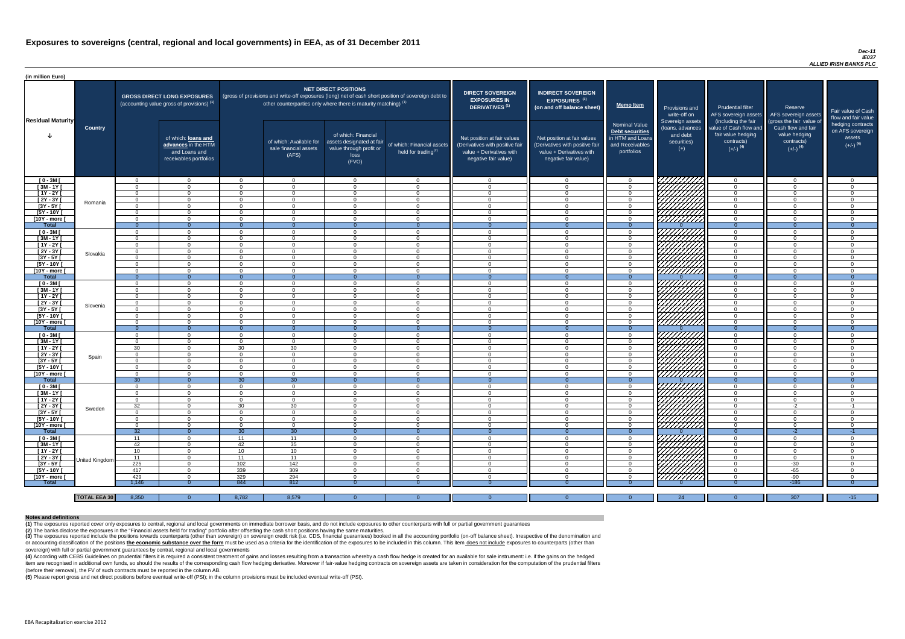#### *Dec-11 IE037 ALLIED IRISH BANKS PLC*

(4) According with CEBS Guidelines on prudential filters it is required a consistent treatment of gains and losses resulting from a transaction whereby a cash flow hedge is created for an available for sale instrument: i.e item are recognised in additional own funds, so should the results of the corresponding cash flow hedging derivative. Moreover if fair-value hedging contracts on sovereign assets are taken in consideration for the computat (before their removal), the FV of such contracts must be reported in the column AB.

| (in million Euro)             |                     |                            |                                                                                             |                                  |                                                                                                                                                                                   |                                                                                              |                                                               |                                                                                                                    |                                                                                                                    |                                                                                              |                                                                          |                                                                                                             |                                                                                                         |                                                                           |
|-------------------------------|---------------------|----------------------------|---------------------------------------------------------------------------------------------|----------------------------------|-----------------------------------------------------------------------------------------------------------------------------------------------------------------------------------|----------------------------------------------------------------------------------------------|---------------------------------------------------------------|--------------------------------------------------------------------------------------------------------------------|--------------------------------------------------------------------------------------------------------------------|----------------------------------------------------------------------------------------------|--------------------------------------------------------------------------|-------------------------------------------------------------------------------------------------------------|---------------------------------------------------------------------------------------------------------|---------------------------------------------------------------------------|
| <b>Residual Maturity</b>      |                     |                            | <b>GROSS DIRECT LONG EXPOSURES</b><br>(accounting value gross of provisions) <sup>(1)</sup> |                                  | (gross of provisions and write-off exposures (long) net of cash short position of sovereign debt to<br>other counterparties only where there is maturity matching) <sup>(1)</sup> | NET DIRECT POSITIONS                                                                         |                                                               | <b>DIRECT SOVEREIGN</b><br><b>EXPOSURES IN</b><br>DERIVATIVES <sup>(1)</sup>                                       | <b>INDIRECT SOVEREIGN</b><br><b>EXPOSURES<sup>(3)</sup></b><br>(on and off balance sheet)                          | <b>Memo Item</b>                                                                             | <b>Provisions and</b><br>write-off on                                    | Prudential filter<br>AFS sovereign assets                                                                   | Reserve<br>AFS sovereign assets                                                                         | Fair value of Cash<br>flow and fair value                                 |
|                               | <b>Country</b>      |                            | of which: loans and<br>advances in the HTM<br>and Loans and<br>receivables portfolios       |                                  | of which: Available for<br>sale financial assets<br>(AFS)                                                                                                                         | of which: Financial<br>assets designated at fair<br>value through profit or<br>loss<br>(FVO) | of which: Financial assets<br>held for trading <sup>(2)</sup> | Net position at fair values<br>(Derivatives with positive fair<br>value + Derivatives with<br>negative fair value) | Net position at fair values<br>(Derivatives with positive fair<br>value + Derivatives with<br>negative fair value) | <b>Nominal Value</b><br>Debt securities<br>in HTM and Loans<br>and Receivables<br>portfolios | Sovereign assets<br>(loans, advances<br>and debt<br>securities)<br>$(+)$ | (including the fair<br>value of Cash flow and<br>fair value hedging<br>contracts)<br>$(+/-)$ <sup>(4)</sup> | (gross the fair value of<br>Cash flow and fair<br>value hedging<br>contracts)<br>$(+/-)$ <sup>(4)</sup> | hedging contracts<br>on AFS sovereign<br>assets<br>$(+/-)$ <sup>(4)</sup> |
| $[0 - 3M]$                    |                     | $\Omega$                   | $\overline{0}$                                                                              | _റ                               | $\overline{0}$                                                                                                                                                                    | $\Omega$                                                                                     | $\overline{0}$                                                | - റ                                                                                                                | റ                                                                                                                  | $\overline{0}$                                                                               | 77777772                                                                 | $\overline{0}$                                                                                              | - 0                                                                                                     | $\overline{0}$                                                            |
| $[3M-1Y]$                     |                     | $\Omega$                   | $\Omega$                                                                                    | $\Omega$                         | $\Omega$                                                                                                                                                                          | $\Omega$                                                                                     | $\overline{0}$                                                | <b>0</b>                                                                                                           | $\sqrt{ }$                                                                                                         | $\overline{0}$                                                                               |                                                                          | $\overline{0}$                                                                                              | $\cap$                                                                                                  | $\overline{0}$                                                            |
| $[1Y - 2Y]$                   |                     | $\Omega$                   | $\Omega$                                                                                    | $\Omega$                         | $\Omega$                                                                                                                                                                          | $\Omega$                                                                                     | $\overline{0}$                                                | $\cap$                                                                                                             | $\Omega$<br>$\Omega$                                                                                               | $\Omega$                                                                                     |                                                                          | $\overline{0}$                                                                                              | $\sqrt{ }$<br>$\cap$                                                                                    | $\Omega$                                                                  |
| [2Y - 3Y [<br>$[3Y - 5Y]$     | Romania             | $\Omega$<br>$\Omega$       | $\Omega$<br>$\Omega$                                                                        | $\Omega$<br>$\Omega$             | $\Omega$<br>$\Omega$                                                                                                                                                              | $\Omega$<br>$\Omega$                                                                         | $\overline{0}$<br>$\Omega$                                    | $\cap$<br>- വ                                                                                                      |                                                                                                                    | $\Omega$<br>$\Omega$                                                                         |                                                                          | $\overline{0}$<br>$\Omega$                                                                                  |                                                                                                         | $\Omega$<br>$\Omega$                                                      |
| [5Y - 10Y [                   |                     | $\Omega$                   | $\Omega$                                                                                    | $\Omega$                         | $\Omega$                                                                                                                                                                          | $\Omega$                                                                                     | $\Omega$                                                      | റ                                                                                                                  |                                                                                                                    | $\Omega$                                                                                     | Hillitta                                                                 | $\Omega$                                                                                                    |                                                                                                         | $\Omega$                                                                  |
| [10Y - more [                 |                     | $\Omega$                   | $\Omega$                                                                                    | $\Omega$                         | $\cap$                                                                                                                                                                            | $\cap$                                                                                       | $\Omega$                                                      | - വ                                                                                                                |                                                                                                                    | $\Omega$                                                                                     |                                                                          | $\overline{0}$                                                                                              |                                                                                                         | $\Omega$                                                                  |
| Total                         |                     | $\Omega$                   | $\Omega$                                                                                    | $\Omega$                         | $\Omega$                                                                                                                                                                          | $\Omega$                                                                                     | $\Omega$                                                      | - 0                                                                                                                |                                                                                                                    | $\Omega$                                                                                     |                                                                          | $\Omega$                                                                                                    | $\Omega$                                                                                                | $\Omega$                                                                  |
| $[0 - 3M]$                    |                     | $\Omega$                   | $\Omega$                                                                                    | $\Omega$                         | $\Omega$                                                                                                                                                                          | $\Omega$                                                                                     | $\Omega$                                                      | $\cap$                                                                                                             |                                                                                                                    | $\Omega$                                                                                     | THAT A                                                                   | $\overline{0}$                                                                                              |                                                                                                         | $\Omega$                                                                  |
| $[3M-1Y]$                     |                     | $\Omega$                   | $\Omega$                                                                                    | $\Omega$                         | $\Omega$                                                                                                                                                                          | $\Omega$                                                                                     | $\Omega$                                                      | $\cap$                                                                                                             |                                                                                                                    | $\Omega$                                                                                     |                                                                          | $\overline{0}$                                                                                              |                                                                                                         | $\Omega$                                                                  |
| $[1Y - 2Y]$                   |                     | $\Omega$<br>$\Omega$       | $\Omega$<br>$\Omega$                                                                        | $\Omega$<br>$\Omega$             | $\Omega$<br>$\Omega$                                                                                                                                                              | $\Omega$<br>$\Omega$                                                                         | $\overline{0}$<br>$\overline{0}$                              | $\cap$<br>$\cap$                                                                                                   | $\Omega$                                                                                                           | $\Omega$                                                                                     |                                                                          | $\overline{0}$                                                                                              | $\Omega$<br>$\Omega$                                                                                    | $\Omega$                                                                  |
| $[2Y - 3Y]$<br>$[3Y - 5Y]$    | Slovakia            | $\Omega$                   | $\Omega$                                                                                    | $\Omega$                         | $\Omega$                                                                                                                                                                          | $\Omega$                                                                                     | $\Omega$                                                      | $\sqrt{ }$                                                                                                         |                                                                                                                    | $\overline{0}$<br>$\overline{0}$                                                             |                                                                          | $\overline{0}$<br>$\overline{0}$                                                                            | $\Omega$                                                                                                | $\overline{0}$<br>$\overline{0}$                                          |
| [5Y - 10Y [                   |                     | $\Omega$                   | $\Omega$                                                                                    | $\Omega$                         | $\Omega$                                                                                                                                                                          | $\Omega$                                                                                     | $\overline{0}$                                                | $\cap$                                                                                                             | $\Omega$                                                                                                           | $\overline{0}$                                                                               |                                                                          | $\overline{0}$                                                                                              | $\Omega$                                                                                                | $\Omega$                                                                  |
| [10Y - more [                 |                     | $\Omega$                   | $\Omega$                                                                                    | $\Omega$                         | $\Omega$                                                                                                                                                                          | $\Omega$                                                                                     | $\overline{0}$                                                | $\cap$                                                                                                             | $\Omega$                                                                                                           | $\overline{0}$                                                                               |                                                                          | $\overline{0}$                                                                                              | $\Omega$                                                                                                | $\overline{0}$                                                            |
| <b>Total</b>                  |                     | - 0                        | $\overline{0}$                                                                              | $\Omega$                         | $\Omega$                                                                                                                                                                          |                                                                                              | $\Omega$                                                      | - 0                                                                                                                |                                                                                                                    | $\Omega$                                                                                     |                                                                          | $\overline{0}$                                                                                              | $\Omega$                                                                                                | $\Omega$                                                                  |
| $[0 - 3M]$                    |                     | $\Omega$                   | $\Omega$                                                                                    | $\Omega$                         | $\Omega$                                                                                                                                                                          | $\Omega$                                                                                     | $\overline{0}$                                                | $\cap$                                                                                                             |                                                                                                                    | $\Omega$                                                                                     |                                                                          | $\overline{0}$                                                                                              | $\cap$                                                                                                  | $\Omega$                                                                  |
| $[3M - 1Y]$                   |                     | $\Omega$                   | $\Omega$                                                                                    | $\Omega$                         | $\Omega$                                                                                                                                                                          | $\Omega$                                                                                     | $\overline{0}$                                                | $\cap$                                                                                                             |                                                                                                                    | $\Omega$                                                                                     |                                                                          | $\overline{0}$                                                                                              |                                                                                                         | $\Omega$                                                                  |
| $[1Y - 2Y]$                   |                     | $\Omega$                   | $\Omega$                                                                                    | $\Omega$                         | $\Omega$                                                                                                                                                                          | $\Omega$                                                                                     | $\Omega$                                                      | $\cap$                                                                                                             |                                                                                                                    | $\Omega$                                                                                     |                                                                          | $\overline{0}$                                                                                              |                                                                                                         | $\Omega$                                                                  |
| $[2Y - 3Y]$                   | Slovenia            | $\overline{0}$             |                                                                                             | $\Omega$                         | $\Omega$                                                                                                                                                                          | $\Omega$                                                                                     | $\Omega$                                                      | - 0                                                                                                                |                                                                                                                    | $\Omega$                                                                                     |                                                                          | $\overline{0}$                                                                                              |                                                                                                         | $\Omega$                                                                  |
| [3Y - 5Y ]<br>$[5Y - 10Y]$    |                     | - 0<br>- റ                 | - 0<br>$\Omega$                                                                             | $\Omega$                         | - 0<br>$\Omega$                                                                                                                                                                   | 0<br>$\Omega$                                                                                | - 0<br>$\overline{0}$                                         | — ∩                                                                                                                | - വ                                                                                                                | -0<br>$\Omega$                                                                               |                                                                          | - 0<br>$\overline{0}$                                                                                       | $\cap$                                                                                                  | - 0<br>$\Omega$                                                           |
| [10Y - more [                 |                     | $\Omega$                   | $\Omega$                                                                                    | $\Omega$                         | $\Omega$                                                                                                                                                                          | $\Omega$                                                                                     | $\overline{0}$                                                | റ                                                                                                                  | $\cap$                                                                                                             | $\Omega$                                                                                     | $\left \frac{\mathscr{L}}{\mathscr{L}}\right $                           | $\overline{0}$                                                                                              | റ                                                                                                       | $\Omega$                                                                  |
| <b>Total</b>                  |                     | - 0                        | $\overline{0}$                                                                              |                                  | - 0                                                                                                                                                                               |                                                                                              | $\overline{0}$                                                | -0                                                                                                                 |                                                                                                                    |                                                                                              |                                                                          | $\Omega$                                                                                                    |                                                                                                         | 0                                                                         |
| $[0 - 3M]$                    |                     | $\Omega$                   | $\overline{0}$                                                                              | $\Omega$                         | $\overline{0}$                                                                                                                                                                    | $\overline{0}$                                                                               | $\overline{0}$                                                | - 0                                                                                                                | $\cap$                                                                                                             | $\Omega$                                                                                     |                                                                          | $\overline{0}$                                                                                              | $\cap$                                                                                                  | $\Omega$                                                                  |
| $[3M - 1Y]$                   |                     | $\Omega$                   | $\overline{0}$                                                                              | $\Omega$                         | $\overline{0}$                                                                                                                                                                    | $\overline{0}$                                                                               | $\overline{0}$                                                | - 0                                                                                                                | $\cap$                                                                                                             | $\Omega$                                                                                     |                                                                          | $\overline{0}$                                                                                              | - 0                                                                                                     | $\overline{0}$                                                            |
| $[1Y - 2Y]$                   |                     | 30                         | $\overline{0}$                                                                              | 30                               | 30                                                                                                                                                                                | $\overline{0}$                                                                               | $\overline{0}$                                                | $\overline{0}$                                                                                                     | $\Omega$                                                                                                           | $\Omega$                                                                                     |                                                                          | $\overline{0}$                                                                                              | - 0                                                                                                     | $\overline{0}$                                                            |
| [2Y - 3Y [                    | Spain               | $\Omega$                   | $\overline{0}$                                                                              | $\Omega$                         | $\Omega$                                                                                                                                                                          | $\overline{0}$                                                                               | $\overline{0}$                                                | - 0                                                                                                                | $\cap$                                                                                                             | $\overline{0}$                                                                               |                                                                          | $\overline{0}$                                                                                              | - 0                                                                                                     | $\Omega$                                                                  |
| [3Y - 5Y [                    |                     | $\Omega$                   | $\overline{0}$                                                                              | $\Omega$                         | $\Omega$                                                                                                                                                                          | $\Omega$                                                                                     | $\overline{0}$                                                | $\cap$                                                                                                             | $\cap$                                                                                                             | $\Omega$                                                                                     |                                                                          | $\overline{0}$                                                                                              | $\Omega$                                                                                                | $\Omega$                                                                  |
| $[5Y - 10Y]$<br>[10Y - more [ |                     | $\Omega$<br>$\Omega$       | $\overline{0}$<br>$\Omega$                                                                  | $\overline{0}$<br>$\Omega$       | $\Omega$<br>$\Omega$                                                                                                                                                              | $\overline{0}$<br>$\Omega$                                                                   | $\overline{0}$<br>$\overline{0}$                              | $\Omega$<br>- വ                                                                                                    | റ<br>$\cap$                                                                                                        | $\Omega$<br>$\Omega$                                                                         | <b>SANTAN</b><br>SANTAN                                                  | $\overline{0}$<br>$\overline{0}$                                                                            | ി<br>$\cap$                                                                                             | $\Omega$<br>$\Omega$                                                      |
| <b>Total</b>                  |                     | 30 <sup>°</sup>            | $\overline{0}$                                                                              | 30                               | 30                                                                                                                                                                                | $\Omega$                                                                                     | $\Omega$                                                      | $\overline{0}$                                                                                                     |                                                                                                                    |                                                                                              |                                                                          | $\overline{0}$                                                                                              | $\Omega$                                                                                                | $\Omega$                                                                  |
| $[0 - 3M]$                    |                     | $\overline{0}$             | $\Omega$                                                                                    | $\overline{0}$                   | $\overline{0}$                                                                                                                                                                    | $\Omega$                                                                                     | $\overline{0}$                                                | - 0                                                                                                                | $\cap$                                                                                                             | $\Omega$                                                                                     | SANARA<br>SANARA                                                         | $\overline{0}$                                                                                              | $\cap$                                                                                                  | $\Omega$                                                                  |
| $[3M - 1Y]$                   |                     | $\Omega$                   | $\overline{0}$                                                                              | $\Omega$                         | $\Omega$                                                                                                                                                                          | $\Omega$                                                                                     | $\overline{0}$                                                | $\cap$                                                                                                             | $\Omega$                                                                                                           | $\Omega$                                                                                     |                                                                          | $\overline{0}$                                                                                              | $\cap$                                                                                                  | $\Omega$                                                                  |
| [ 1Y - 2Y [                   |                     | $\Omega$                   | $\Omega$                                                                                    | $\Omega$                         | $\Omega$                                                                                                                                                                          | $\Omega$                                                                                     | $\overline{0}$                                                | $\cap$                                                                                                             |                                                                                                                    | $\Omega$                                                                                     |                                                                          | $\Omega$                                                                                                    | $\cap$                                                                                                  | $\Omega$                                                                  |
| [2Y - 3Y]                     | Sweden              | 32                         | $\Omega$                                                                                    | 30                               | 30                                                                                                                                                                                | $\Omega$                                                                                     | $\overline{0}$                                                | $\cap$                                                                                                             | $\cap$                                                                                                             | $\Omega$                                                                                     |                                                                          | $\overline{0}$                                                                                              | $-2$                                                                                                    | $-1$                                                                      |
| $[3Y - 5Y]$                   |                     | $\Omega$                   | $\Omega$                                                                                    | $\Omega$                         | $\Omega$                                                                                                                                                                          | $\Omega$                                                                                     | $\overline{0}$                                                | $\cap$                                                                                                             | $\cap$                                                                                                             | $\Omega$                                                                                     |                                                                          | $\overline{0}$                                                                                              | $\Omega$                                                                                                | $\overline{0}$                                                            |
| $[5Y - 10Y]$<br>[10Y - more [ |                     | $\Omega$<br>$\overline{0}$ | $\Omega$<br>$\overline{0}$                                                                  | $\overline{0}$<br>$\overline{0}$ | $\overline{0}$<br>$\overline{0}$                                                                                                                                                  | $\Omega$<br>$\overline{0}$                                                                   | $\overline{0}$<br>$\overline{0}$                              | $\Omega$<br>$\Omega$                                                                                               | $\Omega$<br>$\Omega$                                                                                               | $\overline{0}$<br>$\overline{0}$                                                             |                                                                          | $\overline{0}$<br>$\overline{0}$                                                                            | $\Omega$<br>$\Omega$                                                                                    | $\overline{0}$<br>$\overline{0}$                                          |
| <b>Total</b>                  |                     | 32                         | $\overline{0}$                                                                              | 30 <sup>7</sup>                  | 30                                                                                                                                                                                | $\Omega$                                                                                     | $\overline{0}$                                                | $\overline{0}$                                                                                                     | $\Omega$                                                                                                           | $\Omega$                                                                                     |                                                                          | $\overline{0}$                                                                                              | $-2$                                                                                                    | $-1$                                                                      |
| $[0 - 3M]$                    |                     | 11                         | $\Omega$                                                                                    | 11                               | 11                                                                                                                                                                                | $\Omega$                                                                                     | $\overline{0}$                                                | $\Omega$                                                                                                           | $\Omega$                                                                                                           | $\Omega$                                                                                     |                                                                          | $\overline{0}$                                                                                              | $\Omega$                                                                                                | $\Omega$                                                                  |
| $[3M - 1Y]$                   |                     | 42                         | $\overline{0}$                                                                              | 42                               | 35                                                                                                                                                                                | $\Omega$                                                                                     | $\overline{0}$                                                | $\overline{0}$                                                                                                     |                                                                                                                    | $\overline{0}$                                                                               | 77777777.                                                                | $\overline{0}$                                                                                              | $\cap$                                                                                                  | $\Omega$                                                                  |
| $[1Y - 2Y]$                   |                     | 10                         | $\Omega$                                                                                    | 10 <sup>°</sup>                  | 10                                                                                                                                                                                | $\Omega$                                                                                     | $\Omega$                                                      | - വ                                                                                                                |                                                                                                                    | $\Omega$                                                                                     |                                                                          | $\overline{0}$                                                                                              |                                                                                                         | $\Omega$                                                                  |
| [ $2Y - 3Y$ ]                 | United Kingdom      | 11                         | $\Omega$                                                                                    | 11                               | 11                                                                                                                                                                                | $\Omega$                                                                                     | $\overline{0}$                                                | - 0                                                                                                                |                                                                                                                    | $\Omega$                                                                                     | ШША                                                                      | $\overline{0}$                                                                                              |                                                                                                         | $\Omega$                                                                  |
| $[3Y - 5Y]$                   |                     | 225                        | $\Omega$                                                                                    | 102                              | 142                                                                                                                                                                               | $\Omega$                                                                                     | $\overline{0}$                                                | - ೧                                                                                                                |                                                                                                                    | $\Omega$                                                                                     |                                                                          | $\mathbf{0}$                                                                                                | $-30$                                                                                                   | $\Omega$                                                                  |
| [5Y - 10Y]                    |                     | 417                        | $\Omega$                                                                                    | 339                              | 309                                                                                                                                                                               | $\Omega$                                                                                     | $\overline{0}$                                                | റ                                                                                                                  |                                                                                                                    | $\Omega$                                                                                     | <u>777777777</u>                                                         | $\overline{0}$                                                                                              | $-65$                                                                                                   | $\Omega$                                                                  |
| [10Y - more [                 |                     | 429                        | $\Omega$<br>$\Omega$                                                                        | 329<br>844                       | 294<br>812                                                                                                                                                                        | $\Omega$                                                                                     | $\Omega$                                                      | $\cap$                                                                                                             |                                                                                                                    | $\Omega$                                                                                     | 77777777                                                                 | $\overline{0}$                                                                                              | $-90$<br>$-186$                                                                                         | $\Omega$                                                                  |
| <b>Total</b>                  |                     | 1,146                      |                                                                                             |                                  |                                                                                                                                                                                   |                                                                                              |                                                               |                                                                                                                    |                                                                                                                    | -0                                                                                           |                                                                          | -0                                                                                                          |                                                                                                         | - 0                                                                       |
|                               | <b>TOTAL EEA 30</b> | 8,350                      | $\overline{0}$                                                                              | 8,782                            | 8,579                                                                                                                                                                             | $\Omega$                                                                                     |                                                               | $\Omega$                                                                                                           |                                                                                                                    | $\Omega$                                                                                     | 24                                                                       | - 0                                                                                                         | 307                                                                                                     | $-15$                                                                     |
|                               |                     |                            |                                                                                             |                                  |                                                                                                                                                                                   |                                                                                              |                                                               |                                                                                                                    |                                                                                                                    |                                                                                              |                                                                          |                                                                                                             |                                                                                                         |                                                                           |

(3) The exposures reported include the positions towards counterparts (other than sovereign) on sovereign credit risk (i.e. CDS, financial guarantees) booked in all the accounting portfolio (on-off balance sheet). Irrespec or accounting classification of the positions the economic substance over the form must be used as a criteria for the identification of the exposures to be included in this column. This item does not include exposures to c sovereign) with full or partial government guarantees by central, regional and local governments

**(5)** Please report gross and net direct positions before eventual write-off (PSI); in the column provisions must be included eventual write-off (PSI).

#### **Notes and definitions**

**(1)** The exposures reported cover only exposures to central, regional and local governments on immediate borrower basis, and do not include exposures to other counterparts with full or partial government guarantees **(2)** The banks disclose the exposures in the "Financial assets held for trading" portfolio after offsetting the cash short positions having the same maturities.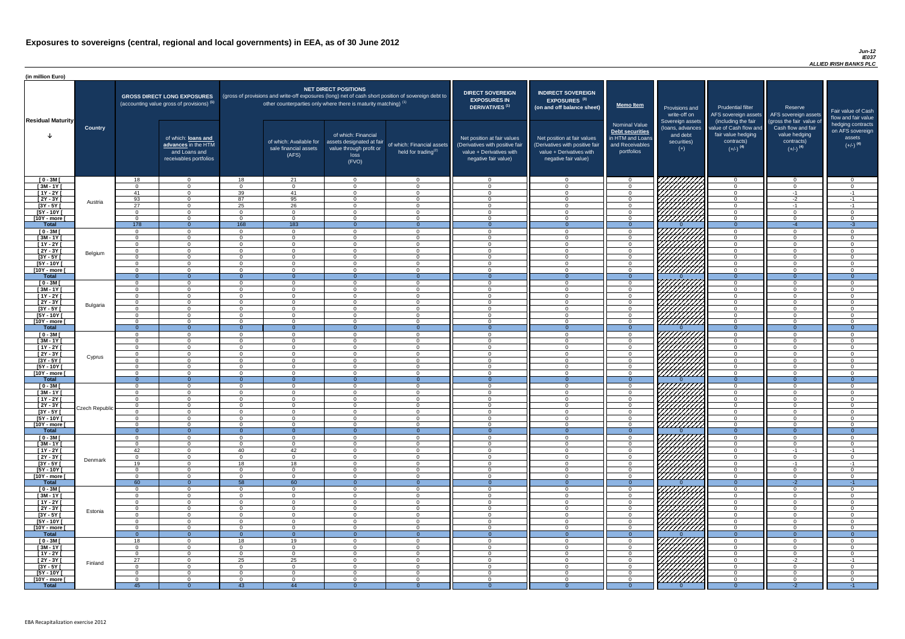#### *Jun-12 IE037 ALLIED IRISH BANKS PLC*

| (in million Euro)             |                 |                      |                                                                                             |                            |                                                           |                                                                                                  |                                                                                                     |                                                                                                                    |                                                                                                                    |                                                                                                     |                                                                          |                                                                                                             |                                                                                                         |                                                                           |
|-------------------------------|-----------------|----------------------|---------------------------------------------------------------------------------------------|----------------------------|-----------------------------------------------------------|--------------------------------------------------------------------------------------------------|-----------------------------------------------------------------------------------------------------|--------------------------------------------------------------------------------------------------------------------|--------------------------------------------------------------------------------------------------------------------|-----------------------------------------------------------------------------------------------------|--------------------------------------------------------------------------|-------------------------------------------------------------------------------------------------------------|---------------------------------------------------------------------------------------------------------|---------------------------------------------------------------------------|
| <b>Residual Maturity</b>      |                 |                      | <b>GROSS DIRECT LONG EXPOSURES</b><br>(accounting value gross of provisions) <sup>(1)</sup> |                            |                                                           | <b>NET DIRECT POSITIONS</b><br>other counterparties only where there is maturity matching) $(1)$ | (gross of provisions and write-off exposures (long) net of cash short position of sovereign debt to | <b>DIRECT SOVEREIGN</b><br><b>EXPOSURES IN</b><br><b>DERIVATIVES (1)</b>                                           | <b>INDIRECT SOVEREIGN</b><br><b>EXPOSURES<sup>(3)</sup></b><br>(on and off balance sheet)                          | <b>Memo Item</b>                                                                                    | Provisions and<br>write-off on                                           | <b>Prudential filter</b>                                                                                    | Reserve<br>AFS sovereign assets AFS sovereign assets                                                    | Fair value of Cash<br>flow and fair value                                 |
|                               | <b>Country</b>  |                      | of which: loans and<br>advances in the HTM<br>and Loans and<br>receivables portfolios       |                            | of which: Available for<br>sale financial assets<br>(AFS) | of which: Financial<br>assets designated at fair<br>value through profit or<br>loss<br>(FVO)     | of which: Financial assets<br>held for trading $(2)$                                                | Net position at fair values<br>(Derivatives with positive fair<br>value + Derivatives with<br>negative fair value) | Net position at fair values<br>(Derivatives with positive fair<br>value + Derivatives with<br>negative fair value) | <b>Nominal Value</b><br><b>Debt securities</b><br>in HTM and Loans<br>and Receivables<br>portfolios | Sovereign assets<br>(loans, advances<br>and debt<br>securities)<br>$(+)$ | (including the fair<br>value of Cash flow and<br>fair value hedging<br>contracts)<br>$(+/-)$ <sup>(4)</sup> | (gross the fair value of<br>Cash flow and fair<br>value hedging<br>contracts)<br>$(+/-)$ <sup>(4)</sup> | hedging contracts<br>on AFS sovereign<br>assets<br>$(+/-)$ <sup>(4)</sup> |
| $[0 - 3M]$                    |                 | 18                   | $\overline{0}$                                                                              | 18                         | 21                                                        | $\Omega$                                                                                         | $\Omega$                                                                                            | $\cap$                                                                                                             | $\Omega$                                                                                                           | - വ                                                                                                 | 777777777                                                                | - റ                                                                                                         | $\overline{0}$                                                                                          | - റ                                                                       |
| $[3M - 1Y]$<br>$[1Y - 2Y]$    |                 | $\cap$<br>41         | $\overline{0}$<br>$\Omega$                                                                  | $\Omega$<br>39             | $\overline{0}$<br>41                                      | $\Omega$<br>$\Omega$                                                                             | $\overline{0}$<br>$\Omega$                                                                          | $\Omega$<br>$\cap$                                                                                                 | $\Omega$<br>$\Omega$                                                                                               | $\Omega$<br>റ                                                                                       |                                                                          | റ<br>$\Omega$                                                                                               | $\overline{0}$<br>$-1$                                                                                  | $\Omega$<br>$-1$                                                          |
| $[2Y - 3Y]$                   |                 | 93                   | $\Omega$                                                                                    | 87                         | 95                                                        | $\Omega$                                                                                         | $\Omega$                                                                                            | $\cap$                                                                                                             | $\Omega$                                                                                                           | $\Omega$                                                                                            | HANA<br>HANA                                                             | $\Omega$                                                                                                    | $-2$                                                                                                    | $-1$                                                                      |
| $[3Y - 5Y]$                   | Austria         | $\overline{27}$      | $\Omega$                                                                                    | 25                         | $\overline{26}$                                           | $\Omega$                                                                                         | $\Omega$                                                                                            | $\cap$                                                                                                             | $\Omega$                                                                                                           |                                                                                                     |                                                                          | $\Omega$                                                                                                    | $-1$                                                                                                    | $-1$                                                                      |
| $[5Y - 10Y]$                  |                 | $\Omega$             | $\Omega$                                                                                    | $\Omega$                   | $\Omega$                                                  | $\cap$                                                                                           | $\Omega$                                                                                            | $\cap$                                                                                                             | $\Omega$                                                                                                           |                                                                                                     |                                                                          | $\cap$                                                                                                      | $\Omega$                                                                                                | $\Omega$                                                                  |
| [10Y - more [                 |                 | $\Omega$             | $\Omega$                                                                                    | $\Omega$                   | $\Omega$                                                  | $\Omega$                                                                                         | $\Omega$                                                                                            | $\cap$                                                                                                             | $\Omega$                                                                                                           | $\Omega$                                                                                            |                                                                          | $\Omega$                                                                                                    | $\Omega$                                                                                                | $\Omega$                                                                  |
| <b>Total</b>                  |                 | 178                  | $\Omega$                                                                                    | 168                        | 183                                                       | $\Omega$                                                                                         | $\Omega$                                                                                            | - റ                                                                                                                | $\Omega$                                                                                                           | $\Omega$                                                                                            |                                                                          | $\Omega$                                                                                                    | $-4$                                                                                                    | $-3$                                                                      |
| $[0 - 3M]$<br>$\sqrt{3M-1Y}$  |                 | $\Omega$<br>$\Omega$ | $\Omega$<br>$\Omega$                                                                        | $\Omega$<br>$\Omega$       | $\Omega$<br>$\Omega$                                      | $\Omega$<br>$\Omega$                                                                             | $\Omega$<br>$\overline{0}$                                                                          | $\cap$<br>$\Omega$                                                                                                 | $\Omega$<br>$\Omega$                                                                                               | $\Omega$<br>$\Omega$                                                                                |                                                                          | $\cap$<br>$\Omega$                                                                                          | $\Omega$<br>$\Omega$                                                                                    | $\Omega$<br>$\Omega$                                                      |
| $[1Y - 2Y]$                   |                 | $\Omega$             | $\overline{0}$                                                                              | $\Omega$                   | $\Omega$                                                  | $\Omega$                                                                                         | $\overline{0}$                                                                                      | $\Omega$                                                                                                           | $\Omega$                                                                                                           | $\cap$                                                                                              |                                                                          | $\Omega$                                                                                                    | $\Omega$                                                                                                | $\Omega$                                                                  |
| $[2Y - 3Y]$                   | Belgium         | $\Omega$             | $\overline{0}$                                                                              | $\Omega$                   | $\Omega$                                                  | $\Omega$                                                                                         | $\overline{0}$                                                                                      | $\Omega$                                                                                                           | $\Omega$                                                                                                           | $\Omega$                                                                                            | HAAHA.                                                                   | $\Omega$                                                                                                    | $\Omega$                                                                                                | $\Omega$                                                                  |
| $[3Y - 5Y]$                   |                 | $\cap$               | $\Omega$                                                                                    | $\Omega$                   | $\Omega$                                                  | $\Omega$                                                                                         | $\overline{0}$                                                                                      | $\Omega$                                                                                                           | $\Omega$                                                                                                           | $\Omega$                                                                                            |                                                                          | $\Omega$                                                                                                    | $\Omega$                                                                                                | $\Omega$                                                                  |
| $[5Y - 10Y]$                  |                 | $\Omega$             | $\overline{0}$                                                                              | $\Omega$                   | $\overline{0}$                                            | $\Omega$                                                                                         | $\overline{0}$                                                                                      | $\Omega$                                                                                                           | $\Omega$                                                                                                           | $\Omega$                                                                                            |                                                                          | $\Omega$                                                                                                    | $\Omega$                                                                                                | $\Omega$                                                                  |
| [10Y - more [<br><b>Total</b> |                 | $\Omega$<br>$\Omega$ | $\Omega$<br>$\overline{0}$                                                                  | $\Omega$<br>$\Omega$       | $\overline{0}$<br>$\Omega$                                | $\Omega$<br>$\Omega$                                                                             | $\overline{0}$<br>$\Omega$                                                                          | $\Omega$<br>$\Omega$                                                                                               | $\Omega$                                                                                                           | $\overline{0}$<br>$\Omega$                                                                          |                                                                          | $\overline{0}$<br>$\Omega$                                                                                  | $\overline{0}$<br>$\Omega$                                                                              | $\Omega$<br>$\Omega$                                                      |
| $[0 - 3M]$                    |                 | $\Omega$             | $\overline{0}$                                                                              | $\Omega$                   | $\Omega$                                                  | $\Omega$                                                                                         | $\overline{0}$                                                                                      | $\Omega$                                                                                                           | $\Omega$                                                                                                           | $\overline{0}$                                                                                      | 7777777777                                                               | $\overline{0}$                                                                                              | $\overline{0}$                                                                                          | $\Omega$                                                                  |
| $[3M - 1Y]$                   |                 | $\Omega$             | $\overline{0}$                                                                              | $\Omega$                   | $\Omega$                                                  | $\Omega$                                                                                         | $\overline{0}$                                                                                      | $\Omega$                                                                                                           | $\Omega$                                                                                                           | $\Omega$                                                                                            | 777777777                                                                | $\Omega$                                                                                                    | $\Omega$                                                                                                | $\Omega$                                                                  |
| $[1Y - 2Y]$                   |                 | $\Omega$             | $\Omega$                                                                                    | $\Omega$                   | $\Omega$                                                  | $\Omega$                                                                                         | $\Omega$                                                                                            | $\Omega$                                                                                                           | $\Omega$                                                                                                           | $\Omega$                                                                                            |                                                                          | $\Omega$                                                                                                    | $\Omega$                                                                                                | $\Omega$                                                                  |
| $[2Y - 3Y]$                   | <b>Bulgaria</b> | $\overline{0}$       | $\overline{0}$                                                                              | $\Omega$                   | $\Omega$                                                  | $\Omega$                                                                                         | $\overline{0}$                                                                                      | - 0                                                                                                                | $\Omega$                                                                                                           | $\Omega$                                                                                            | <i>ЧННН</i> А                                                            | - 0                                                                                                         | $\overline{0}$                                                                                          | $\Omega$                                                                  |
| $[3Y - 5Y]$<br>$[5Y - 10Y]$   |                 | $\Omega$             | $\Omega$                                                                                    | $\Omega$                   | - 0<br>$\Omega$                                           | $\Omega$                                                                                         | 0<br>$\Omega$                                                                                       | $\cap$                                                                                                             |                                                                                                                    | $\Omega$                                                                                            | .HHHIII                                                                  | $\Omega$                                                                                                    | 0<br>$\Omega$                                                                                           | $\cap$                                                                    |
| $[10Y - more]$                |                 | <u>__</u>            | $\Omega$                                                                                    | $\Omega$                   | $\Omega$                                                  | $\Omega$                                                                                         | $\Omega$                                                                                            | $\cap$                                                                                                             | $\cap$                                                                                                             | റ                                                                                                   | <u> UMMA</u>                                                             | $\Omega$                                                                                                    | $\Omega$                                                                                                | $\cap$                                                                    |
| <b>Total</b>                  |                 | $\Omega$             | $\Omega$                                                                                    |                            |                                                           |                                                                                                  | $\Omega$                                                                                            |                                                                                                                    |                                                                                                                    |                                                                                                     |                                                                          | $\Omega$                                                                                                    |                                                                                                         |                                                                           |
| $[0 - 3M]$                    |                 | $\cap$               | $\Omega$                                                                                    | $\Omega$                   | $\Omega$                                                  | $\Omega$                                                                                         | $\overline{0}$                                                                                      | $\cap$                                                                                                             | $\Omega$                                                                                                           | $\cap$                                                                                              |                                                                          | $\cap$                                                                                                      | $\overline{0}$                                                                                          | $\Omega$                                                                  |
| $[3M - 1Y]$                   |                 | $\Omega$             | $\overline{0}$                                                                              | $\Omega$                   | $\overline{0}$                                            | $\Omega$                                                                                         | $\overline{0}$                                                                                      | $\Omega$                                                                                                           | $\Omega$                                                                                                           | $\Omega$                                                                                            |                                                                          | $\Omega$                                                                                                    | $\overline{0}$                                                                                          | $\Omega$                                                                  |
| $[1Y - 2Y]$                   |                 | $\Omega$             | $\overline{0}$                                                                              | $\Omega$<br>$\Omega$       | $\Omega$<br>$\Omega$                                      | $\Omega$<br>$\Omega$                                                                             | $\overline{0}$                                                                                      | $\cap$<br>$\Omega$                                                                                                 | $\Omega$<br>$\Omega$                                                                                               | $\Omega$<br>$\Omega$                                                                                |                                                                          | $\Omega$<br>$\Omega$                                                                                        | $\overline{0}$                                                                                          | $\Omega$<br>$\Omega$                                                      |
| [2Y - 3Y [<br>$[3Y - 5Y]$     | Cyprus          | $\Omega$             | $\overline{0}$<br>$\Omega$                                                                  | $\Omega$                   | $\Omega$                                                  | $\Omega$                                                                                         | $\overline{0}$<br>$\Omega$                                                                          | $\cap$                                                                                                             | $\Omega$                                                                                                           | $\cap$                                                                                              |                                                                          | $\cap$                                                                                                      | $\overline{0}$<br>$\Omega$                                                                              | $\Omega$                                                                  |
| [5Y - 10Y]                    |                 | $\Omega$             | $\Omega$                                                                                    | $\Omega$                   | $\Omega$                                                  | $\Omega$                                                                                         | $\Omega$                                                                                            |                                                                                                                    | $\Omega$                                                                                                           | $\cap$                                                                                              |                                                                          | $\cap$                                                                                                      | $\Omega$                                                                                                |                                                                           |
| [10Y - more [                 |                 | $\Omega$             | $\Omega$                                                                                    | $\Omega$                   | $\Omega$                                                  | $\cap$                                                                                           | $\Omega$                                                                                            | $\cap$                                                                                                             | $\Omega$                                                                                                           | $\Omega$                                                                                            | <u>//////////</u>                                                        | $\cap$                                                                                                      | $\Omega$                                                                                                |                                                                           |
| <b>Total</b>                  |                 | $\Omega$             | $\Omega$                                                                                    | $\Omega$                   | $\Omega$                                                  | $\Omega$                                                                                         | $\Omega$                                                                                            |                                                                                                                    | $\Omega$                                                                                                           | $\Omega$                                                                                            |                                                                          | $\Omega$                                                                                                    | $\Omega$                                                                                                | $\Omega$                                                                  |
| $[0 - 3M]$                    |                 | $\Omega$<br>$\Omega$ | $\Omega$<br>$\Omega$                                                                        | $\Omega$<br>$\Omega$       | $\Omega$<br>$\Omega$                                      | $\Omega$<br>$\Omega$                                                                             | $\Omega$                                                                                            | $\cap$<br>$\Omega$                                                                                                 | $\Omega$<br>$\Omega$                                                                                               | $\cap$<br>$\Omega$                                                                                  |                                                                          | $\Omega$<br>$\Omega$                                                                                        | $\Omega$<br>$\Omega$                                                                                    | $\Omega$                                                                  |
| $[3M - 1Y]$<br>$[1Y - 2Y]$    |                 | $\Omega$             | $\Omega$                                                                                    | $\Omega$                   | $\Omega$                                                  | $\Omega$                                                                                         | $\overline{0}$<br>$\overline{0}$                                                                    | $\Omega$                                                                                                           | $\Omega$                                                                                                           | $\Omega$                                                                                            |                                                                          | $\Omega$                                                                                                    | $\Omega$                                                                                                | $\Omega$                                                                  |
| $[2Y - 3Y]$                   |                 | $\Omega$             | $\Omega$                                                                                    | $\Omega$                   | $\Omega$                                                  | $\Omega$                                                                                         | $\Omega$                                                                                            | $\Omega$                                                                                                           | $\Omega$                                                                                                           | $\Omega$                                                                                            | 777777777                                                                | $\Omega$                                                                                                    | $\Omega$                                                                                                | $\Omega$                                                                  |
| $[3Y - 5Y]$                   | Czech Republic  | $\Omega$             | $\Omega$                                                                                    | $\Omega$                   | $\Omega$                                                  | $\Omega$                                                                                         | $\Omega$                                                                                            | $\Omega$                                                                                                           | $\Omega$                                                                                                           | $\Omega$                                                                                            | ,,,,,,,,,,,                                                              | $\Omega$                                                                                                    | $\Omega$                                                                                                | $\Omega$                                                                  |
| $[5Y - 10Y]$                  |                 | $\Omega$             | $\Omega$                                                                                    | $\Omega$                   | $\Omega$                                                  | $\Omega$                                                                                         | $\overline{0}$                                                                                      | $\Omega$                                                                                                           | $\Omega$                                                                                                           | $\Omega$                                                                                            | 777777777                                                                | $\Omega$                                                                                                    | $\Omega$                                                                                                | $\Omega$                                                                  |
| [10Y - more [<br><b>Total</b> |                 | $\Omega$<br>$\Omega$ | $\Omega$<br>$\Omega$                                                                        | $\Omega$<br>$\Omega$       | $\Omega$<br>$\Omega$                                      | $\Omega$<br>$\Omega$                                                                             | $\Omega$<br>$\Omega$                                                                                | $\Omega$                                                                                                           | $\Omega$                                                                                                           | $\Omega$<br>$\Omega$                                                                                | ,,,,,,,,,,                                                               | $\Omega$<br>$\Omega$                                                                                        | $\Omega$<br>$\Omega$                                                                                    | $\Omega$                                                                  |
| $[0 - 3M]$                    |                 | $\Omega$             | $\overline{0}$                                                                              | $\Omega$                   | $\Omega$                                                  | $\Omega$                                                                                         | $\overline{0}$                                                                                      | $\Omega$                                                                                                           | $\Omega$                                                                                                           | $\Omega$                                                                                            | ,,,,,,,,,,,                                                              | $\Omega$                                                                                                    | $\overline{0}$                                                                                          | $\Omega$                                                                  |
| $1$ 3M - 1Y I                 |                 | - 0                  | $\Omega$                                                                                    | $\Omega$                   | $\Omega$                                                  | $\Omega$                                                                                         | $\overline{0}$                                                                                      | $\Omega$                                                                                                           | ∩                                                                                                                  | $\Omega$                                                                                            |                                                                          | $\Omega$                                                                                                    | $\overline{0}$                                                                                          |                                                                           |
| $[1Y - 2Y]$                   |                 | 42                   | $\overline{0}$                                                                              | 40                         | 42                                                        | $\Omega$                                                                                         | $\overline{0}$                                                                                      |                                                                                                                    |                                                                                                                    | $\Omega$                                                                                            | 777777777                                                                | $\overline{0}$                                                                                              | -1                                                                                                      | $-1$                                                                      |
| $[2Y - 3Y]$                   | Denmark         | - 0                  | $\Omega$                                                                                    | $\Omega$                   | - 0                                                       | $\Omega$                                                                                         | $\Omega$                                                                                            |                                                                                                                    |                                                                                                                    |                                                                                                     | 777777777                                                                | $\Omega$                                                                                                    | $\Omega$                                                                                                |                                                                           |
| $[3Y - 5Y]$<br>[5Y - 10Y]     |                 | 19<br><u>n</u>       | $\Omega$<br>$\overline{0}$                                                                  | 18<br>$\Omega$             | 18<br>$\Omega$                                            | $\Omega$<br>$\Omega$                                                                             | $\overline{0}$<br>$\overline{0}$                                                                    | $\cap$<br>$\Omega$                                                                                                 | $\Omega$<br>$\Omega$                                                                                               | $\Omega$<br>$\Omega$                                                                                | 777777777<br>7777777777                                                  | $\Omega$<br>- 0                                                                                             | -1<br>$\overline{0}$                                                                                    | $-1$<br>$\Omega$                                                          |
| [10Y - more [                 |                 | . റ                  | $\Omega$                                                                                    | $\Omega$                   | $\Omega$                                                  | $\Omega$                                                                                         | $\overline{0}$                                                                                      | $\cap$                                                                                                             | $\Omega$                                                                                                           | റ                                                                                                   | ////////////                                                             | $\overline{0}$                                                                                              | $\overline{0}$                                                                                          | $\Omega$                                                                  |
| <b>Total</b>                  |                 | 60                   | $\Omega$                                                                                    | 58                         | 60                                                        |                                                                                                  | $\Omega$                                                                                            |                                                                                                                    |                                                                                                                    | $\Omega$                                                                                            |                                                                          | $\overline{0}$                                                                                              | $-2$                                                                                                    | - 1                                                                       |
| $[0 - 3M]$                    |                 | . വ                  | $\overline{0}$                                                                              | $\Omega$                   | $\Omega$                                                  | $\Omega$                                                                                         | $\overline{0}$                                                                                      | $\Omega$                                                                                                           | $\Omega$                                                                                                           | $\Omega$                                                                                            |                                                                          | $\overline{0}$                                                                                              | $\overline{0}$                                                                                          | $\Omega$                                                                  |
| $[3M - 1Y]$                   |                 | $\Omega$             | $\overline{0}$                                                                              | $\Omega$                   | $\overline{0}$                                            | $\Omega$                                                                                         | $\overline{0}$                                                                                      | $\Omega$                                                                                                           | $\Omega$                                                                                                           | $\Omega$                                                                                            | 777777777                                                                | $\overline{0}$                                                                                              | $\overline{0}$                                                                                          | $\Omega$                                                                  |
| $[1Y - 2Y]$<br>[2Y - 3Y [     |                 | $\Omega$<br>$\Omega$ | $\Omega$<br>$\overline{0}$                                                                  | $\Omega$<br>$\overline{0}$ | $\Omega$<br>$\Omega$                                      | $\Omega$<br>$\overline{0}$                                                                       | $\Omega$<br>$\overline{0}$                                                                          | $\Omega$<br>$\Omega$                                                                                               | $\Omega$<br>$\Omega$                                                                                               | $\Omega$<br>$\Omega$                                                                                |                                                                          | $\Omega$<br>$\Omega$                                                                                        | $\overline{0}$<br>$\overline{0}$                                                                        | $\Omega$<br>$\Omega$                                                      |
| $[3Y - 5Y]$                   | Estonia         | $\Omega$             | $\Omega$                                                                                    | $\Omega$                   | - 0                                                       | $\Omega$                                                                                         | $\Omega$                                                                                            | $\Omega$                                                                                                           | $\Omega$                                                                                                           | $\Omega$                                                                                            |                                                                          | $\Omega$                                                                                                    | $\Omega$                                                                                                | $\Omega$                                                                  |
| $[5Y - 10Y]$                  |                 | $\Omega$             | $\Omega$                                                                                    | $\Omega$                   | $\Omega$                                                  | $\Omega$                                                                                         | $\Omega$                                                                                            | $\cap$                                                                                                             | $\Omega$                                                                                                           | $\Omega$                                                                                            |                                                                          | $\cap$                                                                                                      | $\overline{0}$                                                                                          | $\Omega$                                                                  |
| [10Y - more [                 |                 | $\Omega$             | $\Omega$                                                                                    | $\Omega$                   | $\Omega$                                                  | $\Omega$                                                                                         | $\Omega$                                                                                            | $\Omega$                                                                                                           | $\Omega$                                                                                                           | $\Omega$                                                                                            | <u>////////</u>                                                          | $\Omega$                                                                                                    | $\Omega$                                                                                                | $\Omega$                                                                  |
| <b>Total</b>                  |                 |                      | $\Omega$                                                                                    |                            | - 0                                                       |                                                                                                  | $\Omega$                                                                                            |                                                                                                                    |                                                                                                                    |                                                                                                     |                                                                          |                                                                                                             | $\overline{0}$                                                                                          | $\overline{0}$                                                            |
| $[0 - 3M]$<br>$[3M - 1Y]$     |                 | 18<br>$\Omega$       | $\Omega$<br>$\Omega$                                                                        | 18<br>$\Omega$             | 19<br>$\Omega$                                            | $\Omega$<br>$\Omega$                                                                             | $\Omega$<br>$\overline{0}$                                                                          | $\Omega$                                                                                                           | $\Omega$                                                                                                           |                                                                                                     | VIIIIIII                                                                 | $\Omega$                                                                                                    | $\Omega$<br>$\overline{0}$                                                                              | $\Omega$                                                                  |
| $[1Y - 2Y]$                   |                 | $\Omega$             | $\overline{0}$                                                                              | $\Omega$                   | $\Omega$                                                  | $\overline{0}$                                                                                   | $\overline{0}$                                                                                      | $\Omega$                                                                                                           | $\Omega$                                                                                                           | $\Omega$                                                                                            |                                                                          | $\Omega$                                                                                                    | $\overline{0}$                                                                                          | $\overline{0}$                                                            |
| $[2Y - 3Y]$                   | Finland         | 27                   | $\overline{0}$                                                                              | 25                         | 25                                                        | $\overline{0}$                                                                                   | $\overline{0}$                                                                                      | $\Omega$                                                                                                           | $\Omega$                                                                                                           | $\Omega$                                                                                            |                                                                          | $\Omega$                                                                                                    | $-2$                                                                                                    | $-1$                                                                      |
| $[3Y - 5Y]$                   |                 | $\Omega$             | $\overline{0}$                                                                              | $\overline{0}$             | $\overline{0}$                                            | $\overline{0}$                                                                                   | $\overline{0}$                                                                                      | $\Omega$                                                                                                           | $\Omega$                                                                                                           | $\overline{0}$                                                                                      |                                                                          | $\Omega$                                                                                                    | $\overline{0}$                                                                                          | $\overline{0}$                                                            |
| [5Y - 10Y [                   |                 | $\Omega$             | $\overline{0}$                                                                              | $\overline{0}$             | $\overline{0}$<br>$\Omega$                                | $\overline{0}$                                                                                   | $\overline{0}$                                                                                      | $\Omega$<br>$\Omega$                                                                                               | $\Omega$<br>$\Omega$                                                                                               | $\Omega$<br>$\Omega$                                                                                | William                                                                  | $\Omega$<br>$\Omega$                                                                                        | $\overline{0}$                                                                                          | $\overline{0}$                                                            |
| [10Y - more [<br><b>Total</b> |                 | $\Omega$<br>45       | $\overline{0}$<br>$\Omega$                                                                  | $\overline{0}$<br>43       | 44                                                        | $\overline{0}$<br>$\Omega$                                                                       | $\overline{0}$<br>$\Omega$                                                                          |                                                                                                                    |                                                                                                                    | $\Omega$                                                                                            |                                                                          | $\Omega$                                                                                                    | $\Omega$<br>$-2$                                                                                        | $\overline{0}$<br>$-1$                                                    |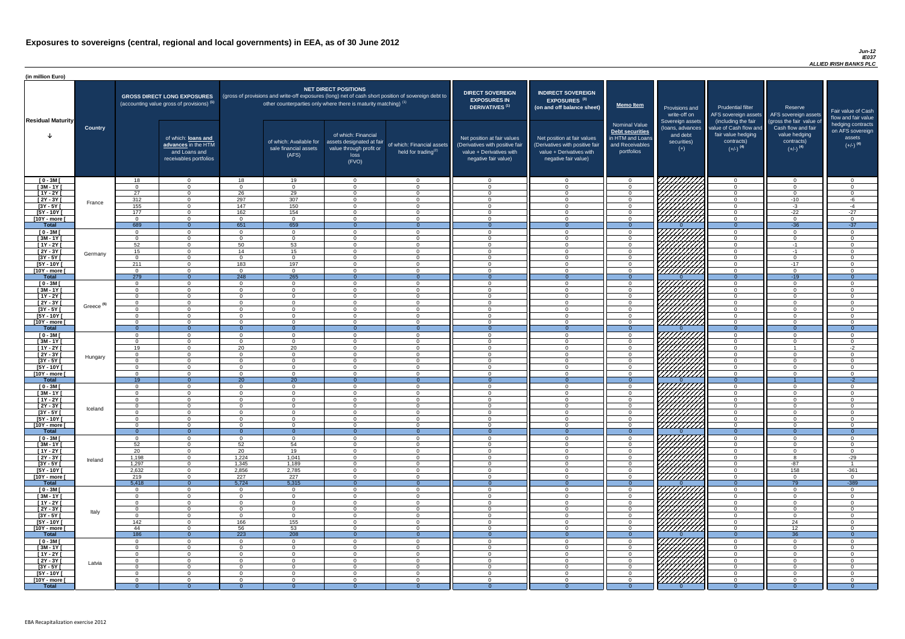#### *Jun-12 IE037 ALLIED IRISH BANKS PLC*

| (in million Euro)             |                       |                    |                                                                                             |                      |                                                                                                                                                                          |                                                                                              |                                                         |                                                                                                                    |                                                                                                                    |                                                                                              |                                                                          |                                                                                      |                                                                                  |                                                                           |
|-------------------------------|-----------------------|--------------------|---------------------------------------------------------------------------------------------|----------------------|--------------------------------------------------------------------------------------------------------------------------------------------------------------------------|----------------------------------------------------------------------------------------------|---------------------------------------------------------|--------------------------------------------------------------------------------------------------------------------|--------------------------------------------------------------------------------------------------------------------|----------------------------------------------------------------------------------------------|--------------------------------------------------------------------------|--------------------------------------------------------------------------------------|----------------------------------------------------------------------------------|---------------------------------------------------------------------------|
| <b>Residual Maturity</b>      |                       |                    | <b>GROSS DIRECT LONG EXPOSURES</b><br>(accounting value gross of provisions) <sup>(1)</sup> |                      | (gross of provisions and write-off exposures (long) net of cash short position of sovereign debt to<br>other counterparties only where there is maturity matching) $(1)$ | <b>NET DIRECT POSITIONS</b>                                                                  |                                                         | <b>DIRECT SOVEREIGN</b><br><b>EXPOSURES IN</b><br>DERIVATIVES <sup>(1)</sup>                                       | <b>INDIRECT SOVEREIGN</b><br><b>EXPOSURES<sup>(3)</sup></b><br>(on and off balance sheet)                          | Memo Item                                                                                    | Provisions and<br>write-off on                                           | <b>Prudential filter</b><br>(including the fair                                      | Reserve<br>AFS sovereign assets AFS sovereign assets<br>(gross the fair value of | Fair value of Cash<br>flow and fair value                                 |
|                               | <b>Country</b>        |                    | of which: loans and<br>advances in the HTM<br>and Loans and<br>receivables portfolios       |                      | of which: Available for<br>sale financial assets<br>(AFS)                                                                                                                | of which: Financial<br>assets designated at fair<br>value through profit or<br>loss<br>(FVO) | of which: Financial assets<br>held for trading $^{(2)}$ | Net position at fair values<br>(Derivatives with positive fair<br>value + Derivatives with<br>negative fair value) | Net position at fair values<br>(Derivatives with positive fair<br>value + Derivatives with<br>negative fair value) | <b>Nominal Value</b><br>Debt securities<br>in HTM and Loans<br>and Receivables<br>portfolios | Sovereign assets<br>(loans, advances<br>and debt<br>securities)<br>$(+)$ | value of Cash flow and<br>fair value hedging<br>contracts)<br>$(+/-)$ <sup>(4)</sup> | Cash flow and fair<br>value hedging<br>contracts)<br>$(+/-)$ <sup>(4)</sup>      | hedging contracts<br>on AFS sovereign<br>assets<br>$(+/-)$ <sup>(4)</sup> |
| $[0 - 3M]$                    |                       | 18                 | $\overline{0}$                                                                              | 18                   | 19                                                                                                                                                                       | $\Omega$                                                                                     | $\overline{0}$                                          | - 0                                                                                                                | റ                                                                                                                  | $\overline{0}$                                                                               | <i>77777777</i> 77                                                       | $\overline{0}$                                                                       | $\cap$                                                                           | $\overline{0}$                                                            |
| $[3M - 1Y]$                   |                       | 27                 | $\Omega$<br>$\Omega$                                                                        | $\cap$<br>26         | $\Omega$<br>29                                                                                                                                                           | $\Omega$<br>$\Omega$                                                                         | $\Omega$<br>$\Omega$                                    | - 0<br>$\Omega$                                                                                                    | $\cap$<br>$\cap$                                                                                                   | $\Omega$<br>$\Omega$                                                                         |                                                                          | $\overline{0}$                                                                       | $\cap$<br>$\cap$                                                                 | $\Omega$<br>$\Omega$                                                      |
| $[1Y - 2Y]$<br>$[2Y - 3Y]$    |                       | 312                | $\overline{0}$                                                                              | 297                  | 307                                                                                                                                                                      | $\Omega$                                                                                     | $\Omega$                                                | $\overline{0}$                                                                                                     | $\Omega$                                                                                                           | $\overline{0}$                                                                               |                                                                          | $\overline{0}$<br>$\overline{0}$                                                     | $-10$                                                                            | -6                                                                        |
| $[3Y - 5Y]$                   | France                | 155                | $\Omega$                                                                                    | 147                  | 150                                                                                                                                                                      | $\Omega$                                                                                     | $\Omega$                                                | $\overline{0}$                                                                                                     | $\Omega$                                                                                                           | $\Omega$                                                                                     |                                                                          | $\overline{0}$                                                                       | $-3$                                                                             | $-4$                                                                      |
| $[5Y - 10Y]$                  |                       | 177                | $\Omega$                                                                                    | 162                  | 154                                                                                                                                                                      | $\Omega$                                                                                     | $\Omega$                                                | $\Omega$                                                                                                           | $\cap$                                                                                                             | $\Omega$                                                                                     | HHHHA.                                                                   | $\Omega$                                                                             | $-22$                                                                            | $-27$                                                                     |
| [10Y - more [<br><b>Total</b> |                       | $\cap$<br>689      | $\Omega$<br>$\Omega$                                                                        | $\cap$<br>651        | $\Omega$<br>659                                                                                                                                                          | $\Omega$                                                                                     | $\Omega$<br>- 0                                         | $\cap$<br>- റ                                                                                                      | $\cap$                                                                                                             | $\Omega$<br>$\Omega$                                                                         |                                                                          | $\overline{0}$<br>$\Omega$                                                           | $\cap$<br>$-36$                                                                  | $\Omega$<br>$-37$                                                         |
| $[0 - 3M]$                    |                       | $\cap$             | $\Omega$                                                                                    | $\Omega$             | $\Omega$                                                                                                                                                                 | $\Omega$                                                                                     | $\Omega$                                                | - റ                                                                                                                | $\cap$                                                                                                             | $\overline{0}$                                                                               |                                                                          | $\overline{0}$                                                                       | $\Omega$                                                                         | $\Omega$                                                                  |
| $[3M - 1Y]$                   |                       | $\cap$             | $\overline{0}$                                                                              | $\cap$               | $\overline{0}$                                                                                                                                                           | $\Omega$                                                                                     | $\Omega$                                                | - 0                                                                                                                | - വ                                                                                                                | $\overline{0}$                                                                               |                                                                          | $\overline{0}$                                                                       | $\cap$                                                                           | $\overline{0}$                                                            |
| $[1Y - 2Y]$                   |                       | 52                 | $\overline{0}$                                                                              | 50                   | 53                                                                                                                                                                       | $\Omega$                                                                                     | $\Omega$                                                | $\Omega$                                                                                                           | $\cap$                                                                                                             | $\overline{0}$                                                                               |                                                                          | $\overline{0}$                                                                       | $-1$                                                                             | $\overline{0}$                                                            |
| $[2Y - 3Y]$<br>$[3Y - 5Y]$    | Germany               | 15                 | $\Omega$<br>$\Omega$                                                                        | 14                   | 15<br>$\Omega$                                                                                                                                                           | $\Omega$<br>$\Omega$                                                                         | $\Omega$<br>$\Omega$                                    | $\cap$<br>- 0                                                                                                      |                                                                                                                    | $\Omega$<br>$\Omega$                                                                         |                                                                          | $\Omega$<br>$\overline{0}$                                                           | $-1$<br>$\cap$                                                                   | $\Omega$<br>$\Omega$                                                      |
| $[5Y - 10Y]$                  |                       | 211                | $\Omega$                                                                                    | 183                  | 197                                                                                                                                                                      | ∩                                                                                            | $\Omega$                                                | $\cap$                                                                                                             |                                                                                                                    | $\Omega$                                                                                     |                                                                          | $\Omega$                                                                             | $-17$                                                                            | $\Omega$                                                                  |
| [10Y - more [                 |                       | $\cap$             | $\Omega$                                                                                    |                      | $\Omega$                                                                                                                                                                 | $\Omega$                                                                                     | $\Omega$                                                | - 0                                                                                                                |                                                                                                                    | $\Omega$                                                                                     | <u>777777777</u>                                                         | $\overline{0}$                                                                       | $\sqrt{ }$                                                                       | $\Omega$                                                                  |
| <b>Total</b>                  |                       | 279                | $\overline{0}$                                                                              | 248                  | 265                                                                                                                                                                      |                                                                                              | $\Omega$                                                | - റ                                                                                                                | $\Omega$                                                                                                           | $\Omega$                                                                                     |                                                                          | $\overline{0}$                                                                       | $-19$                                                                            | $\Omega$                                                                  |
| $[0 - 3M]$<br>$[3M - 1Y]$     |                       | $\cap$             | $\Omega$<br>$\Omega$                                                                        |                      | $\cap$<br>$\cap$                                                                                                                                                         | $\Omega$                                                                                     | $\Omega$<br>$\Omega$                                    | - റ<br>- റ                                                                                                         |                                                                                                                    | $\Omega$<br>$\Omega$                                                                         |                                                                          | $\overline{0}$<br>$\overline{0}$                                                     |                                                                                  | $\Omega$<br>$\Omega$                                                      |
| $[1Y - 2Y]$                   |                       | $\cap$             | $\Omega$                                                                                    |                      | $\cap$                                                                                                                                                                   | $\Omega$                                                                                     | $\Omega$                                                | $\cap$                                                                                                             |                                                                                                                    | $\overline{0}$                                                                               |                                                                          | $\overline{0}$                                                                       |                                                                                  | $\overline{0}$                                                            |
| $[2Y - 3Y]$                   | Greece <sup>(5)</sup> | $\cap$             | $\Omega$                                                                                    | $\Omega$             | $\Omega$                                                                                                                                                                 | $\Omega$                                                                                     | $\Omega$                                                | $\cap$                                                                                                             | $\cap$                                                                                                             | $\overline{0}$                                                                               | CHANA (                                                                  | $\overline{0}$                                                                       | $\Omega$                                                                         | $\overline{0}$                                                            |
| $[3Y - 5Y]$                   |                       |                    |                                                                                             |                      |                                                                                                                                                                          |                                                                                              |                                                         |                                                                                                                    |                                                                                                                    |                                                                                              |                                                                          |                                                                                      |                                                                                  |                                                                           |
| $[5Y - 10Y]$<br>[10Y - more ] |                       |                    | $\Omega$<br>$\Omega$                                                                        | $\Omega$             | $\Omega$                                                                                                                                                                 | 0<br>$\Omega$                                                                                | $\Omega$<br>$\Omega$                                    | $\Omega$<br>- 0                                                                                                    | $\cap$                                                                                                             | $\overline{0}$<br>$\Omega$                                                                   | 777777777                                                                | $\overline{0}$<br>$\overline{0}$                                                     | $\Omega$                                                                         | $\Omega$<br>$\Omega$                                                      |
| <b>Total</b>                  |                       |                    | $\overline{0}$                                                                              |                      | $\Omega$                                                                                                                                                                 |                                                                                              | $\Omega$                                                | - റ                                                                                                                | $\Omega$                                                                                                           | $\Omega$                                                                                     |                                                                          | $\Omega$                                                                             |                                                                                  | $\Omega$                                                                  |
| $[0 - 3M]$                    |                       |                    | $\Omega$                                                                                    | $\cap$               | $\Omega$                                                                                                                                                                 | $\Omega$                                                                                     | $\mathbf{0}$                                            | - 0                                                                                                                | $\cap$                                                                                                             | $\Omega$                                                                                     |                                                                          | $\mathbf{0}$                                                                         |                                                                                  | $\overline{0}$                                                            |
| $[3M - 1Y]$<br>$[1Y - 2Y]$    |                       | 19                 | $\Omega$<br>$\overline{0}$                                                                  | $\cap$<br>20         | $\Omega$<br>20                                                                                                                                                           | $\Omega$<br>$\Omega$                                                                         | $\Omega$<br>$\mathbf{0}$                                | - 0<br>$\Omega$                                                                                                    | $\cap$<br>$\Omega$                                                                                                 | $\overline{0}$<br>$\Omega$                                                                   |                                                                          | $\mathbf{0}$<br>$\overline{0}$                                                       | $\cap$                                                                           | $\Omega$<br>$-2$                                                          |
| $[2Y - 3Y]$                   |                       |                    | $\Omega$                                                                                    | $\cap$               | $\Omega$                                                                                                                                                                 | $\Omega$                                                                                     | $\Omega$                                                | - 0                                                                                                                | $\cap$                                                                                                             | $\overline{0}$                                                                               | <i>\HHIIIII</i> ]'                                                       | $\mathbf{0}$                                                                         |                                                                                  | $\Omega$                                                                  |
| $[3Y - 5Y]$                   | Hungary               |                    | $\Omega$                                                                                    | $\Omega$             | $\Omega$                                                                                                                                                                 | $\Omega$                                                                                     | $\Omega$                                                | - 0                                                                                                                | - 0                                                                                                                | $\Omega$                                                                                     | 1 <i>7777777</i>                                                         | $\overline{0}$                                                                       | $\cap$                                                                           | $\Omega$                                                                  |
| $[5Y - 10Y]$                  |                       | റ                  | $\Omega$                                                                                    | $\Omega$             | $\Omega$                                                                                                                                                                 | $\Omega$                                                                                     | $\Omega$                                                | - 0                                                                                                                | $\Omega$                                                                                                           | $\Omega$                                                                                     |                                                                          | $\overline{0}$                                                                       | $\Omega$                                                                         | $\Omega$                                                                  |
| [10Y - more [<br><b>Total</b> |                       | $\cap$<br>19       | $\Omega$<br>$\Omega$                                                                        | $\cap$<br>20         | $\Omega$<br>20                                                                                                                                                           | $\Omega$                                                                                     | $\Omega$                                                | - 0<br>$\Omega$                                                                                                    | $\cap$                                                                                                             | $\Omega$                                                                                     |                                                                          | $\Omega$<br>$\Omega$                                                                 | $\Omega$                                                                         | $\Omega$<br>$-2$                                                          |
| $[0 - 3M]$                    |                       | റ                  | $\overline{0}$                                                                              | $\Omega$             | $\Omega$                                                                                                                                                                 | $\Omega$                                                                                     | $\Omega$                                                | - 0                                                                                                                | $\Omega$                                                                                                           | $\overline{0}$                                                                               |                                                                          | $\overline{0}$                                                                       | $\Omega$                                                                         | $\Omega$                                                                  |
| $[3M - 1Y]$                   |                       | $\cap$             | $\overline{0}$                                                                              | $\Omega$             | $\Omega$                                                                                                                                                                 | $\Omega$                                                                                     | $\Omega$                                                | - 0                                                                                                                | $\Omega$                                                                                                           | $\Omega$                                                                                     |                                                                          | $\overline{0}$                                                                       | $\Omega$                                                                         | $\overline{0}$                                                            |
| $[1Y - 2Y]$                   |                       | $\cap$             | $\Omega$                                                                                    | $\cap$<br>$\cap$     | $\Omega$                                                                                                                                                                 | $\Omega$<br>$\Omega$                                                                         | $\Omega$<br>$\Omega$                                    | - 0<br>- 0                                                                                                         | $\Omega$<br>$\Omega$                                                                                               | $\Omega$                                                                                     |                                                                          | $\overline{0}$                                                                       | $\cap$<br>$\Omega$                                                               | $\Omega$<br>$\Omega$                                                      |
| $[2Y - 3Y]$<br>$[3Y - 5Y]$    | Iceland               |                    | $\overline{0}$<br>$\Omega$                                                                  |                      | $\overline{0}$<br>$\Omega$                                                                                                                                               | $\Omega$                                                                                     | $\Omega$                                                | - 0                                                                                                                |                                                                                                                    | $\overline{0}$<br>$\Omega$                                                                   |                                                                          | $\overline{0}$<br>$\overline{0}$                                                     |                                                                                  | $\Omega$                                                                  |
| $[5Y - 10Y]$                  |                       |                    | $\Omega$                                                                                    |                      | $\Omega$                                                                                                                                                                 | $\Omega$                                                                                     | $\Omega$                                                | $\cap$                                                                                                             |                                                                                                                    | $\Omega$                                                                                     |                                                                          | $\Omega$                                                                             |                                                                                  | $\Omega$                                                                  |
| [10Y - more [                 |                       |                    | $\Omega$                                                                                    |                      | $\Omega$                                                                                                                                                                 | $\Omega$                                                                                     | $\Omega$                                                | $\Omega$                                                                                                           |                                                                                                                    | $\Omega$                                                                                     | <u> /////////</u>                                                        | $\overline{0}$                                                                       |                                                                                  | $\Omega$                                                                  |
| <b>Total</b><br>$[0 - 3M]$    |                       |                    | $\Omega$<br>$\Omega$                                                                        |                      | $\Omega$<br>$\Omega$                                                                                                                                                     | $\Omega$                                                                                     | $\Omega$                                                | 0<br>- വ                                                                                                           |                                                                                                                    | $\Omega$<br>$\Omega$                                                                         |                                                                          | $\Omega$<br>$\overline{0}$                                                           |                                                                                  | $\Omega$<br>$\Omega$                                                      |
| $[3M - 1Y]$                   |                       | 52                 | $\overline{0}$                                                                              | 52                   | 54                                                                                                                                                                       | $\Omega$                                                                                     | $\Omega$                                                | - വ                                                                                                                | $\cap$                                                                                                             | $\Omega$                                                                                     |                                                                          | $\overline{0}$                                                                       |                                                                                  | $\Omega$                                                                  |
| $[1Y - 2Y]$                   |                       | 20                 | $\overline{0}$                                                                              | 20                   | 19                                                                                                                                                                       | $\Omega$                                                                                     | $\Omega$                                                | - വ                                                                                                                | $\cap$                                                                                                             | $\Omega$                                                                                     | HAAAA<br>HAAAAA                                                          | $\overline{0}$                                                                       | $\Omega$                                                                         | $\Omega$                                                                  |
| $[2Y - 3Y]$                   | Ireland               | 1,198              | $\overline{0}$                                                                              | 1,224                | 1,041                                                                                                                                                                    | $\Omega$<br>$\Omega$                                                                         | $\Omega$<br>$\Omega$                                    | $\cap$<br>$\Omega$                                                                                                 | $\cap$<br>$\cap$                                                                                                   | $\Omega$                                                                                     |                                                                          | $\overline{0}$                                                                       |                                                                                  | $-29$                                                                     |
| $[3Y - 5Y]$<br>$[5Y - 10Y]$   |                       | 1,297<br>2,632     | $\overline{0}$<br>$\overline{0}$                                                            | 1,345<br>2,856       | 1,189<br>2,785                                                                                                                                                           | $\Omega$                                                                                     | $\Omega$                                                | $\cap$                                                                                                             | $\cap$                                                                                                             | $\overline{0}$<br>$\Omega$                                                                   |                                                                          | $\overline{0}$<br>$\overline{0}$                                                     | $-87$<br>158                                                                     | $-361$                                                                    |
| [10Y - more ]                 |                       | 219                | $\Omega$                                                                                    | 227                  | 227                                                                                                                                                                      | $\Omega$                                                                                     | $\Omega$                                                | $\Omega$                                                                                                           | $\Omega$                                                                                                           | $\Omega$                                                                                     | UMMA.                                                                    | $\overline{0}$                                                                       | $\cap$                                                                           | $\overline{0}$                                                            |
| <b>Total</b>                  |                       | 5,418              | $\overline{0}$                                                                              | 5,724                | 5,315                                                                                                                                                                    |                                                                                              | $\Omega$                                                | - 0                                                                                                                | $\Omega$                                                                                                           | $\Omega$                                                                                     |                                                                          | $\Omega$                                                                             | 79                                                                               | $-389$                                                                    |
| $[0 - 3M]$                    |                       |                    | $\Omega$<br>$\Omega$                                                                        | $\Omega$             | $\Omega$<br>$\Omega$                                                                                                                                                     | $\Omega$<br>∩                                                                                | $\Omega$<br>$\Omega$                                    | - വ<br>$\Omega$                                                                                                    | $\sqrt{ }$<br>$\Omega$                                                                                             | $\Omega$                                                                                     |                                                                          | $\Omega$                                                                             |                                                                                  | $\Omega$<br>$\Omega$                                                      |
| $[3M - 1Y]$<br>$[1Y - 2Y]$    |                       |                    | $\Omega$                                                                                    |                      |                                                                                                                                                                          |                                                                                              | $\Omega$                                                | $\Omega$                                                                                                           |                                                                                                                    | $\Omega$<br>$\Omega$                                                                         |                                                                          | $\Omega$<br>$\Omega$                                                                 |                                                                                  | $\overline{0}$                                                            |
| $\boxed{2Y - 3Y}$             | Italy                 |                    | $\Omega$                                                                                    |                      | - 0                                                                                                                                                                      |                                                                                              | $\Omega$                                                | - റ                                                                                                                |                                                                                                                    | $\Omega$                                                                                     | WWW.                                                                     | $\overline{0}$                                                                       |                                                                                  | $\Omega$                                                                  |
| $[3Y - 5Y]$                   |                       |                    | $\Omega$                                                                                    | $\cap$               | $\Omega$                                                                                                                                                                 |                                                                                              | $\Omega$                                                | - 0                                                                                                                | $\cap$                                                                                                             | $\Omega$                                                                                     |                                                                          | $\overline{0}$                                                                       | $\cap$                                                                           | $\Omega$                                                                  |
| $[5Y - 10Y]$<br>[10Y - more [ |                       | 142<br>44          | $\Omega$<br>$\Omega$                                                                        | 166<br>56            | 155<br>53                                                                                                                                                                | $\Omega$<br>$\Omega$                                                                         | $\Omega$<br>$\Omega$                                    | - 0<br>- വ                                                                                                         | $\Omega$<br>$\cap$                                                                                                 | $\Omega$<br>$\Omega$                                                                         | 77777777<br>777777777                                                    | $\overline{0}$<br>$\overline{0}$                                                     | 24<br>12                                                                         | $\Omega$<br>$\Omega$                                                      |
| <b>Total</b>                  |                       | 186                | $\Omega$                                                                                    | $\overline{223}$     | 208                                                                                                                                                                      |                                                                                              |                                                         |                                                                                                                    |                                                                                                                    |                                                                                              |                                                                          | $\Omega$                                                                             | 36                                                                               | $\Omega$                                                                  |
| $[0 - 3M]$                    |                       | $\cap$             | $\Omega$                                                                                    |                      | $\Omega$                                                                                                                                                                 |                                                                                              | $\Omega$                                                | - വ                                                                                                                |                                                                                                                    | $\Omega$                                                                                     | VIIIIIIII                                                                | $\Omega$                                                                             | $\Omega$                                                                         | $\cap$                                                                    |
| $[3M - 1Y]$                   |                       | $\cap$             | $\Omega$                                                                                    | $\Omega$             | $\Omega$                                                                                                                                                                 | $\Omega$                                                                                     | $\Omega$                                                | - 0                                                                                                                | - 0                                                                                                                | $\overline{0}$                                                                               |                                                                          | $\overline{0}$                                                                       | $\Omega$                                                                         | $\Omega$                                                                  |
| $[1Y - 2Y]$<br>$[2Y - 3Y]$    |                       | $\cap$<br>$\Omega$ | $\overline{0}$<br>$\overline{0}$                                                            | $\Omega$<br>$\Omega$ | $\Omega$<br>$\overline{0}$                                                                                                                                               | $\overline{0}$<br>$\overline{0}$                                                             | $\overline{0}$<br>$\overline{0}$                        | $\Omega$<br>$\overline{\mathbf{0}}$                                                                                | $\Omega$<br>- 0                                                                                                    | $\overline{0}$<br>$\overline{0}$                                                             |                                                                          | $\overline{0}$<br>$\overline{0}$                                                     | $\cap$<br>$\Omega$                                                               | $\overline{0}$<br>$\overline{0}$                                          |
| $[3Y - 5Y]$                   | Latvia                |                    | $\overline{0}$                                                                              | $\cap$               | $\overline{0}$                                                                                                                                                           | $\overline{0}$                                                                               | $\overline{0}$                                          | - 0                                                                                                                | $\Omega$                                                                                                           | $\overline{0}$                                                                               |                                                                          | $\overline{0}$                                                                       | റ                                                                                | $\Omega$                                                                  |
| $[5Y - 10Y]$                  |                       |                    | $\Omega$                                                                                    | $\cap$               | $\Omega$                                                                                                                                                                 | $\Omega$                                                                                     | $\Omega$                                                | - 0                                                                                                                | $\cap$                                                                                                             | $\Omega$                                                                                     | UMAN<br>UMAN                                                             | $\overline{0}$                                                                       | $\cap$                                                                           | $\Omega$                                                                  |
| [10Y - more [                 |                       |                    | $\Omega$                                                                                    | $\cap$               | $\Omega$                                                                                                                                                                 | $\Omega$                                                                                     | $\Omega$                                                | $\Omega$                                                                                                           | - വ                                                                                                                | $\Omega$                                                                                     |                                                                          | $\overline{0}$                                                                       |                                                                                  | $\Omega$                                                                  |
| <b>Total</b>                  |                       |                    | $\Omega$                                                                                    |                      | $\Omega$                                                                                                                                                                 | $\theta$                                                                                     |                                                         |                                                                                                                    |                                                                                                                    | $\Omega$                                                                                     |                                                                          | $\Omega$                                                                             |                                                                                  | $\Omega$                                                                  |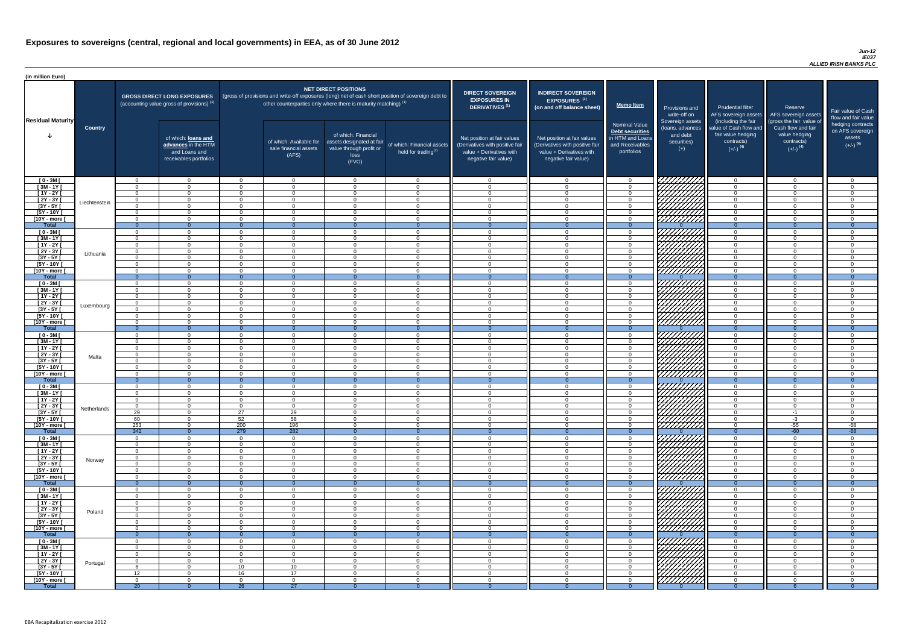#### *Jun-12 IE037 ALLIED IRISH BANKS PLC*

| <b>DIRECT SOVEREIGN</b><br><b>EXPOSURES IN</b><br><b>DERIVATIVES<sup>(1)</sup></b><br>Net position at fair values<br>(Derivatives with positive fair<br>value + Derivatives with<br>negative fair value) | <b>INDIRECT SOVEREIGN</b><br>EXPOSURES <sup>(3)</sup><br>(on and off balance sheet)<br>Net position at fair values<br>(Derivatives with positive fair<br>$value + Derivative$ s with<br>negative fair value) | <b>Memo Item</b><br><b>Nominal Value</b><br>Debt securities<br>in HTM and Loans<br>and Receivables<br>portfolios | Provisions and<br>write-off on<br>Sovereign assets<br>(loans, advances<br>and debt<br>securities)<br>$(+)$ | <b>Prudential filter</b><br>AFS sovereign assets<br>(including the fair<br>value of Cash flow and<br>fair value hedging<br>contracts)<br>$(+/-)$ <sup>(4)</sup> | Reserve<br>AFS sovereign assets<br>(gross the fair value of<br>Cash flow and fair<br>value hedging<br>contracts)<br>$(+/-)$ <sup>(4)</sup> | Fair value of Cash<br>flow and fair value<br>hedging contracts<br>on AFS sovereign<br>assets<br>$(+/-)$ <sup>(4)</sup> |
|----------------------------------------------------------------------------------------------------------------------------------------------------------------------------------------------------------|--------------------------------------------------------------------------------------------------------------------------------------------------------------------------------------------------------------|------------------------------------------------------------------------------------------------------------------|------------------------------------------------------------------------------------------------------------|-----------------------------------------------------------------------------------------------------------------------------------------------------------------|--------------------------------------------------------------------------------------------------------------------------------------------|------------------------------------------------------------------------------------------------------------------------|
| $\mathbf 0$                                                                                                                                                                                              | $\mathbf 0$                                                                                                                                                                                                  | $\pmb{0}$                                                                                                        |                                                                                                            | $\mathbf 0$                                                                                                                                                     | $\mathbf 0$                                                                                                                                | $\mathbf 0$                                                                                                            |
| $\mathbf 0$                                                                                                                                                                                              | $\mathbf 0$                                                                                                                                                                                                  | $\pmb{0}$                                                                                                        |                                                                                                            | $\pmb{0}$                                                                                                                                                       | 0                                                                                                                                          | $\mathbf 0$                                                                                                            |
| $\mathbf 0$                                                                                                                                                                                              | $\mathbf 0$                                                                                                                                                                                                  | $\mathbf 0$                                                                                                      |                                                                                                            | $\mathbf 0$                                                                                                                                                     | $\mathbf 0$                                                                                                                                | $\mathbf 0$                                                                                                            |
| $\pmb{0}$                                                                                                                                                                                                | $\mathbf 0$                                                                                                                                                                                                  | $\mathbf 0$                                                                                                      |                                                                                                            | 0                                                                                                                                                               | $\mathbf 0$                                                                                                                                | $\mathbf 0$                                                                                                            |
| $\mathbf 0$                                                                                                                                                                                              | $\mathbf 0$                                                                                                                                                                                                  | $\mathbf 0$                                                                                                      |                                                                                                            | $\mathbf 0$                                                                                                                                                     | $\mathbf 0$                                                                                                                                | $\mathbf 0$                                                                                                            |
| $\mathbf 0$                                                                                                                                                                                              | $\mathbf 0$                                                                                                                                                                                                  | $\mathbf 0$                                                                                                      |                                                                                                            | $\mathbf 0$                                                                                                                                                     | $\mathbf 0$                                                                                                                                | $\mathbf 0$                                                                                                            |
| $\mathbf 0$<br>$\mathbf{0}$                                                                                                                                                                              | $\mathbf 0$<br>$\overline{0}$                                                                                                                                                                                | $\pmb{0}$<br>$\overline{0}$                                                                                      | $\Omega$                                                                                                   | $\mathbf 0$<br>$\overline{0}$                                                                                                                                   | $\mathbf 0$<br>$\overline{0}$                                                                                                              | $\pmb{0}$<br>$\overline{0}$                                                                                            |
| $\mathbf 0$                                                                                                                                                                                              | $\mathbf 0$                                                                                                                                                                                                  | $\pmb{0}$                                                                                                        |                                                                                                            | $\mathbf 0$                                                                                                                                                     | $\mathbf 0$                                                                                                                                | $\mathbf 0$                                                                                                            |
| $\mathbf 0$                                                                                                                                                                                              | $\mathbf 0$                                                                                                                                                                                                  | $\pmb{0}$                                                                                                        |                                                                                                            | $\mathbf 0$                                                                                                                                                     | $\mathbf 0$                                                                                                                                | $\pmb{0}$                                                                                                              |
| $\mathbf 0$                                                                                                                                                                                              | $\mathbf 0$                                                                                                                                                                                                  | $\pmb{0}$                                                                                                        |                                                                                                            | $\mathbf 0$                                                                                                                                                     | $\mathbf 0$                                                                                                                                | $\mathbf 0$                                                                                                            |
| $\mathbf 0$                                                                                                                                                                                              | $\mathbf 0$                                                                                                                                                                                                  | $\pmb{0}$                                                                                                        |                                                                                                            | $\mathbf 0$                                                                                                                                                     | $\mathbf 0$                                                                                                                                | $\mathbf 0$                                                                                                            |
| $\mathbf 0$                                                                                                                                                                                              | $\mathbf 0$                                                                                                                                                                                                  | $\pmb{0}$                                                                                                        |                                                                                                            | $\mathbf 0$                                                                                                                                                     | $\mathbf 0$                                                                                                                                | $\mathbf 0$                                                                                                            |
| $\mathbf 0$                                                                                                                                                                                              | $\mathbf 0$                                                                                                                                                                                                  | $\pmb{0}$                                                                                                        |                                                                                                            | $\pmb{0}$                                                                                                                                                       | $\mathbf 0$                                                                                                                                | $\mathsf 0$                                                                                                            |
| $\mathbf 0$<br>$\mathbf{0}$                                                                                                                                                                              | $\mathbf 0$<br>$\overline{0}$                                                                                                                                                                                | $\mathbf 0$<br>$\overline{0}$                                                                                    | $\Omega$                                                                                                   | $\mathbf 0$<br>$\overline{0}$                                                                                                                                   | $\mathbf 0$<br>$\overline{0}$                                                                                                              | $\mathbf 0$<br>$\overline{0}$                                                                                          |
| 0                                                                                                                                                                                                        | $\mathbf 0$                                                                                                                                                                                                  | $\mathsf 0$                                                                                                      |                                                                                                            | $\mathbf 0$                                                                                                                                                     | $\overline{0}$                                                                                                                             | $\mathbf 0$                                                                                                            |
| $\mathbf 0$                                                                                                                                                                                              | $\mathbf 0$                                                                                                                                                                                                  | $\mathbf 0$                                                                                                      |                                                                                                            | $\mathbf 0$                                                                                                                                                     | $\mathbf 0$                                                                                                                                | $\mathbf 0$                                                                                                            |
| $\mathbf 0$                                                                                                                                                                                              | $\mathbf 0$                                                                                                                                                                                                  | $\mathsf 0$                                                                                                      |                                                                                                            | $\mathbf 0$                                                                                                                                                     | $\overline{0}$                                                                                                                             | $\mathbf 0$                                                                                                            |
| $\mathbf 0$                                                                                                                                                                                              | $\mathbf 0$                                                                                                                                                                                                  | $\pmb{0}$                                                                                                        |                                                                                                            | $\mathbf 0$                                                                                                                                                     | $\mathsf 0$                                                                                                                                | 0                                                                                                                      |
| $\mathbf 0$                                                                                                                                                                                              | $\mathbf 0$                                                                                                                                                                                                  | $\mathbf 0$                                                                                                      |                                                                                                            | 0                                                                                                                                                               | $\mathbf 0$                                                                                                                                | 0                                                                                                                      |
| 0                                                                                                                                                                                                        | 0                                                                                                                                                                                                            | 0                                                                                                                |                                                                                                            | 0                                                                                                                                                               | 0                                                                                                                                          | 0                                                                                                                      |
| $\mathbf 0$<br>$\mathbf{0}$                                                                                                                                                                              | $\mathbf 0$<br>$\overline{0}$                                                                                                                                                                                | 0<br>$\overline{0}$                                                                                              | $\overline{0}$                                                                                             | $\mathbf 0$<br>$\overline{0}$                                                                                                                                   | $\mathbf 0$<br>$\overline{0}$                                                                                                              | 0<br>$\overline{0}$                                                                                                    |
| 0                                                                                                                                                                                                        | 0                                                                                                                                                                                                            | $\pmb{0}$                                                                                                        |                                                                                                            | $\overline{0}$                                                                                                                                                  | 0                                                                                                                                          | $\mathbf 0$                                                                                                            |
| $\mathbf 0$                                                                                                                                                                                              | $\mathbf 0$                                                                                                                                                                                                  | $\pmb{0}$                                                                                                        |                                                                                                            | $\mathbf 0$                                                                                                                                                     | $\mathbf 0$                                                                                                                                | $\pmb{0}$                                                                                                              |
| $\mathbf 0$                                                                                                                                                                                              | $\mathbf 0$                                                                                                                                                                                                  | $\pmb{0}$                                                                                                        |                                                                                                            | $\mathbf 0$                                                                                                                                                     | $\mathbf 0$                                                                                                                                | $\pmb{0}$                                                                                                              |
| $\pmb{0}$                                                                                                                                                                                                | $\mathbf 0$                                                                                                                                                                                                  | $\pmb{0}$                                                                                                        |                                                                                                            | $\mathbf 0$                                                                                                                                                     | 0                                                                                                                                          | $\pmb{0}$                                                                                                              |
| $\pmb{0}$<br>$\mathbf 0$                                                                                                                                                                                 | $\mathbf 0$<br>$\mathbf 0$                                                                                                                                                                                   | $\pmb{0}$<br>$\pmb{0}$                                                                                           |                                                                                                            | $\mathbf 0$<br>$\mathbf 0$                                                                                                                                      | 0<br>0                                                                                                                                     | $\pmb{0}$<br>$\pmb{0}$                                                                                                 |
| $\mathbf 0$                                                                                                                                                                                              | $\mathbf 0$                                                                                                                                                                                                  | $\pmb{0}$                                                                                                        |                                                                                                            | $\mathbf 0$                                                                                                                                                     | 0                                                                                                                                          | $\mathbf 0$                                                                                                            |
| $\overline{0}$                                                                                                                                                                                           | $\overline{0}$                                                                                                                                                                                               | $\mathbf{0}$                                                                                                     | $\mathbf{0}$                                                                                               | $\overline{0}$                                                                                                                                                  | $\overline{0}$                                                                                                                             | $\overline{0}$                                                                                                         |
| $\pmb{0}$                                                                                                                                                                                                | $\mathbf 0$                                                                                                                                                                                                  | $\pmb{0}$                                                                                                        |                                                                                                            | $\mathbf 0$                                                                                                                                                     | $\mathbf 0$                                                                                                                                | $\pmb{0}$                                                                                                              |
| $\mathbf 0$                                                                                                                                                                                              | $\mathbf 0$                                                                                                                                                                                                  | $\pmb{0}$                                                                                                        |                                                                                                            | $\mathbf 0$                                                                                                                                                     | $\mathbf 0$                                                                                                                                | $\pmb{0}$                                                                                                              |
| $\mathbf 0$                                                                                                                                                                                              | $\mathbf 0$                                                                                                                                                                                                  | $\pmb{0}$                                                                                                        |                                                                                                            | $\mathbf 0$                                                                                                                                                     | $\mathbf 0$                                                                                                                                | $\pmb{0}$                                                                                                              |
| $\mathbf 0$<br>$\mathbf 0$                                                                                                                                                                               | $\mathbf 0$<br>0                                                                                                                                                                                             | $\pmb{0}$<br>$\pmb{0}$                                                                                           |                                                                                                            | $\mathbf 0$<br>$\overline{0}$                                                                                                                                   | $\mathbf 0$<br>$-1$                                                                                                                        | $\pmb{0}$<br>$\mathbf 0$                                                                                               |
| $\mathbf 0$                                                                                                                                                                                              | $\mathbf 0$                                                                                                                                                                                                  | $\pmb{0}$                                                                                                        |                                                                                                            | $\mathbf 0$                                                                                                                                                     | $-3$                                                                                                                                       | $\pmb{0}$                                                                                                              |
| $\mathbf 0$                                                                                                                                                                                              | $\mathbf 0$                                                                                                                                                                                                  | $\pmb{0}$                                                                                                        |                                                                                                            | $\mathbf 0$                                                                                                                                                     | $-55$                                                                                                                                      | $-68$                                                                                                                  |
| $\overline{0}$                                                                                                                                                                                           | $\overline{0}$                                                                                                                                                                                               | $\overline{0}$                                                                                                   | $\Omega$                                                                                                   | $\overline{0}$                                                                                                                                                  | $-60$                                                                                                                                      | $-68$                                                                                                                  |
| $\mathbf 0$                                                                                                                                                                                              | $\mathbf 0$                                                                                                                                                                                                  | $\mathsf 0$                                                                                                      |                                                                                                            | $\mathbf 0$                                                                                                                                                     | $\mathbf 0$                                                                                                                                | 0                                                                                                                      |
| $\mathbf 0$                                                                                                                                                                                              | $\mathbf 0$                                                                                                                                                                                                  | $\pmb{0}$                                                                                                        |                                                                                                            | $\mathbf 0$                                                                                                                                                     | $\mathbf 0$                                                                                                                                | $\mathbf 0$                                                                                                            |
| 0<br>$\mathbf 0$                                                                                                                                                                                         | $\mathbf 0$<br>$\mathbf 0$                                                                                                                                                                                   | $\mathbf 0$<br>$\mathsf 0$                                                                                       |                                                                                                            | $\mathbf 0$<br>$\mathbf 0$                                                                                                                                      | 0<br>0                                                                                                                                     | 0<br>$\mathbf 0$                                                                                                       |
| $\mathbf 0$                                                                                                                                                                                              | $\mathbf 0$                                                                                                                                                                                                  | $\pmb{0}$                                                                                                        |                                                                                                            | $\mathbf 0$                                                                                                                                                     | $\mathbf 0$                                                                                                                                | $\pmb{0}$                                                                                                              |
| $\mathbf 0$                                                                                                                                                                                              | 0                                                                                                                                                                                                            | $\mathbf 0$                                                                                                      |                                                                                                            | 0                                                                                                                                                               | 0                                                                                                                                          | 0                                                                                                                      |
| $\mathbf 0$                                                                                                                                                                                              | 0                                                                                                                                                                                                            | $\pmb{0}$                                                                                                        |                                                                                                            | $\mathbf 0$                                                                                                                                                     | 0                                                                                                                                          | $\mathbf 0$                                                                                                            |
| $\mathbf{0}$                                                                                                                                                                                             | $\overline{0}$                                                                                                                                                                                               | $\overline{0}$                                                                                                   | $\overline{0}$                                                                                             | $\overline{0}$                                                                                                                                                  | $\overline{0}$                                                                                                                             | $\overline{0}$                                                                                                         |
| 0                                                                                                                                                                                                        | 0                                                                                                                                                                                                            | $\mathbf 0$                                                                                                      |                                                                                                            | 0                                                                                                                                                               | $\Omega$                                                                                                                                   | 0                                                                                                                      |
| $\boldsymbol{0}$<br>$\mathbf 0$                                                                                                                                                                          | 0<br>$\mathbf 0$                                                                                                                                                                                             | $\pmb{0}$<br>$\pmb{0}$                                                                                           |                                                                                                            | $\mathbf 0$<br>$\mathbf 0$                                                                                                                                      | 0<br>$\mathbf 0$                                                                                                                           | $\mathbf 0$<br>$\pmb{0}$                                                                                               |
| $\mathbf 0$                                                                                                                                                                                              | $\mathbf 0$                                                                                                                                                                                                  | $\pmb{0}$                                                                                                        |                                                                                                            | $\mathbf 0$                                                                                                                                                     | 0                                                                                                                                          | $\mathbf 0$                                                                                                            |
| $\pmb{0}$                                                                                                                                                                                                | $\mathbf 0$                                                                                                                                                                                                  | $\pmb{0}$                                                                                                        |                                                                                                            | $\mathbf 0$                                                                                                                                                     | 0                                                                                                                                          | $\pmb{0}$                                                                                                              |
| $\mathbf 0$                                                                                                                                                                                              | $\mathbf 0$                                                                                                                                                                                                  | $\mathsf 0$                                                                                                      |                                                                                                            | $\mathbf 0$                                                                                                                                                     | 0                                                                                                                                          | $\mathbf 0$                                                                                                            |
| $\mathbf 0$                                                                                                                                                                                              | $\mathbf 0$                                                                                                                                                                                                  | $\mathbf 0$                                                                                                      |                                                                                                            | $\mathbf 0$                                                                                                                                                     | 0                                                                                                                                          | $\mathbf 0$                                                                                                            |
| $\mathbf{0}$                                                                                                                                                                                             | $\overline{0}$                                                                                                                                                                                               | $\overline{0}$                                                                                                   | $\overline{0}$                                                                                             | $\overline{0}$                                                                                                                                                  | $\overline{0}$                                                                                                                             | $\overline{0}$                                                                                                         |
| $\mathbf 0$<br>$\mathbf 0$                                                                                                                                                                               | $\mathbf 0$<br>$\Omega$                                                                                                                                                                                      | $\pmb{0}$<br>0                                                                                                   |                                                                                                            | $\mathbf 0$<br>$\mathbf{0}$                                                                                                                                     | $\mathbf 0$<br>0                                                                                                                           | $\pmb{0}$<br>$\overline{0}$                                                                                            |
| $\mathbf 0$                                                                                                                                                                                              | $\mathbf 0$                                                                                                                                                                                                  | $\mathbf 0$                                                                                                      |                                                                                                            | $\mathbf 0$                                                                                                                                                     | $\mathbf 0$                                                                                                                                | 0                                                                                                                      |
| $\mathbf 0$                                                                                                                                                                                              | $\mathbf 0$                                                                                                                                                                                                  | $\mathbf 0$                                                                                                      |                                                                                                            | $\mathbf 0$                                                                                                                                                     | $\overline{0}$                                                                                                                             | $\mathbf 0$                                                                                                            |
| $\mathbf 0$                                                                                                                                                                                              | $\overline{0}$                                                                                                                                                                                               | $\mathsf 0$                                                                                                      |                                                                                                            | $\overline{0}$                                                                                                                                                  | $\overline{0}$                                                                                                                             | $\overline{0}$                                                                                                         |
| $\mathbf 0$                                                                                                                                                                                              | $\overline{0}$                                                                                                                                                                                               | $\pmb{0}$                                                                                                        |                                                                                                            | $\mathbf 0$                                                                                                                                                     | 6                                                                                                                                          | $\mathbf 0$                                                                                                            |
| $\mathbf 0$                                                                                                                                                                                              | $\mathbf 0$                                                                                                                                                                                                  | $\pmb{0}$                                                                                                        |                                                                                                            | $\mathbf 0$                                                                                                                                                     | $\mathbf 0$                                                                                                                                | $\mathbf 0$                                                                                                            |
| $\overline{0}$                                                                                                                                                                                           | $\overline{0}$                                                                                                                                                                                               | $\overline{0}$                                                                                                   | $\Omega$                                                                                                   | $\overline{0}$                                                                                                                                                  | $\overline{6}$                                                                                                                             | $\overline{0}$                                                                                                         |

| (in million Euro)             |                |                          |                                                                                             |                          |                                                                                                                                                                                   |                                                                                              |                                                      |                                                                                                                    |                                                                                                                    |                                                                                              |                                                                          |                                                                                                             |                                                                                                         |                                            |
|-------------------------------|----------------|--------------------------|---------------------------------------------------------------------------------------------|--------------------------|-----------------------------------------------------------------------------------------------------------------------------------------------------------------------------------|----------------------------------------------------------------------------------------------|------------------------------------------------------|--------------------------------------------------------------------------------------------------------------------|--------------------------------------------------------------------------------------------------------------------|----------------------------------------------------------------------------------------------|--------------------------------------------------------------------------|-------------------------------------------------------------------------------------------------------------|---------------------------------------------------------------------------------------------------------|--------------------------------------------|
|                               |                |                          | <b>GROSS DIRECT LONG EXPOSURES</b><br>(accounting value gross of provisions) <sup>(1)</sup> |                          | (gross of provisions and write-off exposures (long) net of cash short position of sovereign debt to<br>other counterparties only where there is maturity matching) <sup>(1)</sup> | <b>NET DIRECT POSITIONS</b>                                                                  |                                                      | <b>DIRECT SOVEREIGN</b><br><b>EXPOSURES IN</b><br><b>DERIVATIVES<sup>(1)</sup></b>                                 | <b>INDIRECT SOVEREIGN</b><br><b>EXPOSURES<sup>(3)</sup></b><br>(on and off balance sheet)                          | <b>Memo Item</b>                                                                             | Provisions and<br>write-off on                                           | <b>Prudential filter</b><br>AFS sovereign assets                                                            | Reserve<br>AFS sovereign assets                                                                         | Fair value<br>flow and fa                  |
| <b>Residual Maturity</b>      | <b>Country</b> |                          | of which: loans and<br>advances in the HTM<br>and Loans and<br>receivables portfolios       |                          | of which: Available for<br>sale financial assets<br>(AFS)                                                                                                                         | of which: Financial<br>assets designated at fair<br>value through profit or<br>loss<br>(FVO) | of which: Financial assets<br>held for trading $(2)$ | Net position at fair values<br>(Derivatives with positive fair<br>value + Derivatives with<br>negative fair value) | Net position at fair values<br>(Derivatives with positive fair<br>value + Derivatives with<br>negative fair value) | <b>Nominal Value</b><br>Debt securities<br>in HTM and Loans<br>and Receivables<br>portfolios | Sovereign assets<br>(loans, advances<br>and debt<br>securities)<br>$(+)$ | (including the fair<br>value of Cash flow and<br>fair value hedging<br>contracts)<br>$(+/-)$ <sup>(4)</sup> | (gross the fair value of<br>Cash flow and fair<br>value hedging<br>contracts)<br>$(+/-)$ <sup>(4)</sup> | hedging co<br>on AFS sc<br>asse<br>$(+/-)$ |
| $[0 - 3M]$                    |                | $\cap$                   | $\overline{0}$                                                                              | $\sqrt{ }$               | $\Omega$                                                                                                                                                                          | - റ                                                                                          | $\Omega$                                             | $\Omega$                                                                                                           | $\overline{0}$                                                                                                     | - 0                                                                                          | THE REAL PROPERTY                                                        |                                                                                                             | $\Omega$                                                                                                |                                            |
| $[3M - 1Y]$<br>$[1Y - 2Y]$    |                | $\cap$                   | $\Omega$<br>$\Omega$                                                                        | $\cap$                   | $\Omega$<br>$\Omega$                                                                                                                                                              | $\cap$<br>$\cap$                                                                             | $\Omega$<br>$\Omega$                                 |                                                                                                                    | $\Omega$<br>$\Omega$                                                                                               | $\Omega$<br>- 0                                                                              |                                                                          |                                                                                                             | $\Omega$                                                                                                | $\Omega$                                   |
| $[2Y - 3Y]$                   |                | $\Omega$                 | $\Omega$                                                                                    | - വ                      | $\Omega$                                                                                                                                                                          | $\cap$                                                                                       | $\Omega$                                             | $\Omega$                                                                                                           | $\Omega$                                                                                                           | - 0                                                                                          |                                                                          | $\cap$                                                                                                      | $\Omega$                                                                                                | - റ                                        |
| $[3Y - 5Y]$                   | Liechtenstein  | $\cap$                   | $\Omega$                                                                                    | $\cap$                   | $\Omega$                                                                                                                                                                          | $\sqrt{ }$                                                                                   | $\Omega$                                             | $\cap$                                                                                                             | $\Omega$                                                                                                           | $\Omega$                                                                                     |                                                                          | $\Omega$                                                                                                    | $\cap$                                                                                                  |                                            |
| $[5Y - 10Y]$                  |                | $\Omega$                 | $\Omega$                                                                                    | $\Omega$                 | $\Omega$                                                                                                                                                                          | $\sqrt{ }$                                                                                   | $\Omega$                                             | $\cap$                                                                                                             | $\Omega$                                                                                                           | $\overline{0}$                                                                               |                                                                          | $\Omega$                                                                                                    | $\cap$                                                                                                  |                                            |
| [10Y - more [<br>Total        |                | $\cap$<br>$\overline{0}$ | $\Omega$<br>$\Omega$                                                                        | $\cap$<br>$\overline{0}$ | $\Omega$<br>$\overline{0}$                                                                                                                                                        | റ<br>$\overline{0}$                                                                          | $\Omega$<br>$\Omega$                                 | $\Omega$<br>$\Omega$                                                                                               | $\Omega$<br>$\Omega$                                                                                               | $\overline{0}$<br>$\overline{0}$                                                             |                                                                          | $\cap$<br>$\Omega$                                                                                          | $\cap$<br>$\Omega$                                                                                      |                                            |
| $[0 - 3M]$                    |                | $\Omega$                 | $\Omega$                                                                                    | $\cap$                   | $\Omega$                                                                                                                                                                          | $\cap$                                                                                       | $\Omega$                                             | $\cap$                                                                                                             | $\Omega$                                                                                                           | $\overline{0}$                                                                               |                                                                          | $\Omega$                                                                                                    | $\Omega$                                                                                                |                                            |
| $[3M - 1Y]$                   |                | $\Omega$                 | $\Omega$                                                                                    | $\cap$                   | $\Omega$                                                                                                                                                                          | $\Omega$                                                                                     | $\Omega$                                             | $\Omega$                                                                                                           | $\overline{0}$                                                                                                     | $\overline{0}$                                                                               |                                                                          | $\Omega$                                                                                                    | $\Omega$                                                                                                |                                            |
| $[1Y - 2Y]$                   |                | $\Omega$<br>$\Omega$     | $\Omega$                                                                                    | - വ<br>റ                 | $\Omega$<br>$\Omega$                                                                                                                                                              | $\cap$<br>- 0                                                                                | $\Omega$<br>$\overline{0}$                           | $\cap$                                                                                                             | $\Omega$                                                                                                           | $\Omega$<br>$\Omega$                                                                         | THAT THE TRINING                                                         | $\Omega$<br>$\Omega$                                                                                        | $\Omega$<br>$\Omega$                                                                                    | റ                                          |
| $[2Y - 3Y]$<br>$[3Y - 5Y]$    | Lithuania      |                          | $\overline{0}$<br>$\Omega$                                                                  | $\Omega$                 | $\Omega$                                                                                                                                                                          | $\cap$                                                                                       | $\Omega$                                             |                                                                                                                    | $\Omega$<br>$\Omega$                                                                                               | $\Omega$                                                                                     |                                                                          | $\Omega$                                                                                                    | $\Omega$                                                                                                |                                            |
| $[5Y - 10Y]$                  |                | $\cap$                   | $\Omega$                                                                                    | റ                        | $\Omega$                                                                                                                                                                          | $\cap$                                                                                       | $\Omega$                                             |                                                                                                                    | $\Omega$                                                                                                           | $\Omega$                                                                                     |                                                                          |                                                                                                             | $\Omega$                                                                                                |                                            |
| [10Y - more [                 |                | $\cap$                   | $\Omega$                                                                                    |                          | $\cap$                                                                                                                                                                            | $\cap$                                                                                       | $\Omega$                                             | $\Omega$                                                                                                           | $\Omega$                                                                                                           | $\cap$                                                                                       | <u>IIIIII</u> A                                                          |                                                                                                             | $\cap$                                                                                                  | $\cap$                                     |
| <b>Total</b><br>$[0 - 3M]$    |                | $\Omega$<br>$\cap$       | - 0<br>$\Omega$                                                                             | - 0<br>$\cap$            | $\Omega$<br>$\Omega$                                                                                                                                                              | $\Omega$<br>റ                                                                                | $\Omega$<br>$\Omega$                                 | $\Omega$<br>$\Omega$                                                                                               | - 0<br>$\Omega$                                                                                                    | $\Omega$<br>$\Omega$                                                                         |                                                                          | $\cap$                                                                                                      | $\Omega$<br>$\Omega$                                                                                    | $\Omega$<br>- 0                            |
| $[3M-1Y]$                     |                | $\cap$                   | $\Omega$                                                                                    | $\sqrt{ }$               | $\cap$                                                                                                                                                                            | $\cap$                                                                                       | $\Omega$                                             | $\cap$                                                                                                             | $\Omega$                                                                                                           | $\Omega$                                                                                     | HAAN SAARAN                                                              | $\cap$                                                                                                      | $\Omega$                                                                                                | $\Omega$                                   |
| $[1Y - 2Y]$                   |                | $\cap$                   | $\Omega$                                                                                    | $\cap$                   | $\cap$                                                                                                                                                                            | $\cap$                                                                                       | $\Omega$                                             | $\cap$                                                                                                             | $\Omega$                                                                                                           | $\Omega$                                                                                     |                                                                          | $\Omega$                                                                                                    | $\cap$                                                                                                  | $\Omega$                                   |
| $[2Y - 3Y]$                   | Luxembourg     | $\cap$                   | $\Omega$                                                                                    |                          | $\Omega$                                                                                                                                                                          | $\cap$                                                                                       | $\Omega$                                             | $\cap$                                                                                                             | $\Omega$                                                                                                           | $\Omega$                                                                                     |                                                                          | $\Omega$                                                                                                    | $\Omega$                                                                                                |                                            |
| $[3Y - 5Y]$<br>$[5Y - 10Y]$   |                | $\cap$                   | $\Omega$                                                                                    | $\cap$                   | $\Omega$                                                                                                                                                                          | - 0                                                                                          | $\Omega$                                             |                                                                                                                    | $\Omega$                                                                                                           | $\Omega$                                                                                     | V <i>HHHA</i> L                                                          | $\cap$                                                                                                      |                                                                                                         |                                            |
| [10Y - more                   |                |                          | $\Omega$                                                                                    |                          | $\Omega$                                                                                                                                                                          | $\cap$                                                                                       | $\Omega$                                             |                                                                                                                    |                                                                                                                    | $\Omega$                                                                                     | 777777777                                                                |                                                                                                             |                                                                                                         |                                            |
| <b>Total</b>                  |                | $\Omega$                 | $\Omega$                                                                                    | $\Omega$                 | $\Omega$                                                                                                                                                                          | $\Omega$                                                                                     | $\Omega$                                             |                                                                                                                    |                                                                                                                    | $\sqrt{ }$                                                                                   |                                                                          |                                                                                                             |                                                                                                         |                                            |
| $[0 - 3M]$<br>$[3M - 1Y]$     |                | $\cap$                   | $\Omega$<br>$\Omega$                                                                        | $\cap$<br>$\cap$         | $\Omega$<br>$\Omega$                                                                                                                                                              | $\cap$<br>- 0                                                                                | $\Omega$<br>$\Omega$                                 |                                                                                                                    | $\Omega$<br>$\Omega$                                                                                               | $\Omega$<br>$\Omega$                                                                         |                                                                          | $\cap$                                                                                                      | $\Omega$<br>$\Omega$                                                                                    |                                            |
| $[1Y - 2Y]$                   |                |                          | $\Omega$                                                                                    | $\cap$                   | $\Omega$                                                                                                                                                                          | - റ                                                                                          | $\Omega$                                             |                                                                                                                    | $\Omega$                                                                                                           | $\Omega$                                                                                     |                                                                          |                                                                                                             | $\Omega$                                                                                                |                                            |
| $[2Y - 3Y]$                   | Malta          | റ                        | $\Omega$                                                                                    | $\cap$                   | $\Omega$                                                                                                                                                                          | - 0                                                                                          | $\Omega$                                             |                                                                                                                    | $\Omega$                                                                                                           | $\Omega$                                                                                     |                                                                          | ി                                                                                                           | $\Omega$                                                                                                |                                            |
| $[3Y - 5Y]$                   |                |                          | $\Omega$                                                                                    | - വ                      | $\Omega$                                                                                                                                                                          | $\cap$                                                                                       | $\Omega$                                             | $\Omega$                                                                                                           | . റ                                                                                                                | $\Omega$                                                                                     |                                                                          |                                                                                                             | $\cap$                                                                                                  |                                            |
| $[5Y - 10Y]$<br>[10Y - more [ |                | $\cap$<br>$\cap$         | $\overline{0}$<br>$\Omega$                                                                  | $\Omega$<br>$\Omega$     | $\Omega$<br>$\Omega$                                                                                                                                                              | $\Omega$<br>$\Omega$                                                                         | $\overline{0}$<br>$\Omega$                           | $\Omega$<br>$\cap$                                                                                                 | $\Omega$<br>$\Omega$                                                                                               | $\Omega$<br>$\Omega$                                                                         |                                                                          | $\Omega$<br>$\Omega$                                                                                        | $\Omega$<br>$\cap$                                                                                      |                                            |
| <b>Total</b>                  |                | $\Omega$                 | $\Omega$                                                                                    | $\Omega$                 | $\Omega$                                                                                                                                                                          | $\Omega$                                                                                     | $\Omega$                                             | $\Omega$                                                                                                           | $\Omega$                                                                                                           | $\Omega$                                                                                     |                                                                          |                                                                                                             | $\Omega$                                                                                                |                                            |
| $[0 - 3M]$                    |                | $\Omega$                 | $\overline{0}$                                                                              | $\Omega$                 | $\Omega$                                                                                                                                                                          | $\Omega$                                                                                     | $\overline{0}$                                       | $\Omega$                                                                                                           | $\Omega$                                                                                                           | - 0                                                                                          |                                                                          | $\Omega$                                                                                                    | $\overline{0}$                                                                                          |                                            |
| $[3M - 1Y]$                   |                | $\Omega$                 | $\Omega$                                                                                    | $\Omega$<br>$\Omega$     | $\Omega$                                                                                                                                                                          | $\Omega$<br>$\Omega$                                                                         | $\overline{0}$                                       |                                                                                                                    | $\Omega$                                                                                                           | $\Omega$<br>$\Omega$                                                                         | VI.                                                                      | $\Omega$<br>$\Omega$                                                                                        | $\Omega$<br>$\Omega$                                                                                    |                                            |
| $[1Y - 2Y]$<br>$[2Y - 3Y]$    |                | $\Omega$                 | $\Omega$<br>$\Omega$                                                                        | $\cap$                   | $\Omega$<br>$\Omega$                                                                                                                                                              | $\Omega$                                                                                     | $\overline{0}$<br>$\overline{0}$                     |                                                                                                                    | $\Omega$<br>- 0                                                                                                    | $\Omega$                                                                                     | HFF                                                                      | $\cap$                                                                                                      | $\Omega$                                                                                                |                                            |
| $[3Y - 5Y]$                   | Netherlands    | 29                       | $\Omega$                                                                                    | 27                       | 29                                                                                                                                                                                | $\cap$                                                                                       | $\Omega$                                             |                                                                                                                    | $\Omega$                                                                                                           | $\Omega$                                                                                     |                                                                          |                                                                                                             | $-1$                                                                                                    |                                            |
| [5Y - 10Y [                   |                | 60                       | $\Omega$                                                                                    | 52                       | 58                                                                                                                                                                                | $\cap$                                                                                       | $\Omega$                                             |                                                                                                                    | $\Omega$                                                                                                           | $\Omega$                                                                                     | VH.                                                                      |                                                                                                             | $-3$                                                                                                    |                                            |
| [10Y - more [<br><b>Total</b> |                | 253<br>342               | $\overline{0}$<br>$\overline{0}$                                                            | 200<br>279               | 196<br>282                                                                                                                                                                        | - 0                                                                                          | $\Omega$<br>$\Omega$                                 |                                                                                                                    | - 0<br>- 0                                                                                                         | $\Omega$<br>$\Omega$                                                                         | 777777                                                                   |                                                                                                             | $-55$<br>$-60$                                                                                          | $-68$<br>$-68$                             |
| $[0 - 3M]$                    |                | $\cap$                   | $\overline{0}$                                                                              | $\cap$                   | $\overline{0}$                                                                                                                                                                    | $\cap$                                                                                       | $\Omega$                                             |                                                                                                                    | $\Omega$                                                                                                           | $\Omega$                                                                                     |                                                                          | ∩                                                                                                           | $\Omega$                                                                                                |                                            |
| $[3M - 1Y]$                   |                | $\Omega$                 | $\overline{0}$                                                                              | $\Omega$                 | $\overline{0}$                                                                                                                                                                    | $\cap$                                                                                       | $\overline{0}$                                       | $\Omega$                                                                                                           | $\Omega$                                                                                                           | $\Omega$                                                                                     | HAHA<br>HAHA                                                             | $\Omega$                                                                                                    | $\Omega$                                                                                                |                                            |
| $[1Y - 2Y]$                   |                | $\Omega$<br>$\cap$       | $\Omega$                                                                                    | - വ<br>- വ               | $\Omega$<br>$\Omega$                                                                                                                                                              | $\cap$<br>$\Omega$                                                                           | $\Omega$                                             | $\Omega$<br>$\cap$                                                                                                 | $\Omega$                                                                                                           | $\Omega$                                                                                     |                                                                          | $\cap$<br>$\Omega$                                                                                          | . റ<br>$\Omega$                                                                                         |                                            |
| $[2Y - 3Y]$<br>$[3Y - 5Y]$    | Norway         | $\Omega$                 | $\overline{0}$<br>$\overline{0}$                                                            | $\Omega$                 | $\Omega$                                                                                                                                                                          | $\Omega$                                                                                     | $\Omega$<br>$\overline{0}$                           | $\Omega$                                                                                                           | $\Omega$<br>$\overline{0}$                                                                                         | $\Omega$<br>$\Omega$                                                                         |                                                                          | $\Omega$                                                                                                    | $\Omega$                                                                                                |                                            |
| $[5Y - 10Y]$                  |                | $\Omega$                 | $\Omega$                                                                                    | $\cap$                   | $\Omega$                                                                                                                                                                          | $\cap$                                                                                       | $\Omega$                                             | $\Omega$                                                                                                           | $\Omega$                                                                                                           | $\Omega$                                                                                     |                                                                          | $\Omega$                                                                                                    | $\Omega$                                                                                                |                                            |
| [10Y - more [                 |                | $\cap$                   | $\Omega$                                                                                    | $\cap$                   | $\Omega$                                                                                                                                                                          | $\cap$                                                                                       | $\Omega$                                             |                                                                                                                    | $\Omega$                                                                                                           | $\Omega$                                                                                     | ZZZZZZAN                                                                 | $\cap$                                                                                                      | $\cap$                                                                                                  |                                            |
| <b>Total</b><br>$[0 - 3M]$    |                | $\Omega$                 | $\Omega$<br>$\Omega$                                                                        | $\Omega$<br>$\cap$       | $\Omega$<br>$\Omega$                                                                                                                                                              | $\cap$                                                                                       | $\Omega$<br>$\Omega$                                 |                                                                                                                    |                                                                                                                    | $\Omega$<br>$\Omega$                                                                         |                                                                          |                                                                                                             | $\Omega$                                                                                                |                                            |
| $[3M - 1Y]$                   |                |                          | $\Omega$                                                                                    | $\Omega$                 | $\Omega$                                                                                                                                                                          | $\cap$                                                                                       | $\Omega$                                             |                                                                                                                    | $\Omega$<br>$\Omega$                                                                                               | $\Omega$                                                                                     |                                                                          | $\Omega$                                                                                                    | $\Omega$                                                                                                |                                            |
| $[1Y - 2Y]$                   |                | $\cap$                   | $\Omega$                                                                                    | $\cap$                   | $\Omega$                                                                                                                                                                          | - 0                                                                                          | $\Omega$                                             |                                                                                                                    | $\Omega$                                                                                                           | $\Omega$                                                                                     |                                                                          | $\cap$                                                                                                      | $\Omega$                                                                                                |                                            |
| $[2Y - 3Y]$                   | Poland         |                          | $\Omega$                                                                                    | $\cap$                   | $\Omega$                                                                                                                                                                          | - റ                                                                                          | $\Omega$                                             |                                                                                                                    | - 0                                                                                                                | $\Omega$                                                                                     |                                                                          | $\Omega$                                                                                                    | $\Omega$                                                                                                |                                            |
| $[3Y - 5Y]$<br>$[5Y - 10Y]$   |                |                          | $\Omega$<br>$\Omega$                                                                        | $\cap$<br>$\cap$         | $\Omega$<br>$\Omega$                                                                                                                                                              | $\Omega$<br>$\cap$                                                                           | $\Omega$<br>$\overline{0}$                           | $\cap$<br>$\cap$                                                                                                   | . റ<br>- 0                                                                                                         | $\Omega$<br>$\Omega$                                                                         |                                                                          | $\cap$<br>$\cap$                                                                                            | $\cap$<br>$\cap$                                                                                        |                                            |
| [10Y - more [                 |                |                          | $\Omega$                                                                                    | $\Omega$                 | $\Omega$                                                                                                                                                                          | $\Omega$                                                                                     | $\overline{0}$                                       |                                                                                                                    | $\Omega$                                                                                                           | $\Omega$                                                                                     |                                                                          | $\Omega$                                                                                                    | $\cap$                                                                                                  |                                            |
| <b>Total</b>                  |                | $\Omega$                 | - വ                                                                                         | $\Omega$                 | $\Omega$                                                                                                                                                                          | $\Omega$                                                                                     |                                                      | $\Omega$                                                                                                           | - 0                                                                                                                | -C                                                                                           |                                                                          |                                                                                                             |                                                                                                         |                                            |
| $[0 - 3M]$                    |                | $\Omega$                 | $\Omega$                                                                                    |                          | $\Omega$                                                                                                                                                                          | $\cap$                                                                                       | $\Omega$                                             |                                                                                                                    | $\Omega$                                                                                                           | $\cap$                                                                                       | 777777777                                                                |                                                                                                             |                                                                                                         |                                            |
| $[3M - 1Y]$<br>$[1Y - 2Y]$    |                | $\Omega$                 | $\overline{0}$<br>$\overline{0}$                                                            | $\cap$<br>$\Omega$       | $\Omega$<br>$\overline{0}$                                                                                                                                                        | $\Omega$<br>$\Omega$                                                                         | $\overline{0}$<br>$\overline{0}$                     | $\Omega$<br>$\Omega$                                                                                               | $\Omega$<br>$\Omega$                                                                                               | - 0<br>$\overline{0}$                                                                        |                                                                          | $\Omega$<br>$\Omega$                                                                                        | $\Omega$<br>$\Omega$                                                                                    | $\Omega$                                   |
| $[2Y - 3Y]$                   |                | $\Omega$                 | $\overline{0}$                                                                              | - 0                      | $\overline{0}$                                                                                                                                                                    | $\Omega$                                                                                     | $\overline{0}$                                       | - 0                                                                                                                | $\overline{0}$                                                                                                     | $\overline{0}$                                                                               |                                                                          | $\Omega$                                                                                                    | $\Omega$                                                                                                | $\Omega$                                   |
| $[3Y - 5Y]$                   | Portugal       |                          | $\overline{0}$                                                                              | 10                       | 10 <sup>1</sup>                                                                                                                                                                   | $\Omega$                                                                                     | $\overline{0}$                                       | $\cap$                                                                                                             | $\Omega$                                                                                                           | - 0                                                                                          |                                                                          | $\cap$                                                                                                      | $\Omega$                                                                                                | $\Omega$                                   |
| $[5Y - 10Y]$                  |                | 12<br>$\Omega$           | $\overline{0}$                                                                              | 16<br>$\cap$             | 17                                                                                                                                                                                | - 0<br>- റ                                                                                   | $\Omega$                                             |                                                                                                                    | $\Omega$                                                                                                           | $\Omega$<br>$\cap$                                                                           | William                                                                  | $\Omega$                                                                                                    |                                                                                                         | $\Omega$<br>$\Omega$                       |
| [10Y - more [<br><b>Total</b> |                | $\overline{20}$          | $\overline{0}$<br>$\Omega$                                                                  | $\overline{26}$          | $\Omega$<br>27                                                                                                                                                                    |                                                                                              | $\Omega$                                             |                                                                                                                    | $\Omega$                                                                                                           |                                                                                              |                                                                          |                                                                                                             |                                                                                                         | $\overline{0}$                             |